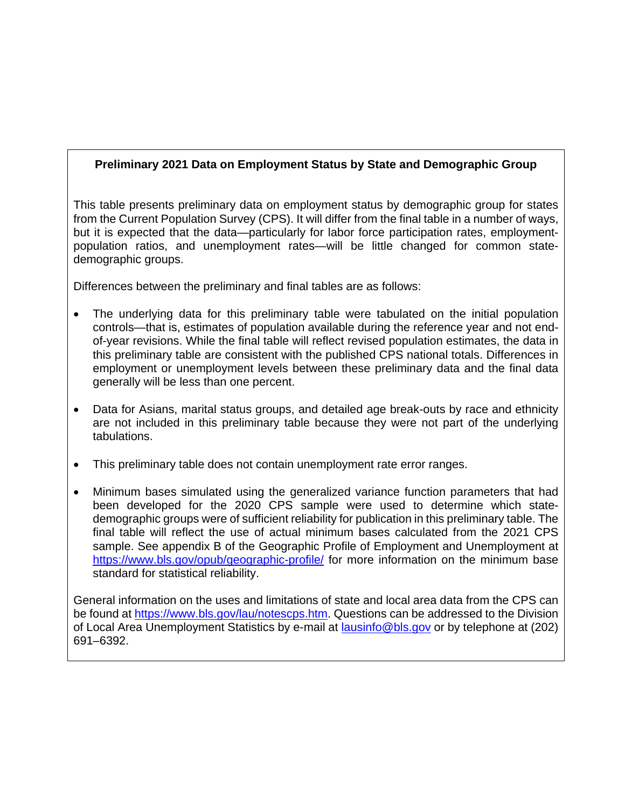# **Preliminary 2021 Data on Employment Status by State and Demographic Group**

This table presents preliminary data on employment status by demographic group for states from the Current Population Survey (CPS). It will differ from the final table in a number of ways, but it is expected that the data—particularly for labor force participation rates, employmentpopulation ratios, and unemployment rates—will be little changed for common statedemographic groups.

Differences between the preliminary and final tables are as follows:

- The underlying data for this preliminary table were tabulated on the initial population controls—that is, estimates of population available during the reference year and not endof-year revisions. While the final table will reflect revised population estimates, the data in this preliminary table are consistent with the published CPS national totals. Differences in employment or unemployment levels between these preliminary data and the final data generally will be less than one percent.
- Data for Asians, marital status groups, and detailed age break-outs by race and ethnicity are not included in this preliminary table because they were not part of the underlying tabulations.
- This preliminary table does not contain unemployment rate error ranges.
- Minimum bases simulated using the generalized variance function parameters that had been developed for the 2020 CPS sample were used to determine which statedemographic groups were of sufficient reliability for publication in this preliminary table. The final table will reflect the use of actual minimum bases calculated from the 2021 CPS sample. See appendix B of the Geographic Profile of Employment and Unemployment at https://www.bls.gov/opub/geographic-profile/ for more information on the minimum base standard for statistical reliability.

General information on the uses and limitations of state and local area data from the CPS can be found at https://www.bls.gov/lau/notescps.htm. Questions can be addressed to the Division of Local Area Unemployment Statistics by e-mail at lausinfo@bls.gov or by telephone at (202) 691–6392.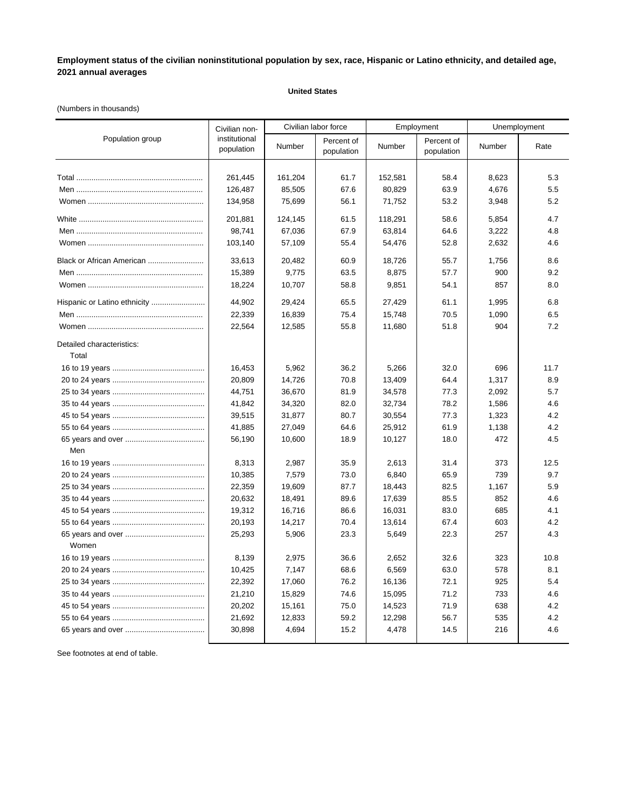### **United States**

### (Numbers in thousands)

|                                    | Civilian non-               |         | Civilian labor force     |         | Employment               | Unemployment |      |
|------------------------------------|-----------------------------|---------|--------------------------|---------|--------------------------|--------------|------|
| Population group                   | institutional<br>population | Number  | Percent of<br>population | Number  | Percent of<br>population | Number       | Rate |
|                                    | 261,445                     | 161,204 | 61.7                     | 152,581 | 58.4                     | 8,623        | 5.3  |
|                                    | 126,487                     | 85,505  | 67.6                     | 80,829  | 63.9                     | 4,676        | 5.5  |
|                                    | 134,958                     | 75,699  | 56.1                     | 71,752  | 53.2                     | 3,948        | 5.2  |
|                                    | 201,881                     | 124,145 | 61.5                     | 118,291 | 58.6                     | 5,854        | 4.7  |
|                                    | 98,741                      | 67,036  | 67.9                     | 63,814  | 64.6                     | 3,222        | 4.8  |
|                                    | 103,140                     | 57,109  | 55.4                     | 54,476  | 52.8                     | 2,632        | 4.6  |
| Black or African American          | 33,613                      | 20,482  | 60.9                     | 18,726  | 55.7                     | 1,756        | 8.6  |
|                                    | 15,389                      | 9,775   | 63.5                     | 8,875   | 57.7                     | 900          | 9.2  |
|                                    | 18,224                      | 10,707  | 58.8                     | 9,851   | 54.1                     | 857          | 8.0  |
|                                    | 44,902                      | 29,424  | 65.5                     | 27,429  | 61.1                     | 1,995        | 6.8  |
|                                    | 22,339                      | 16,839  | 75.4                     | 15,748  | 70.5                     | 1,090        | 6.5  |
|                                    | 22,564                      | 12,585  | 55.8                     | 11,680  | 51.8                     | 904          | 7.2  |
| Detailed characteristics:<br>Total |                             |         |                          |         |                          |              |      |
|                                    | 16,453                      | 5,962   | 36.2                     | 5,266   | 32.0                     | 696          | 11.7 |
|                                    | 20,809                      | 14,726  | 70.8                     | 13,409  | 64.4                     | 1,317        | 8.9  |
|                                    | 44,751                      | 36,670  | 81.9                     | 34,578  | 77.3                     | 2,092        | 5.7  |
|                                    | 41,842                      | 34,320  | 82.0                     | 32,734  | 78.2                     | 1,586        | 4.6  |
|                                    | 39,515                      | 31,877  | 80.7                     | 30,554  | 77.3                     | 1,323        | 4.2  |
|                                    | 41,885                      | 27,049  | 64.6                     | 25,912  | 61.9                     | 1,138        | 4.2  |
|                                    | 56,190                      | 10,600  | 18.9                     | 10,127  | 18.0                     | 472          | 4.5  |
| Men                                |                             |         |                          |         |                          |              |      |
|                                    | 8,313                       | 2,987   | 35.9                     | 2,613   | 31.4                     | 373          | 12.5 |
|                                    | 10,385                      | 7,579   | 73.0                     | 6,840   | 65.9                     | 739          | 9.7  |
|                                    | 22,359                      | 19,609  | 87.7                     | 18,443  | 82.5                     | 1,167        | 5.9  |
|                                    | 20,632                      | 18,491  | 89.6                     | 17,639  | 85.5                     | 852          | 4.6  |
|                                    | 19,312                      | 16,716  | 86.6                     | 16,031  | 83.0                     | 685          | 4.1  |
|                                    | 20,193                      | 14,217  | 70.4                     | 13,614  | 67.4                     | 603          | 4.2  |
| Women                              | 25,293                      | 5,906   | 23.3                     | 5,649   | 22.3                     | 257          | 4.3  |
|                                    | 8.139                       | 2,975   | 36.6                     | 2,652   | 32.6                     | 323          | 10.8 |
|                                    | 10,425                      | 7,147   | 68.6                     | 6,569   | 63.0                     | 578          | 8.1  |
|                                    | 22,392                      | 17,060  | 76.2                     | 16,136  | 72.1                     | 925          | 5.4  |
|                                    | 21,210                      | 15,829  | 74.6                     | 15,095  | 71.2                     | 733          | 4.6  |
|                                    | 20,202                      | 15,161  | 75.0                     | 14,523  | 71.9                     | 638          | 4.2  |
|                                    | 21,692                      | 12,833  | 59.2                     | 12,298  | 56.7                     | 535          | 4.2  |
|                                    | 30,898                      | 4,694   | 15.2                     | 4,478   | 14.5                     | 216          | 4.6  |
|                                    |                             |         |                          |         |                          |              |      |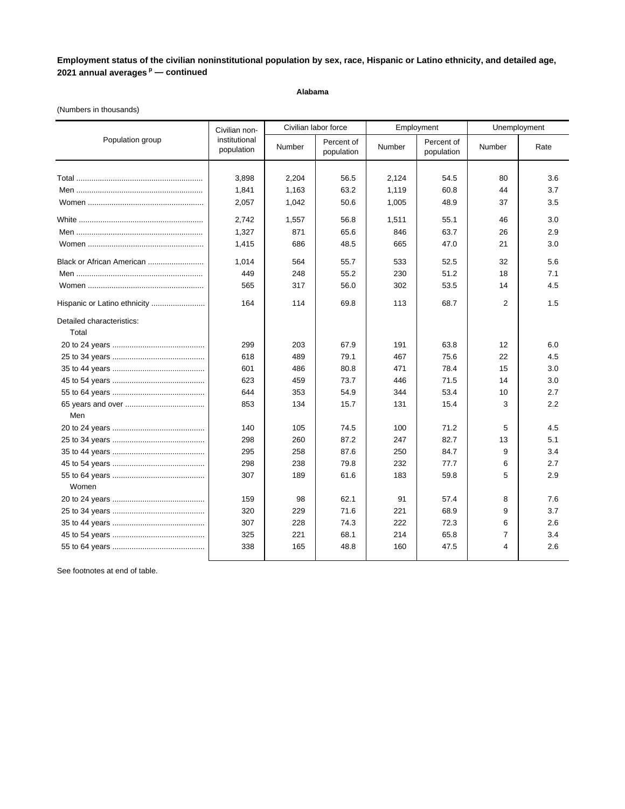### **Alabama**

### (Numbers in thousands)

| Population group<br>institutional<br>Percent of<br>Percent of<br>Number<br>Number<br>Number<br>Rate<br>population<br>population<br>population<br>3,898<br>54.5<br>2,204<br>56.5<br>2,124<br>80<br>3.6<br>1,163<br>63.2<br>1,119<br>60.8<br>3.7<br>1,841<br>44<br>2,057<br>1,042<br>50.6<br>1,005<br>48.9<br>37<br>3.5<br>2,742<br>1,557<br>56.8<br>1,511<br>55.1<br>3.0<br>46<br>63.7<br>1,327<br>871<br>65.6<br>846<br>2.9<br>26<br>48.5<br>1,415<br>686<br>665<br>47.0<br>21<br>3.0<br>Black or African American<br>1,014<br>564<br>55.7<br>533<br>52.5<br>32<br>5.6<br>449<br>248<br>55.2<br>230<br>51.2<br>7.1<br>18<br>565<br>317<br>56.0<br>302<br>53.5<br>14<br>4.5<br>$\overline{2}$<br>164<br>114<br>69.8<br>113<br>68.7<br>1.5<br>Detailed characteristics:<br>Total<br>299<br>203<br>67.9<br>63.8<br>6.0<br>191<br>12<br>618<br>489<br>79.1<br>467<br>75.6<br>22<br>4.5<br>486<br>80.8<br>78.4<br>601<br>471<br>15<br>3.0<br>623<br>73.7<br>71.5<br>459<br>446<br>14<br>3.0<br>353<br>53.4<br>644<br>54.9<br>344<br>10<br>2.7<br>853<br>134<br>15.7<br>131<br>15.4<br>3<br>2.2<br>Men<br>105<br>71.2<br>140<br>74.5<br>100<br>5<br>4.5<br>298<br>260<br>87.2<br>247<br>82.7<br>5.1<br>13<br>87.6<br>84.7<br>295<br>258<br>250<br>9<br>3.4<br>298<br>238<br>79.8<br>232<br>77.7<br>2.7<br>6<br>307<br>189<br>61.6<br>183<br>59.8<br>5<br>2.9<br>Women<br>159<br>98<br>62.1<br>91<br>57.4<br>8<br>7.6<br>320<br>71.6<br>3.7<br>229<br>221<br>68.9<br>9<br>307<br>228<br>74.3<br>222<br>72.3<br>2.6<br>6<br>65.8<br>325<br>221<br>68.1<br>214<br>$\overline{7}$<br>3.4<br>338<br>165<br>48.8<br>47.5<br>2.6<br>160<br>4 | Civilian non- | Civilian labor force | Employment | Unemployment |
|---------------------------------------------------------------------------------------------------------------------------------------------------------------------------------------------------------------------------------------------------------------------------------------------------------------------------------------------------------------------------------------------------------------------------------------------------------------------------------------------------------------------------------------------------------------------------------------------------------------------------------------------------------------------------------------------------------------------------------------------------------------------------------------------------------------------------------------------------------------------------------------------------------------------------------------------------------------------------------------------------------------------------------------------------------------------------------------------------------------------------------------------------------------------------------------------------------------------------------------------------------------------------------------------------------------------------------------------------------------------------------------------------------------------------------------------------------------------------------------------------------------------------------------------------------------------------------------------------------------------------------|---------------|----------------------|------------|--------------|
|                                                                                                                                                                                                                                                                                                                                                                                                                                                                                                                                                                                                                                                                                                                                                                                                                                                                                                                                                                                                                                                                                                                                                                                                                                                                                                                                                                                                                                                                                                                                                                                                                                 |               |                      |            |              |
|                                                                                                                                                                                                                                                                                                                                                                                                                                                                                                                                                                                                                                                                                                                                                                                                                                                                                                                                                                                                                                                                                                                                                                                                                                                                                                                                                                                                                                                                                                                                                                                                                                 |               |                      |            |              |
|                                                                                                                                                                                                                                                                                                                                                                                                                                                                                                                                                                                                                                                                                                                                                                                                                                                                                                                                                                                                                                                                                                                                                                                                                                                                                                                                                                                                                                                                                                                                                                                                                                 |               |                      |            |              |
|                                                                                                                                                                                                                                                                                                                                                                                                                                                                                                                                                                                                                                                                                                                                                                                                                                                                                                                                                                                                                                                                                                                                                                                                                                                                                                                                                                                                                                                                                                                                                                                                                                 |               |                      |            |              |
|                                                                                                                                                                                                                                                                                                                                                                                                                                                                                                                                                                                                                                                                                                                                                                                                                                                                                                                                                                                                                                                                                                                                                                                                                                                                                                                                                                                                                                                                                                                                                                                                                                 |               |                      |            |              |
|                                                                                                                                                                                                                                                                                                                                                                                                                                                                                                                                                                                                                                                                                                                                                                                                                                                                                                                                                                                                                                                                                                                                                                                                                                                                                                                                                                                                                                                                                                                                                                                                                                 |               |                      |            |              |
|                                                                                                                                                                                                                                                                                                                                                                                                                                                                                                                                                                                                                                                                                                                                                                                                                                                                                                                                                                                                                                                                                                                                                                                                                                                                                                                                                                                                                                                                                                                                                                                                                                 |               |                      |            |              |
|                                                                                                                                                                                                                                                                                                                                                                                                                                                                                                                                                                                                                                                                                                                                                                                                                                                                                                                                                                                                                                                                                                                                                                                                                                                                                                                                                                                                                                                                                                                                                                                                                                 |               |                      |            |              |
|                                                                                                                                                                                                                                                                                                                                                                                                                                                                                                                                                                                                                                                                                                                                                                                                                                                                                                                                                                                                                                                                                                                                                                                                                                                                                                                                                                                                                                                                                                                                                                                                                                 |               |                      |            |              |
|                                                                                                                                                                                                                                                                                                                                                                                                                                                                                                                                                                                                                                                                                                                                                                                                                                                                                                                                                                                                                                                                                                                                                                                                                                                                                                                                                                                                                                                                                                                                                                                                                                 |               |                      |            |              |
|                                                                                                                                                                                                                                                                                                                                                                                                                                                                                                                                                                                                                                                                                                                                                                                                                                                                                                                                                                                                                                                                                                                                                                                                                                                                                                                                                                                                                                                                                                                                                                                                                                 |               |                      |            |              |
|                                                                                                                                                                                                                                                                                                                                                                                                                                                                                                                                                                                                                                                                                                                                                                                                                                                                                                                                                                                                                                                                                                                                                                                                                                                                                                                                                                                                                                                                                                                                                                                                                                 |               |                      |            |              |
|                                                                                                                                                                                                                                                                                                                                                                                                                                                                                                                                                                                                                                                                                                                                                                                                                                                                                                                                                                                                                                                                                                                                                                                                                                                                                                                                                                                                                                                                                                                                                                                                                                 |               |                      |            |              |
|                                                                                                                                                                                                                                                                                                                                                                                                                                                                                                                                                                                                                                                                                                                                                                                                                                                                                                                                                                                                                                                                                                                                                                                                                                                                                                                                                                                                                                                                                                                                                                                                                                 |               |                      |            |              |
|                                                                                                                                                                                                                                                                                                                                                                                                                                                                                                                                                                                                                                                                                                                                                                                                                                                                                                                                                                                                                                                                                                                                                                                                                                                                                                                                                                                                                                                                                                                                                                                                                                 |               |                      |            |              |
|                                                                                                                                                                                                                                                                                                                                                                                                                                                                                                                                                                                                                                                                                                                                                                                                                                                                                                                                                                                                                                                                                                                                                                                                                                                                                                                                                                                                                                                                                                                                                                                                                                 |               |                      |            |              |
|                                                                                                                                                                                                                                                                                                                                                                                                                                                                                                                                                                                                                                                                                                                                                                                                                                                                                                                                                                                                                                                                                                                                                                                                                                                                                                                                                                                                                                                                                                                                                                                                                                 |               |                      |            |              |
|                                                                                                                                                                                                                                                                                                                                                                                                                                                                                                                                                                                                                                                                                                                                                                                                                                                                                                                                                                                                                                                                                                                                                                                                                                                                                                                                                                                                                                                                                                                                                                                                                                 |               |                      |            |              |
|                                                                                                                                                                                                                                                                                                                                                                                                                                                                                                                                                                                                                                                                                                                                                                                                                                                                                                                                                                                                                                                                                                                                                                                                                                                                                                                                                                                                                                                                                                                                                                                                                                 |               |                      |            |              |
|                                                                                                                                                                                                                                                                                                                                                                                                                                                                                                                                                                                                                                                                                                                                                                                                                                                                                                                                                                                                                                                                                                                                                                                                                                                                                                                                                                                                                                                                                                                                                                                                                                 |               |                      |            |              |
|                                                                                                                                                                                                                                                                                                                                                                                                                                                                                                                                                                                                                                                                                                                                                                                                                                                                                                                                                                                                                                                                                                                                                                                                                                                                                                                                                                                                                                                                                                                                                                                                                                 |               |                      |            |              |
|                                                                                                                                                                                                                                                                                                                                                                                                                                                                                                                                                                                                                                                                                                                                                                                                                                                                                                                                                                                                                                                                                                                                                                                                                                                                                                                                                                                                                                                                                                                                                                                                                                 |               |                      |            |              |
|                                                                                                                                                                                                                                                                                                                                                                                                                                                                                                                                                                                                                                                                                                                                                                                                                                                                                                                                                                                                                                                                                                                                                                                                                                                                                                                                                                                                                                                                                                                                                                                                                                 |               |                      |            |              |
|                                                                                                                                                                                                                                                                                                                                                                                                                                                                                                                                                                                                                                                                                                                                                                                                                                                                                                                                                                                                                                                                                                                                                                                                                                                                                                                                                                                                                                                                                                                                                                                                                                 |               |                      |            |              |
|                                                                                                                                                                                                                                                                                                                                                                                                                                                                                                                                                                                                                                                                                                                                                                                                                                                                                                                                                                                                                                                                                                                                                                                                                                                                                                                                                                                                                                                                                                                                                                                                                                 |               |                      |            |              |
|                                                                                                                                                                                                                                                                                                                                                                                                                                                                                                                                                                                                                                                                                                                                                                                                                                                                                                                                                                                                                                                                                                                                                                                                                                                                                                                                                                                                                                                                                                                                                                                                                                 |               |                      |            |              |
|                                                                                                                                                                                                                                                                                                                                                                                                                                                                                                                                                                                                                                                                                                                                                                                                                                                                                                                                                                                                                                                                                                                                                                                                                                                                                                                                                                                                                                                                                                                                                                                                                                 |               |                      |            |              |
|                                                                                                                                                                                                                                                                                                                                                                                                                                                                                                                                                                                                                                                                                                                                                                                                                                                                                                                                                                                                                                                                                                                                                                                                                                                                                                                                                                                                                                                                                                                                                                                                                                 |               |                      |            |              |
|                                                                                                                                                                                                                                                                                                                                                                                                                                                                                                                                                                                                                                                                                                                                                                                                                                                                                                                                                                                                                                                                                                                                                                                                                                                                                                                                                                                                                                                                                                                                                                                                                                 |               |                      |            |              |
|                                                                                                                                                                                                                                                                                                                                                                                                                                                                                                                                                                                                                                                                                                                                                                                                                                                                                                                                                                                                                                                                                                                                                                                                                                                                                                                                                                                                                                                                                                                                                                                                                                 |               |                      |            |              |
|                                                                                                                                                                                                                                                                                                                                                                                                                                                                                                                                                                                                                                                                                                                                                                                                                                                                                                                                                                                                                                                                                                                                                                                                                                                                                                                                                                                                                                                                                                                                                                                                                                 |               |                      |            |              |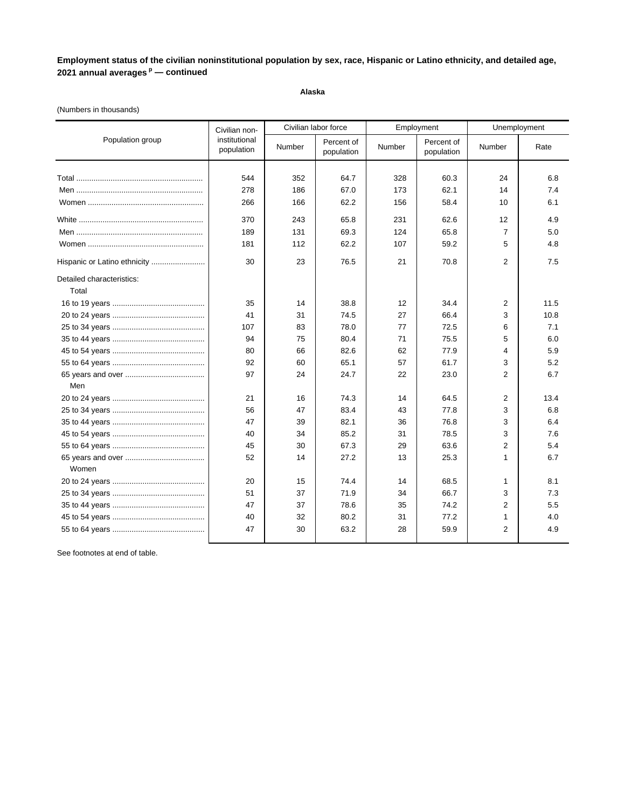**Alaska**

### (Numbers in thousands)

|                           | Civilian non-               |        | Civilian labor force     |        | Employment               | Unemployment      |      |
|---------------------------|-----------------------------|--------|--------------------------|--------|--------------------------|-------------------|------|
| Population group          | institutional<br>population | Number | Percent of<br>population | Number | Percent of<br>population | Number            | Rate |
|                           |                             |        |                          |        |                          |                   |      |
|                           | 544                         | 352    | 64.7                     | 328    | 60.3                     | 24                | 6.8  |
|                           | 278                         | 186    | 67.0                     | 173    | 62.1                     | 14                | 7.4  |
|                           | 266                         | 166    | 62.2                     | 156    | 58.4                     | 10                | 6.1  |
|                           | 370                         | 243    | 65.8                     | 231    | 62.6                     | $12 \overline{ }$ | 4.9  |
|                           | 189                         | 131    | 69.3                     | 124    | 65.8                     | $\overline{7}$    | 5.0  |
|                           | 181                         | 112    | 62.2                     | 107    | 59.2                     | 5                 | 4.8  |
|                           | 30                          | 23     | 76.5                     | 21     | 70.8                     | $\overline{2}$    | 7.5  |
| Detailed characteristics: |                             |        |                          |        |                          |                   |      |
| Total                     |                             |        |                          |        |                          |                   |      |
|                           | 35                          | 14     | 38.8                     | 12     | 34.4                     | 2                 | 11.5 |
|                           | 41                          | 31     | 74.5                     | 27     | 66.4                     | 3                 | 10.8 |
|                           | 107                         | 83     | 78.0                     | 77     | 72.5                     | 6                 | 7.1  |
|                           | 94                          | 75     | 80.4                     | 71     | 75.5                     | 5                 | 6.0  |
|                           | 80                          | 66     | 82.6                     | 62     | 77.9                     | 4                 | 5.9  |
|                           | 92                          | 60     | 65.1                     | 57     | 61.7                     | 3                 | 5.2  |
|                           | 97                          | 24     | 24.7                     | 22     | 23.0                     | $\overline{2}$    | 6.7  |
| Men                       |                             |        |                          |        |                          |                   |      |
|                           | 21                          | 16     | 74.3                     | 14     | 64.5                     | $\overline{2}$    | 13.4 |
|                           | 56                          | 47     | 83.4                     | 43     | 77.8                     | 3                 | 6.8  |
|                           | 47                          | 39     | 82.1                     | 36     | 76.8                     | 3                 | 6.4  |
|                           | 40                          | 34     | 85.2                     | 31     | 78.5                     | 3                 | 7.6  |
|                           | 45                          | 30     | 67.3                     | 29     | 63.6                     | $\overline{2}$    | 5.4  |
|                           | 52                          | 14     | 27.2                     | 13     | 25.3                     | $\mathbf{1}$      | 6.7  |
| Women                     |                             |        |                          |        |                          |                   |      |
|                           | 20                          | 15     | 74.4                     | 14     | 68.5                     | 1                 | 8.1  |
|                           | 51                          | 37     | 71.9                     | 34     | 66.7                     | 3                 | 7.3  |
|                           | 47                          | 37     | 78.6                     | 35     | 74.2                     | 2                 | 5.5  |
|                           | 40                          | 32     | 80.2                     | 31     | 77.2                     | 1                 | 4.0  |
|                           | 47                          | 30     | 63.2                     | 28     | 59.9                     | $\overline{2}$    | 4.9  |
|                           |                             |        |                          |        |                          |                   |      |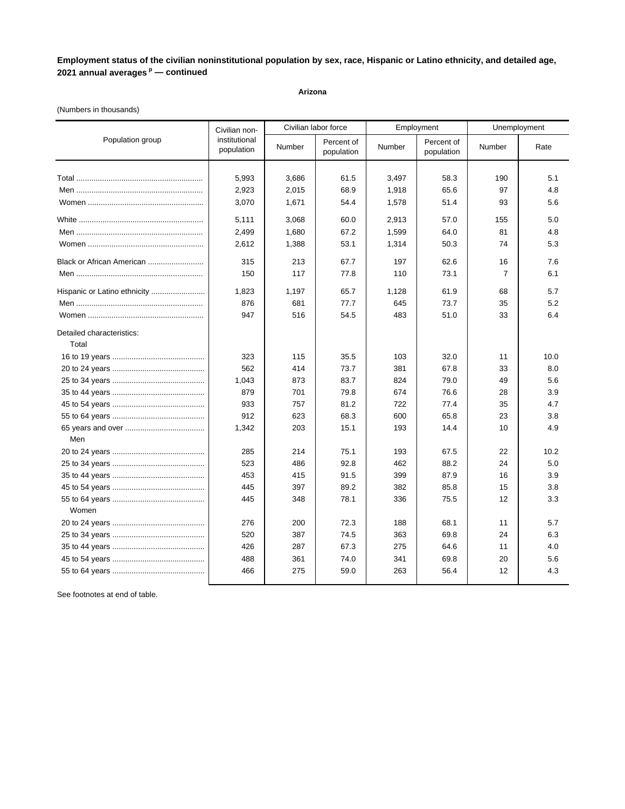### **Arizona**

### (Numbers in thousands)

|                                    | Civilian non-               | Civilian labor force |                          |        | Employment               | Unemployment   |      |
|------------------------------------|-----------------------------|----------------------|--------------------------|--------|--------------------------|----------------|------|
| Population group                   | institutional<br>population | Number               | Percent of<br>population | Number | Percent of<br>population | Number         | Rate |
|                                    |                             |                      |                          |        |                          |                |      |
|                                    | 5,993                       | 3,686                | 61.5                     | 3,497  | 58.3                     | 190            | 5.1  |
|                                    | 2,923                       | 2,015                | 68.9                     | 1,918  | 65.6                     | 97             | 4.8  |
|                                    | 3,070                       | 1,671                | 54.4                     | 1,578  | 51.4                     | 93             | 5.6  |
|                                    | 5,111                       | 3,068                | 60.0                     | 2,913  | 57.0                     | 155            | 5.0  |
|                                    | 2,499                       | 1,680                | 67.2                     | 1,599  | 64.0                     | 81             | 4.8  |
|                                    | 2,612                       | 1,388                | 53.1                     | 1,314  | 50.3                     | 74             | 5.3  |
| Black or African American          | 315                         | 213                  | 67.7                     | 197    | 62.6                     | 16             | 7.6  |
|                                    | 150                         | 117                  | 77.8                     | 110    | 73.1                     | $\overline{7}$ | 6.1  |
| Hispanic or Latino ethnicity       | 1,823                       | 1,197                | 65.7                     | 1,128  | 61.9                     | 68             | 5.7  |
|                                    | 876                         | 681                  | 77.7                     | 645    | 73.7                     | 35             | 5.2  |
|                                    | 947                         | 516                  | 54.5                     | 483    | 51.0                     | 33             | 6.4  |
| Detailed characteristics:<br>Total |                             |                      |                          |        |                          |                |      |
|                                    | 323                         | 115                  | 35.5                     | 103    | 32.0                     | 11             | 10.0 |
|                                    | 562                         | 414                  | 73.7                     | 381    | 67.8                     | 33             | 8.0  |
|                                    | 1,043                       | 873                  | 83.7                     | 824    | 79.0                     | 49             | 5.6  |
|                                    | 879                         | 701                  | 79.8                     | 674    | 76.6                     | 28             | 3.9  |
|                                    | 933                         | 757                  | 81.2                     | 722    | 77.4                     | 35             | 4.7  |
|                                    | 912                         | 623                  | 68.3                     | 600    | 65.8                     | 23             | 3.8  |
|                                    | 1,342                       | 203                  | 15.1                     | 193    | 14.4                     | 10             | 4.9  |
| Men                                |                             |                      |                          |        |                          |                |      |
|                                    | 285                         | 214                  | 75.1                     | 193    | 67.5                     | 22             | 10.2 |
|                                    | 523                         | 486                  | 92.8                     | 462    | 88.2                     | 24             | 5.0  |
|                                    | 453                         | 415                  | 91.5                     | 399    | 87.9                     | 16             | 3.9  |
|                                    | 445                         | 397                  | 89.2                     | 382    | 85.8                     | 15             | 3.8  |
| Women                              | 445                         | 348                  | 78.1                     | 336    | 75.5                     | 12             | 3.3  |
|                                    | 276                         | 200                  | 72.3                     | 188    | 68.1                     | 11             | 5.7  |
|                                    | 520                         | 387                  | 74.5                     | 363    | 69.8                     | 24             | 6.3  |
|                                    | 426                         | 287                  | 67.3                     | 275    | 64.6                     | 11             | 4.0  |
|                                    | 488                         | 361                  | 74.0                     | 341    | 69.8                     | 20             | 5.6  |
|                                    | 466                         | 275                  | 59.0                     | 263    | 56.4                     | 12             | 4.3  |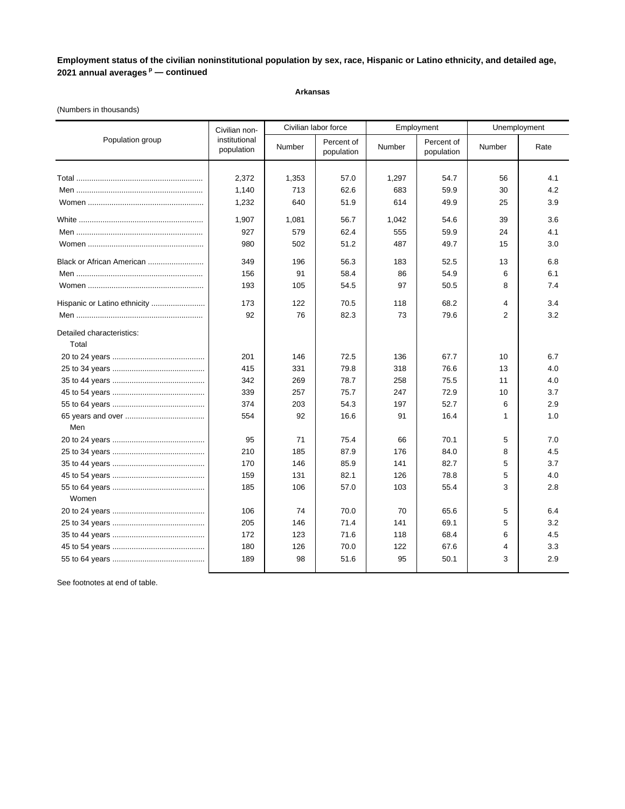#### **Arkansas**

### (Numbers in thousands)

|                                    | Civilian non-               |        | Civilian labor force     |        | Employment               | Unemployment  |      |
|------------------------------------|-----------------------------|--------|--------------------------|--------|--------------------------|---------------|------|
| Population group                   | institutional<br>population | Number | Percent of<br>population | Number | Percent of<br>population | <b>Number</b> | Rate |
|                                    |                             |        |                          |        |                          |               |      |
|                                    | 2,372                       | 1,353  | 57.0                     | 1,297  | 54.7                     | 56            | 4.1  |
|                                    | 1,140                       | 713    | 62.6                     | 683    | 59.9                     | 30            | 4.2  |
|                                    | 1,232                       | 640    | 51.9                     | 614    | 49.9                     | 25            | 3.9  |
|                                    | 1,907                       | 1,081  | 56.7                     | 1,042  | 54.6                     | 39            | 3.6  |
|                                    | 927                         | 579    | 62.4                     | 555    | 59.9                     | 24            | 4.1  |
|                                    | 980                         | 502    | 51.2                     | 487    | 49.7                     | 15            | 3.0  |
| Black or African American          | 349                         | 196    | 56.3                     | 183    | 52.5                     | 13            | 6.8  |
|                                    | 156                         | 91     | 58.4                     | 86     | 54.9                     | 6             | 6.1  |
|                                    | 193                         | 105    | 54.5                     | 97     | 50.5                     | 8             | 7.4  |
| Hispanic or Latino ethnicity       | 173                         | 122    | 70.5                     | 118    | 68.2                     | 4             | 3.4  |
|                                    | 92                          | 76     | 82.3                     | 73     | 79.6                     | 2             | 3.2  |
| Detailed characteristics:<br>Total |                             |        |                          |        |                          |               |      |
|                                    | 201                         | 146    | 72.5                     | 136    | 67.7                     | 10            | 6.7  |
|                                    | 415                         | 331    | 79.8                     | 318    | 76.6                     | 13            | 4.0  |
|                                    | 342                         | 269    | 78.7                     | 258    | 75.5                     | 11            | 4.0  |
|                                    | 339                         | 257    | 75.7                     | 247    | 72.9                     | 10            | 3.7  |
|                                    | 374                         | 203    | 54.3                     | 197    | 52.7                     | 6             | 2.9  |
|                                    | 554                         | 92     | 16.6                     | 91     | 16.4                     | $\mathbf{1}$  | 1.0  |
| Men                                |                             |        |                          |        |                          |               |      |
|                                    | 95                          | 71     | 75.4                     | 66     | 70.1                     | 5             | 7.0  |
|                                    | 210                         | 185    | 87.9                     | 176    | 84.0                     | 8             | 4.5  |
|                                    | 170                         | 146    | 85.9                     | 141    | 82.7                     | 5             | 3.7  |
|                                    | 159                         | 131    | 82.1                     | 126    | 78.8                     | 5             | 4.0  |
| Women                              | 185                         | 106    | 57.0                     | 103    | 55.4                     | 3             | 2.8  |
|                                    |                             |        |                          |        |                          |               |      |
|                                    | 106                         | 74     | 70.0                     | 70     | 65.6                     | 5             | 6.4  |
|                                    | 205                         | 146    | 71.4                     | 141    | 69.1                     | 5             | 3.2  |
|                                    | 172                         | 123    | 71.6                     | 118    | 68.4                     | 6             | 4.5  |
|                                    | 180                         | 126    | 70.0                     | 122    | 67.6                     | 4             | 3.3  |
|                                    | 189                         | 98     | 51.6                     | 95     | 50.1                     | 3             | 2.9  |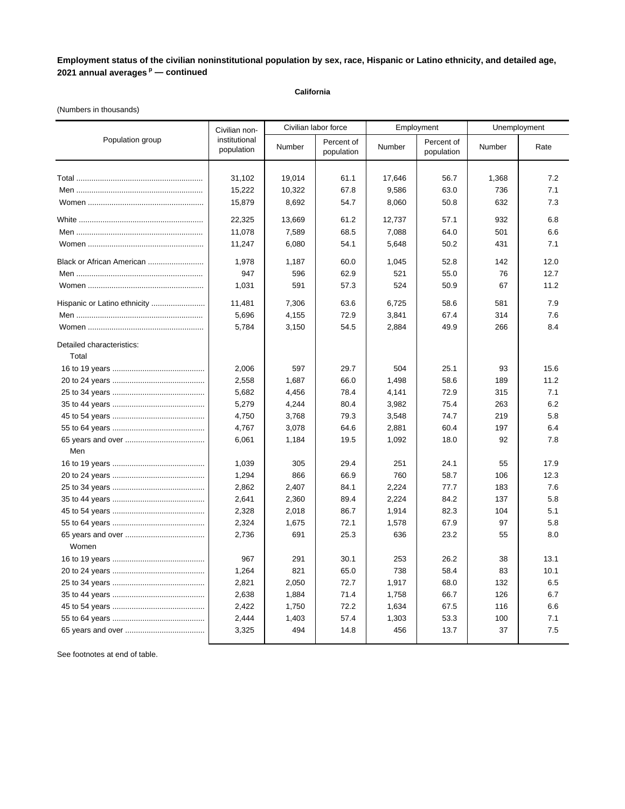### **California**

### (Numbers in thousands)

|                                    | Civilian non-               |        | Civilian labor force     |        | Employment               | Unemployment |      |
|------------------------------------|-----------------------------|--------|--------------------------|--------|--------------------------|--------------|------|
| Population group                   | institutional<br>population | Number | Percent of<br>population | Number | Percent of<br>population | Number       | Rate |
|                                    | 31,102                      | 19.014 | 61.1                     | 17,646 | 56.7                     | 1,368        | 7.2  |
|                                    | 15,222                      | 10,322 | 67.8                     | 9,586  | 63.0                     | 736          | 7.1  |
|                                    | 15,879                      | 8,692  | 54.7                     | 8,060  | 50.8                     | 632          | 7.3  |
|                                    | 22,325                      | 13,669 | 61.2                     | 12,737 | 57.1                     | 932          | 6.8  |
|                                    | 11,078                      | 7,589  | 68.5                     | 7,088  | 64.0                     | 501          | 6.6  |
|                                    | 11,247                      | 6,080  | 54.1                     | 5,648  | 50.2                     | 431          | 7.1  |
| Black or African American          | 1,978                       | 1,187  | 60.0                     | 1,045  | 52.8                     | 142          | 12.0 |
|                                    | 947                         | 596    | 62.9                     | 521    | 55.0                     | 76           | 12.7 |
|                                    | 1,031                       | 591    | 57.3                     | 524    | 50.9                     | 67           | 11.2 |
|                                    | 11,481                      | 7,306  | 63.6                     | 6,725  | 58.6                     | 581          | 7.9  |
|                                    | 5,696                       | 4,155  | 72.9                     | 3,841  | 67.4                     | 314          | 7.6  |
|                                    | 5,784                       | 3,150  | 54.5                     | 2,884  | 49.9                     | 266          | 8.4  |
| Detailed characteristics:<br>Total |                             |        |                          |        |                          |              |      |
|                                    | 2,006                       | 597    | 29.7                     | 504    | 25.1                     | 93           | 15.6 |
|                                    | 2,558                       | 1,687  | 66.0                     | 1,498  | 58.6                     | 189          | 11.2 |
|                                    | 5,682                       | 4,456  | 78.4                     | 4,141  | 72.9                     | 315          | 7.1  |
|                                    | 5,279                       | 4,244  | 80.4                     | 3,982  | 75.4                     | 263          | 6.2  |
|                                    | 4,750                       | 3,768  | 79.3                     | 3,548  | 74.7                     | 219          | 5.8  |
|                                    | 4,767                       | 3,078  | 64.6                     | 2,881  | 60.4                     | 197          | 6.4  |
|                                    | 6,061                       | 1,184  | 19.5                     | 1,092  | 18.0                     | 92           | 7.8  |
| Men                                |                             |        |                          |        |                          |              |      |
|                                    | 1,039                       | 305    | 29.4                     | 251    | 24.1                     | 55           | 17.9 |
|                                    | 1,294                       | 866    | 66.9                     | 760    | 58.7                     | 106          | 12.3 |
|                                    | 2,862                       | 2,407  | 84.1                     | 2,224  | 77.7                     | 183          | 7.6  |
|                                    | 2,641                       | 2,360  | 89.4                     | 2,224  | 84.2                     | 137          | 5.8  |
|                                    | 2,328                       | 2,018  | 86.7                     | 1,914  | 82.3                     | 104          | 5.1  |
|                                    | 2,324                       | 1,675  | 72.1                     | 1,578  | 67.9                     | 97           | 5.8  |
| Women                              | 2,736                       | 691    | 25.3                     | 636    | 23.2                     | 55           | 8.0  |
|                                    | 967                         | 291    | 30.1                     | 253    | 26.2                     | 38           | 13.1 |
|                                    | 1,264                       | 821    | 65.0                     | 738    | 58.4                     | 83           | 10.1 |
|                                    | 2,821                       | 2,050  | 72.7                     | 1,917  | 68.0                     | 132          | 6.5  |
|                                    | 2,638                       | 1,884  | 71.4                     | 1,758  | 66.7                     | 126          | 6.7  |
|                                    | 2,422                       | 1,750  | 72.2                     | 1,634  | 67.5                     | 116          | 6.6  |
|                                    | 2,444                       | 1,403  | 57.4                     | 1,303  | 53.3                     | 100          | 7.1  |
|                                    | 3,325                       | 494    | 14.8                     | 456    | 13.7                     | 37           | 7.5  |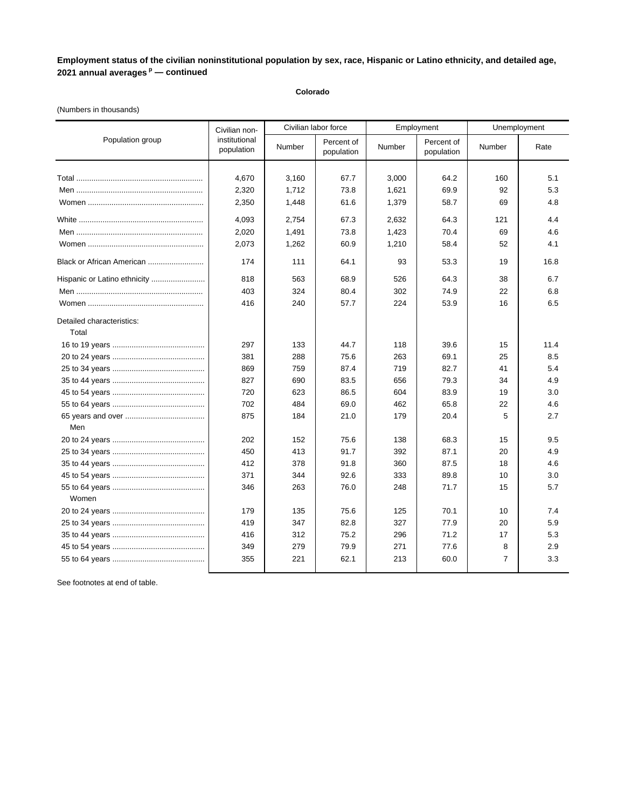### **Colorado**

### (Numbers in thousands)

|                                    | Civilian non-               |        | Civilian labor force     | Employment |                          | Unemployment   |      |
|------------------------------------|-----------------------------|--------|--------------------------|------------|--------------------------|----------------|------|
| Population group                   | institutional<br>population | Number | Percent of<br>population | Number     | Percent of<br>population | Number         | Rate |
|                                    |                             |        |                          |            |                          |                |      |
|                                    | 4,670                       | 3,160  | 67.7                     | 3,000      | 64.2                     | 160            | 5.1  |
|                                    | 2,320                       | 1,712  | 73.8                     | 1,621      | 69.9                     | 92             | 5.3  |
|                                    | 2,350                       | 1,448  | 61.6                     | 1,379      | 58.7                     | 69             | 4.8  |
|                                    | 4,093                       | 2,754  | 67.3                     | 2,632      | 64.3                     | 121            | 4.4  |
|                                    | 2,020                       | 1,491  | 73.8                     | 1,423      | 70.4                     | 69             | 4.6  |
|                                    | 2,073                       | 1,262  | 60.9                     | 1,210      | 58.4                     | 52             | 4.1  |
| Black or African American          | 174                         | 111    | 64.1                     | 93         | 53.3                     | 19             | 16.8 |
| Hispanic or Latino ethnicity       | 818                         | 563    | 68.9                     | 526        | 64.3                     | 38             | 6.7  |
|                                    | 403                         | 324    | 80.4                     | 302        | 74.9                     | 22             | 6.8  |
|                                    | 416                         | 240    | 57.7                     | 224        | 53.9                     | 16             | 6.5  |
| Detailed characteristics:<br>Total |                             |        |                          |            |                          |                |      |
|                                    | 297                         | 133    | 44.7                     | 118        | 39.6                     | 15             | 11.4 |
|                                    | 381                         | 288    | 75.6                     | 263        | 69.1                     | 25             | 8.5  |
|                                    | 869                         | 759    | 87.4                     | 719        | 82.7                     | 41             | 5.4  |
|                                    | 827                         | 690    | 83.5                     | 656        | 79.3                     | 34             | 4.9  |
|                                    | 720                         | 623    | 86.5                     | 604        | 83.9                     | 19             | 3.0  |
|                                    | 702                         | 484    | 69.0                     | 462        | 65.8                     | 22             | 4.6  |
|                                    | 875                         | 184    | 21.0                     | 179        | 20.4                     | 5              | 2.7  |
| Men                                |                             |        |                          |            |                          |                |      |
|                                    | 202                         | 152    | 75.6                     | 138        | 68.3                     | 15             | 9.5  |
|                                    | 450                         | 413    | 91.7                     | 392        | 87.1                     | 20             | 4.9  |
|                                    | 412                         | 378    | 91.8                     | 360        | 87.5                     | 18             | 4.6  |
|                                    | 371                         | 344    | 92.6                     | 333        | 89.8                     | 10             | 3.0  |
| Women                              | 346                         | 263    | 76.0                     | 248        | 71.7                     | 15             | 5.7  |
|                                    | 179                         | 135    | 75.6                     | 125        | 70.1                     | 10             | 7.4  |
|                                    | 419                         | 347    | 82.8                     | 327        | 77.9                     | 20             | 5.9  |
|                                    | 416                         | 312    | 75.2                     | 296        | 71.2                     | 17             | 5.3  |
|                                    | 349                         | 279    | 79.9                     | 271        | 77.6                     | 8              | 2.9  |
|                                    | 355                         | 221    | 62.1                     | 213        | 60.0                     | $\overline{7}$ | 3.3  |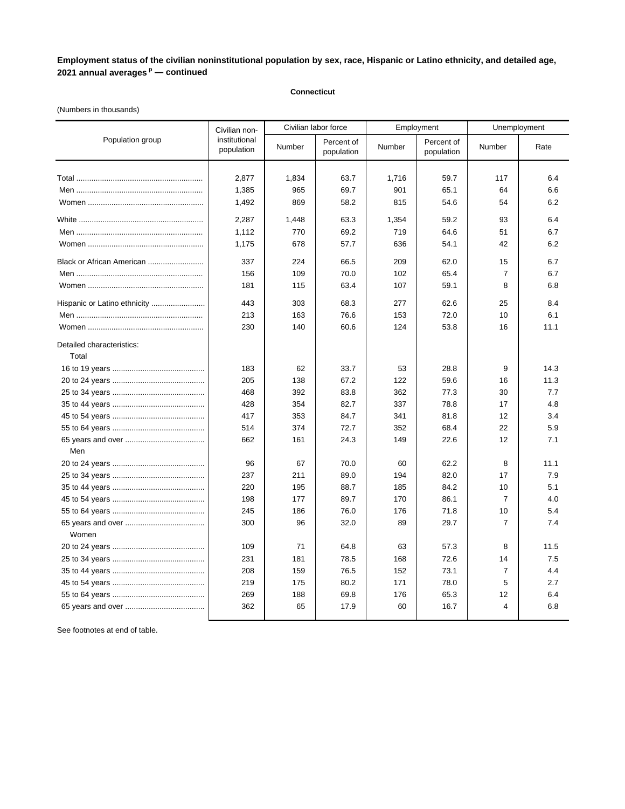### **Connecticut**

# (Numbers in thousands)

|                              | Civilian non-               |        | Civilian labor force     |        | Employment               | Unemployment   |      |
|------------------------------|-----------------------------|--------|--------------------------|--------|--------------------------|----------------|------|
| Population group             | institutional<br>population | Number | Percent of<br>population | Number | Percent of<br>population | Number         | Rate |
|                              |                             |        |                          |        |                          |                |      |
|                              | 2,877                       | 1,834  | 63.7                     | 1,716  | 59.7                     | 117            | 6.4  |
|                              | 1,385                       | 965    | 69.7                     | 901    | 65.1                     | 64             | 6.6  |
|                              | 1,492                       | 869    | 58.2                     | 815    | 54.6                     | 54             | 6.2  |
|                              | 2,287                       | 1,448  | 63.3                     | 1,354  | 59.2                     | 93             | 6.4  |
|                              | 1,112                       | 770    | 69.2                     | 719    | 64.6                     | 51             | 6.7  |
|                              | 1,175                       | 678    | 57.7                     | 636    | 54.1                     | 42             | 6.2  |
| Black or African American    | 337                         | 224    | 66.5                     | 209    | 62.0                     | 15             | 6.7  |
|                              | 156                         | 109    | 70.0                     | 102    | 65.4                     | $\overline{7}$ | 6.7  |
|                              | 181                         | 115    | 63.4                     | 107    | 59.1                     | 8              | 6.8  |
| Hispanic or Latino ethnicity | 443                         | 303    | 68.3                     | 277    | 62.6                     | 25             | 8.4  |
|                              | 213                         | 163    | 76.6                     | 153    | 72.0                     | 10             | 6.1  |
|                              | 230                         | 140    | 60.6                     | 124    | 53.8                     | 16             | 11.1 |
| Detailed characteristics:    |                             |        |                          |        |                          |                |      |
| Total                        |                             |        |                          |        |                          |                |      |
|                              | 183                         | 62     | 33.7                     | 53     | 28.8                     | 9              | 14.3 |
|                              | 205                         | 138    | 67.2                     | 122    | 59.6                     | 16             | 11.3 |
|                              | 468                         | 392    | 83.8                     | 362    | 77.3                     | 30             | 7.7  |
|                              | 428                         | 354    | 82.7                     | 337    | 78.8                     | 17             | 4.8  |
|                              | 417                         | 353    | 84.7                     | 341    | 81.8                     | 12             | 3.4  |
|                              | 514                         | 374    | 72.7                     | 352    | 68.4                     | 22             | 5.9  |
|                              | 662                         | 161    | 24.3                     | 149    | 22.6                     | 12             | 7.1  |
| Men                          |                             |        |                          |        |                          |                |      |
|                              | 96                          | 67     | 70.0                     | 60     | 62.2                     | 8              | 11.1 |
|                              | 237                         | 211    | 89.0                     | 194    | 82.0                     | 17             | 7.9  |
|                              | 220                         | 195    | 88.7                     | 185    | 84.2                     | 10             | 5.1  |
|                              | 198                         | 177    | 89.7                     | 170    | 86.1                     | $\overline{7}$ | 4.0  |
|                              | 245                         | 186    | 76.0                     | 176    | 71.8                     | 10             | 5.4  |
| Women                        | 300                         | 96     | 32.0                     | 89     | 29.7                     | $\overline{7}$ | 7.4  |
|                              | 109                         | 71     | 64.8                     | 63     | 57.3                     | 8              | 11.5 |
|                              | 231                         | 181    | 78.5                     | 168    | 72.6                     | 14             | 7.5  |
|                              | 208                         | 159    | 76.5                     | 152    | 73.1                     | $\overline{7}$ | 4.4  |
|                              | 219                         | 175    | 80.2                     | 171    | 78.0                     | 5              | 2.7  |
|                              | 269                         | 188    | 69.8                     | 176    | 65.3                     | 12             | 6.4  |
|                              | 362                         | 65     | 17.9                     | 60     | 16.7                     | $\overline{4}$ | 6.8  |
|                              |                             |        |                          |        |                          |                |      |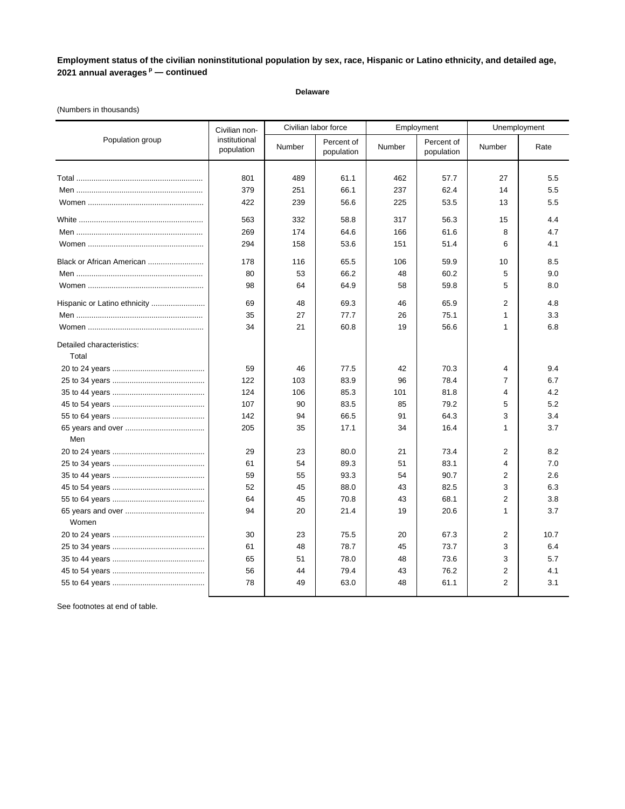#### **Delaware**

### (Numbers in thousands)

|                              | Civilian non-               |        | Civilian labor force     |        | Employment               | Unemployment   |      |
|------------------------------|-----------------------------|--------|--------------------------|--------|--------------------------|----------------|------|
| Population group             | institutional<br>population | Number | Percent of<br>population | Number | Percent of<br>population | Number         | Rate |
|                              |                             |        |                          |        |                          |                |      |
|                              | 801                         | 489    | 61.1                     | 462    | 57.7                     | 27             | 5.5  |
|                              | 379                         | 251    | 66.1                     | 237    | 62.4                     | 14             | 5.5  |
|                              | 422                         | 239    | 56.6                     | 225    | 53.5                     | 13             | 5.5  |
|                              | 563                         | 332    | 58.8                     | 317    | 56.3                     | 15             | 4.4  |
|                              | 269                         | 174    | 64.6                     | 166    | 61.6                     | 8              | 4.7  |
|                              | 294                         | 158    | 53.6                     | 151    | 51.4                     | 6              | 4.1  |
| Black or African American    | 178                         | 116    | 65.5                     | 106    | 59.9                     | 10             | 8.5  |
|                              | 80                          | 53     | 66.2                     | 48     | 60.2                     | 5              | 9.0  |
|                              | 98                          | 64     | 64.9                     | 58     | 59.8                     | 5              | 8.0  |
| Hispanic or Latino ethnicity | 69                          | 48     | 69.3                     | 46     | 65.9                     | $\overline{2}$ | 4.8  |
|                              | 35                          | 27     | 77.7                     | 26     | 75.1                     | $\mathbf{1}$   | 3.3  |
|                              | 34                          | 21     | 60.8                     | 19     | 56.6                     | $\mathbf{1}$   | 6.8  |
| Detailed characteristics:    |                             |        |                          |        |                          |                |      |
| Total                        |                             |        |                          |        |                          |                |      |
|                              | 59                          | 46     | 77.5                     | 42     | 70.3                     | $\overline{4}$ | 9.4  |
|                              | 122                         | 103    | 83.9                     | 96     | 78.4                     | $\overline{7}$ | 6.7  |
|                              | 124                         | 106    | 85.3                     | 101    | 81.8                     | 4              | 4.2  |
|                              | 107                         | 90     | 83.5                     | 85     | 79.2                     | 5              | 5.2  |
|                              | 142                         | 94     | 66.5                     | 91     | 64.3                     | 3              | 3.4  |
| Men                          | 205                         | 35     | 17.1                     | 34     | 16.4                     | $\mathbf{1}$   | 3.7  |
|                              | 29                          | 23     | 80.0                     | 21     | 73.4                     | $\overline{2}$ | 8.2  |
|                              | 61                          | 54     | 89.3                     | 51     | 83.1                     | 4              | 7.0  |
|                              | 59                          | 55     | 93.3                     | 54     | 90.7                     | $\overline{2}$ | 2.6  |
|                              | 52                          | 45     | 88.0                     | 43     | 82.5                     | 3              | 6.3  |
|                              | 64                          | 45     | 70.8                     | 43     | 68.1                     | $\overline{2}$ | 3.8  |
|                              | 94                          | 20     | 21.4                     | 19     | 20.6                     | $\mathbf{1}$   | 3.7  |
| Women                        |                             |        |                          |        |                          |                |      |
|                              | 30                          | 23     | 75.5                     | 20     | 67.3                     | $\overline{2}$ | 10.7 |
|                              | 61                          | 48     | 78.7                     | 45     | 73.7                     | 3              | 6.4  |
|                              | 65                          | 51     | 78.0                     | 48     | 73.6                     | 3              | 5.7  |
|                              | 56                          | 44     | 79.4                     | 43     | 76.2                     | $\overline{2}$ | 4.1  |
|                              | 78                          | 49     | 63.0                     | 48     | 61.1                     | $\overline{2}$ | 3.1  |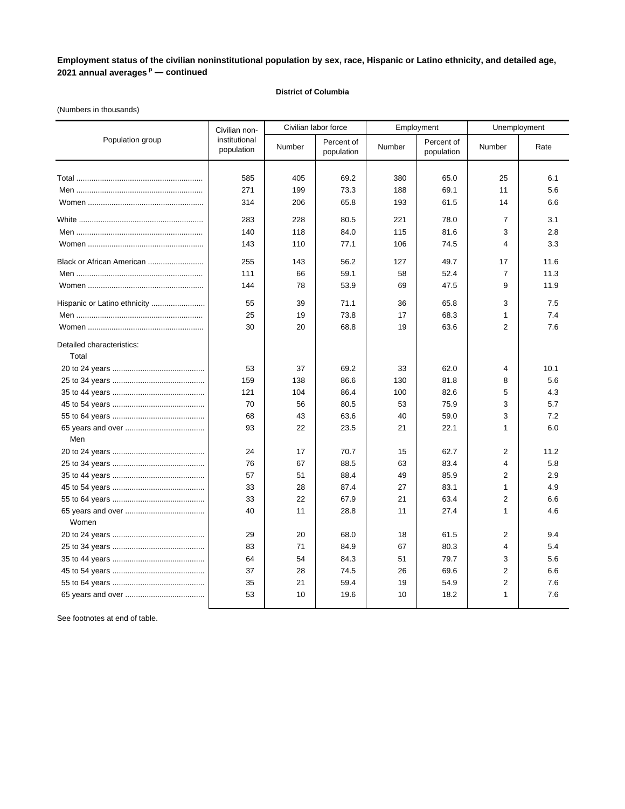### **District of Columbia**

### (Numbers in thousands)

|                                    | Civilian non-               |        | Civilian labor force     |        | Employment               | Unemployment   |      |
|------------------------------------|-----------------------------|--------|--------------------------|--------|--------------------------|----------------|------|
| Population group                   | institutional<br>population | Number | Percent of<br>population | Number | Percent of<br>population | Number         | Rate |
|                                    |                             |        |                          |        |                          |                |      |
|                                    | 585                         | 405    | 69.2                     | 380    | 65.0                     | 25             | 6.1  |
|                                    | 271                         | 199    | 73.3                     | 188    | 69.1                     | 11             | 5.6  |
|                                    | 314                         | 206    | 65.8                     | 193    | 61.5                     | 14             | 6.6  |
|                                    | 283                         | 228    | 80.5                     | 221    | 78.0                     | 7              | 3.1  |
|                                    | 140                         | 118    | 84.0                     | 115    | 81.6                     | 3              | 2.8  |
|                                    | 143                         | 110    | 77.1                     | 106    | 74.5                     | 4              | 3.3  |
| Black or African American          | 255                         | 143    | 56.2                     | 127    | 49.7                     | 17             | 11.6 |
|                                    | 111                         | 66     | 59.1                     | 58     | 52.4                     | $\overline{7}$ | 11.3 |
|                                    | 144                         | 78     | 53.9                     | 69     | 47.5                     | 9              | 11.9 |
| Hispanic or Latino ethnicity       | 55                          | 39     | 71.1                     | 36     | 65.8                     | 3              | 7.5  |
|                                    | 25                          | 19     | 73.8                     | 17     | 68.3                     | $\mathbf{1}$   | 7.4  |
|                                    | 30                          | 20     | 68.8                     | 19     | 63.6                     | $\overline{2}$ | 7.6  |
| Detailed characteristics:<br>Total |                             |        |                          |        |                          |                |      |
|                                    | 53                          | 37     | 69.2                     | 33     | 62.0                     | 4              | 10.1 |
|                                    | 159                         | 138    | 86.6                     | 130    | 81.8                     | 8              | 5.6  |
|                                    | 121                         | 104    | 86.4                     | 100    | 82.6                     | 5              | 4.3  |
|                                    | 70                          | 56     | 80.5                     | 53     | 75.9                     | 3              | 5.7  |
|                                    | 68                          | 43     | 63.6                     | 40     | 59.0                     | 3              | 7.2  |
|                                    | 93                          | 22     | 23.5                     | 21     | 22.1                     | 1              | 6.0  |
| Men                                |                             |        |                          |        |                          |                |      |
|                                    | 24                          | 17     | 70.7                     | 15     | 62.7                     | $\overline{2}$ | 11.2 |
|                                    | 76                          | 67     | 88.5                     | 63     | 83.4                     | $\overline{4}$ | 5.8  |
|                                    | 57                          | 51     | 88.4                     | 49     | 85.9                     | $\overline{2}$ | 2.9  |
|                                    | 33                          | 28     | 87.4                     | 27     | 83.1                     | $\mathbf{1}$   | 4.9  |
|                                    | 33                          | 22     | 67.9                     | 21     | 63.4                     | $\overline{2}$ | 6.6  |
| Women                              | 40                          | 11     | 28.8                     | 11     | 27.4                     | $\mathbf{1}$   | 4.6  |
|                                    | 29                          | 20     | 68.0                     | 18     | 61.5                     | 2              | 9.4  |
|                                    | 83                          | 71     | 84.9                     | 67     | 80.3                     | $\overline{4}$ | 5.4  |
|                                    | 64                          | 54     | 84.3                     | 51     | 79.7                     | 3              | 5.6  |
|                                    | 37                          | 28     | 74.5                     | 26     | 69.6                     | $\overline{2}$ | 6.6  |
|                                    | 35                          | 21     | 59.4                     | 19     | 54.9                     | $\overline{2}$ | 7.6  |
|                                    | 53                          | 10     | 19.6                     | 10     | 18.2                     | $\mathbf{1}$   | 7.6  |
|                                    |                             |        |                          |        |                          |                |      |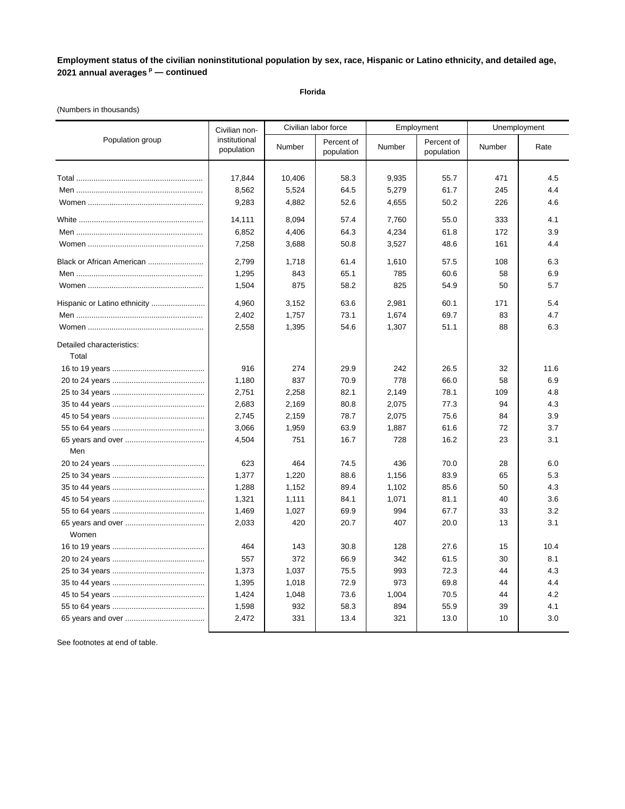**Florida**

### (Numbers in thousands)

|                                    | Civilian non-               |        | Civilian labor force     |            | Employment               | Unemployment |      |
|------------------------------------|-----------------------------|--------|--------------------------|------------|--------------------------|--------------|------|
| Population group                   | institutional<br>population | Number | Percent of<br>population | Number     | Percent of<br>population | Number       | Rate |
|                                    |                             |        |                          |            |                          |              |      |
|                                    | 17,844                      | 10,406 | 58.3                     | 9,935      | 55.7                     | 471          | 4.5  |
|                                    | 8,562                       | 5,524  | 64.5                     | 5,279      | 61.7                     | 245          | 4.4  |
|                                    | 9,283                       | 4,882  | 52.6                     | 4,655      | 50.2                     | 226          | 4.6  |
|                                    | 14,111                      | 8,094  | 57.4                     | 7,760      | 55.0                     | 333          | 4.1  |
|                                    | 6,852                       | 4,406  | 64.3                     | 4,234      | 61.8                     | 172          | 3.9  |
|                                    | 7,258                       | 3,688  | 50.8                     | 3,527      | 48.6                     | 161          | 4.4  |
| Black or African American          | 2,799                       | 1,718  | 61.4                     | 1,610      | 57.5                     | 108          | 6.3  |
|                                    | 1,295                       | 843    | 65.1                     | 785        | 60.6                     | 58           | 6.9  |
|                                    | 1,504                       | 875    | 58.2                     | 825        | 54.9                     | 50           | 5.7  |
|                                    | 4,960                       | 3,152  | 63.6                     | 2,981      | 60.1                     | 171          | 5.4  |
|                                    | 2,402                       | 1,757  | 73.1                     | 1,674      | 69.7                     | 83           | 4.7  |
|                                    | 2,558                       | 1,395  | 54.6                     | 1,307      | 51.1                     | 88           | 6.3  |
| Detailed characteristics:<br>Total |                             |        |                          |            |                          |              |      |
|                                    | 916                         | 274    | 29.9                     | 242        | 26.5                     | 32           | 11.6 |
|                                    | 1,180                       | 837    | 70.9                     | 778        | 66.0                     | 58           | 6.9  |
|                                    | 2,751                       | 2,258  | 82.1                     | 2,149      | 78.1                     | 109          | 4.8  |
|                                    | 2,683                       | 2,169  | 80.8                     | 2,075      | 77.3                     | 94           | 4.3  |
|                                    | 2,745                       | 2,159  | 78.7                     | 2,075      | 75.6                     | 84           | 3.9  |
|                                    | 3,066                       | 1,959  | 63.9                     | 1,887      | 61.6                     | 72           | 3.7  |
|                                    | 4,504                       | 751    | 16.7                     | 728        | 16.2                     | 23           | 3.1  |
| Men                                |                             |        |                          |            |                          |              |      |
|                                    | 623                         | 464    | 74.5                     | 436        | 70.0                     | 28           | 6.0  |
|                                    | 1,377                       | 1,220  | 88.6                     | 1,156      | 83.9                     | 65           | 5.3  |
|                                    | 1,288                       | 1,152  | 89.4                     | 1,102      | 85.6                     | 50           | 4.3  |
|                                    | 1,321                       | 1,111  | 84.1                     | 1,071      | 81.1                     | 40           | 3.6  |
|                                    | 1,469                       | 1,027  | 69.9                     | 994        | 67.7                     | 33           | 3.2  |
| Women                              | 2,033                       | 420    | 20.7                     | 407        | 20.0                     | 13           | 3.1  |
|                                    |                             |        |                          |            |                          |              |      |
|                                    | 464                         | 143    | 30.8                     | 128        | 27.6                     | 15           | 10.4 |
|                                    | 557                         | 372    | 66.9                     | 342<br>993 | 61.5                     | 30           | 8.1  |
|                                    | 1,373                       | 1,037  | 75.5                     |            | 72.3                     | 44           | 4.3  |
|                                    | 1,395                       | 1,018  | 72.9                     | 973        | 69.8                     | 44           | 4.4  |
|                                    | 1,424                       | 1,048  | 73.6                     | 1,004      | 70.5                     | 44           | 4.2  |
|                                    | 1,598                       | 932    | 58.3                     | 894        | 55.9                     | 39           | 4.1  |
|                                    | 2,472                       | 331    | 13.4                     | 321        | 13.0                     | 10           | 3.0  |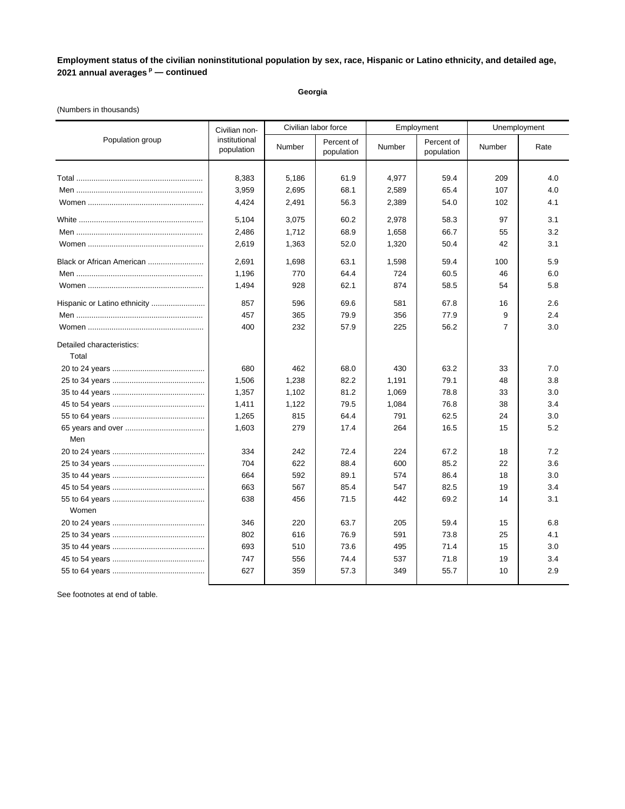**Georgia**

### (Numbers in thousands)

| institutional<br>Population group<br>Percent of<br>Percent of<br>Number<br>Number<br><b>Number</b><br>Rate<br>population<br>population<br>population<br>8,383<br>5,186<br>61.9<br>4,977<br>59.4<br>209<br>4.0<br>3,959<br>68.1<br>2,589<br>65.4<br>107<br>4.0<br>2,695<br>56.3<br>4,424<br>2,491<br>2,389<br>54.0<br>102<br>4.1<br>60.2<br>5,104<br>3,075<br>2,978<br>58.3<br>97<br>3.1<br>2,486<br>1,712<br>68.9<br>1,658<br>66.7<br>3.2<br>55<br>2,619<br>1,363<br>52.0<br>1,320<br>50.4<br>42<br>3.1<br>2,691<br>1,698<br>63.1<br>1,598<br>59.4<br>5.9<br>Black or African American<br>100 | Unemployment |  |
|-----------------------------------------------------------------------------------------------------------------------------------------------------------------------------------------------------------------------------------------------------------------------------------------------------------------------------------------------------------------------------------------------------------------------------------------------------------------------------------------------------------------------------------------------------------------------------------------------|--------------|--|
|                                                                                                                                                                                                                                                                                                                                                                                                                                                                                                                                                                                               |              |  |
|                                                                                                                                                                                                                                                                                                                                                                                                                                                                                                                                                                                               |              |  |
|                                                                                                                                                                                                                                                                                                                                                                                                                                                                                                                                                                                               |              |  |
|                                                                                                                                                                                                                                                                                                                                                                                                                                                                                                                                                                                               |              |  |
|                                                                                                                                                                                                                                                                                                                                                                                                                                                                                                                                                                                               |              |  |
|                                                                                                                                                                                                                                                                                                                                                                                                                                                                                                                                                                                               |              |  |
|                                                                                                                                                                                                                                                                                                                                                                                                                                                                                                                                                                                               |              |  |
|                                                                                                                                                                                                                                                                                                                                                                                                                                                                                                                                                                                               |              |  |
|                                                                                                                                                                                                                                                                                                                                                                                                                                                                                                                                                                                               |              |  |
| 770<br>64.4<br>724<br>6.0<br>1,196<br>60.5<br>46                                                                                                                                                                                                                                                                                                                                                                                                                                                                                                                                              |              |  |
| 1,494<br>928<br>62.1<br>874<br>58.5<br>5.8<br>54                                                                                                                                                                                                                                                                                                                                                                                                                                                                                                                                              |              |  |
| Hispanic or Latino ethnicity<br>857<br>596<br>69.6<br>581<br>67.8<br>2.6<br>16                                                                                                                                                                                                                                                                                                                                                                                                                                                                                                                |              |  |
| 457<br>365<br>79.9<br>356<br>77.9<br>9<br>2.4                                                                                                                                                                                                                                                                                                                                                                                                                                                                                                                                                 |              |  |
| 400<br>232<br>$\overline{7}$<br>3.0<br>57.9<br>225<br>56.2                                                                                                                                                                                                                                                                                                                                                                                                                                                                                                                                    |              |  |
| Detailed characteristics:                                                                                                                                                                                                                                                                                                                                                                                                                                                                                                                                                                     |              |  |
| Total                                                                                                                                                                                                                                                                                                                                                                                                                                                                                                                                                                                         |              |  |
| 680<br>462<br>68.0<br>430<br>63.2<br>33<br>7.0                                                                                                                                                                                                                                                                                                                                                                                                                                                                                                                                                |              |  |
| 1,506<br>1,238<br>82.2<br>1,191<br>79.1<br>48<br>3.8                                                                                                                                                                                                                                                                                                                                                                                                                                                                                                                                          |              |  |
| 81.2<br>1,069<br>1,357<br>1,102<br>78.8<br>33<br>3.0                                                                                                                                                                                                                                                                                                                                                                                                                                                                                                                                          |              |  |
| 79.5<br>1,411<br>1,122<br>1,084<br>76.8<br>38<br>3.4                                                                                                                                                                                                                                                                                                                                                                                                                                                                                                                                          |              |  |
| 815<br>62.5<br>1,265<br>64.4<br>791<br>24<br>3.0                                                                                                                                                                                                                                                                                                                                                                                                                                                                                                                                              |              |  |
| 1,603<br>279<br>17.4<br>264<br>5.2<br>16.5<br>15                                                                                                                                                                                                                                                                                                                                                                                                                                                                                                                                              |              |  |
| Men                                                                                                                                                                                                                                                                                                                                                                                                                                                                                                                                                                                           |              |  |
| 334<br>242<br>72.4<br>224<br>67.2<br>7.2<br>18                                                                                                                                                                                                                                                                                                                                                                                                                                                                                                                                                |              |  |
| 704<br>622<br>88.4<br>600<br>85.2<br>22<br>3.6                                                                                                                                                                                                                                                                                                                                                                                                                                                                                                                                                |              |  |
| 592<br>89.1<br>86.4<br>664<br>574<br>18<br>3.0                                                                                                                                                                                                                                                                                                                                                                                                                                                                                                                                                |              |  |
| 663<br>567<br>85.4<br>82.5<br>3.4<br>547<br>19                                                                                                                                                                                                                                                                                                                                                                                                                                                                                                                                                |              |  |
| 638<br>456<br>71.5<br>442<br>69.2<br>14<br>3.1<br>Women                                                                                                                                                                                                                                                                                                                                                                                                                                                                                                                                       |              |  |
| 220<br>63.7<br>205<br>6.8<br>346<br>59.4<br>15                                                                                                                                                                                                                                                                                                                                                                                                                                                                                                                                                |              |  |
| 802<br>616<br>76.9<br>591<br>73.8<br>25<br>4.1                                                                                                                                                                                                                                                                                                                                                                                                                                                                                                                                                |              |  |
| 693<br>510<br>73.6<br>71.4<br>495<br>15<br>3.0                                                                                                                                                                                                                                                                                                                                                                                                                                                                                                                                                |              |  |
| 747<br>556<br>74.4<br>537<br>71.8<br>19<br>3.4                                                                                                                                                                                                                                                                                                                                                                                                                                                                                                                                                |              |  |
| 627<br>359<br>57.3<br>2.9<br>349<br>55.7<br>10                                                                                                                                                                                                                                                                                                                                                                                                                                                                                                                                                |              |  |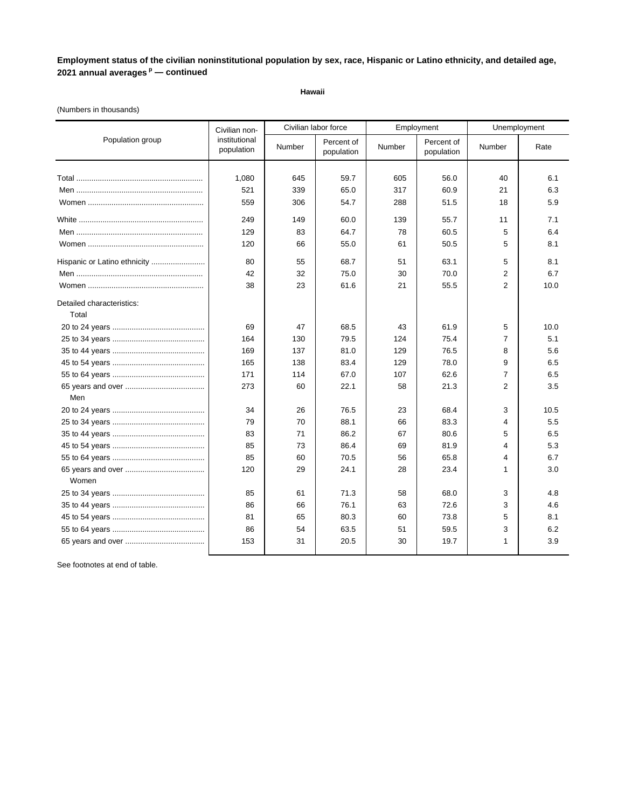**Hawaii**

### (Numbers in thousands)

|                              | Civilian non-               |        | Civilian labor force     |        | Employment               | Unemployment   |      |
|------------------------------|-----------------------------|--------|--------------------------|--------|--------------------------|----------------|------|
| Population group             | institutional<br>population | Number | Percent of<br>population | Number | Percent of<br>population | Number         | Rate |
|                              |                             |        |                          |        |                          |                |      |
|                              | 1,080                       | 645    | 59.7                     | 605    | 56.0                     | 40             | 6.1  |
|                              | 521                         | 339    | 65.0                     | 317    | 60.9                     | 21             | 6.3  |
|                              | 559                         | 306    | 54.7                     | 288    | 51.5                     | 18             | 5.9  |
|                              | 249                         | 149    | 60.0                     | 139    | 55.7                     | 11             | 7.1  |
|                              | 129                         | 83     | 64.7                     | 78     | 60.5                     | 5              | 6.4  |
|                              | 120                         | 66     | 55.0                     | 61     | 50.5                     | 5              | 8.1  |
| Hispanic or Latino ethnicity | 80                          | 55     | 68.7                     | 51     | 63.1                     | 5              | 8.1  |
|                              | 42                          | 32     | 75.0                     | 30     | 70.0                     | 2              | 6.7  |
|                              | 38                          | 23     | 61.6                     | 21     | 55.5                     | 2              | 10.0 |
| Detailed characteristics:    |                             |        |                          |        |                          |                |      |
| Total                        |                             |        |                          |        |                          |                |      |
|                              | 69                          | 47     | 68.5                     | 43     | 61.9                     | 5              | 10.0 |
|                              | 164                         | 130    | 79.5                     | 124    | 75.4                     | $\overline{7}$ | 5.1  |
|                              | 169                         | 137    | 81.0                     | 129    | 76.5                     | 8              | 5.6  |
|                              | 165                         | 138    | 83.4                     | 129    | 78.0                     | 9              | 6.5  |
|                              | 171                         | 114    | 67.0                     | 107    | 62.6                     | $\overline{7}$ | 6.5  |
|                              | 273                         | 60     | 22.1                     | 58     | 21.3                     | $\overline{2}$ | 3.5  |
| Men                          |                             |        |                          |        |                          |                |      |
|                              | 34                          | 26     | 76.5                     | 23     | 68.4                     | 3              | 10.5 |
|                              | 79                          | 70     | 88.1                     | 66     | 83.3                     | 4              | 5.5  |
|                              | 83                          | 71     | 86.2                     | 67     | 80.6                     | 5              | 6.5  |
|                              | 85                          | 73     | 86.4                     | 69     | 81.9                     | 4              | 5.3  |
|                              | 85                          | 60     | 70.5                     | 56     | 65.8                     | 4              | 6.7  |
|                              | 120                         | 29     | 24.1                     | 28     | 23.4                     | $\mathbf{1}$   | 3.0  |
| Women                        |                             |        |                          |        |                          |                |      |
|                              | 85                          | 61     | 71.3                     | 58     | 68.0                     | 3              | 4.8  |
|                              | 86                          | 66     | 76.1                     | 63     | 72.6                     | 3              | 4.6  |
|                              | 81                          | 65     | 80.3                     | 60     | 73.8                     | 5              | 8.1  |
|                              | 86                          | 54     | 63.5                     | 51     | 59.5                     | 3              | 6.2  |
|                              | 153                         | 31     | 20.5                     | 30     | 19.7                     | 1              | 3.9  |
|                              |                             |        |                          |        |                          |                |      |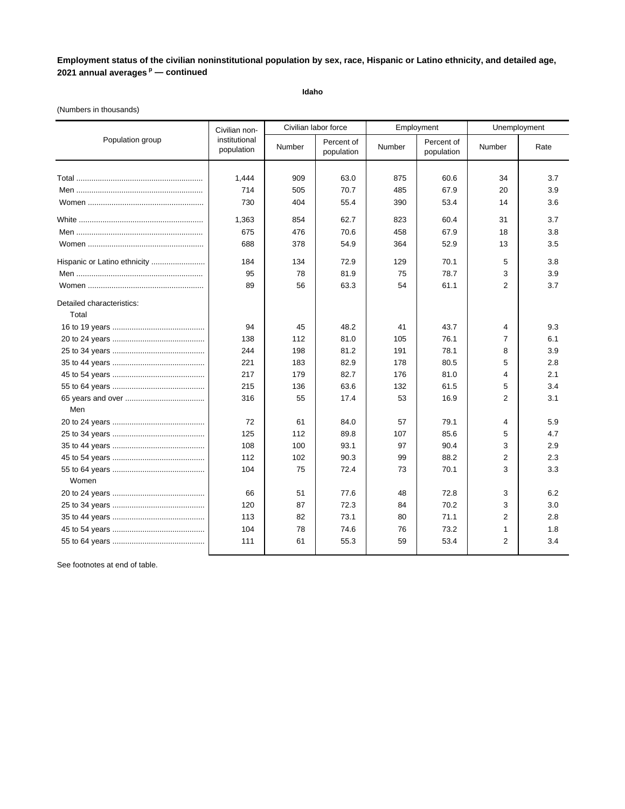**Idaho**

### (Numbers in thousands)

|                              | Civilian non-               | Civilian labor force |                          |        | Employment               | Unemployment   |      |
|------------------------------|-----------------------------|----------------------|--------------------------|--------|--------------------------|----------------|------|
| Population group             | institutional<br>population | Number               | Percent of<br>population | Number | Percent of<br>population | Number         | Rate |
|                              |                             |                      |                          |        |                          |                |      |
|                              | 1,444                       | 909                  | 63.0                     | 875    | 60.6                     | 34             | 3.7  |
|                              | 714                         | 505                  | 70.7                     | 485    | 67.9                     | 20             | 3.9  |
|                              | 730                         | 404                  | 55.4                     | 390    | 53.4                     | 14             | 3.6  |
|                              | 1,363                       | 854                  | 62.7                     | 823    | 60.4                     | 31             | 3.7  |
|                              | 675                         | 476                  | 70.6                     | 458    | 67.9                     | 18             | 3.8  |
|                              | 688                         | 378                  | 54.9                     | 364    | 52.9                     | 13             | 3.5  |
| Hispanic or Latino ethnicity | 184                         | 134                  | 72.9                     | 129    | 70.1                     | 5              | 3.8  |
|                              | 95                          | 78                   | 81.9                     | 75     | 78.7                     | 3              | 3.9  |
|                              | 89                          | 56                   | 63.3                     | 54     | 61.1                     | $\overline{2}$ | 3.7  |
| Detailed characteristics:    |                             |                      |                          |        |                          |                |      |
| Total                        |                             |                      |                          |        |                          |                |      |
|                              | 94                          | 45                   | 48.2                     | 41     | 43.7                     | 4              | 9.3  |
|                              | 138                         | 112                  | 81.0                     | 105    | 76.1                     | $\overline{7}$ | 6.1  |
|                              | 244                         | 198                  | 81.2                     | 191    | 78.1                     | 8              | 3.9  |
|                              | 221                         | 183                  | 82.9                     | 178    | 80.5                     | 5              | 2.8  |
|                              | 217                         | 179                  | 82.7                     | 176    | 81.0                     | 4              | 2.1  |
|                              | 215                         | 136                  | 63.6                     | 132    | 61.5                     | 5              | 3.4  |
|                              | 316                         | 55                   | 17.4                     | 53     | 16.9                     | $\overline{2}$ | 3.1  |
| Men                          |                             |                      |                          |        |                          |                |      |
|                              | 72                          | 61                   | 84.0                     | 57     | 79.1                     | 4              | 5.9  |
|                              | 125                         | 112                  | 89.8                     | 107    | 85.6                     | 5              | 4.7  |
|                              | 108                         | 100                  | 93.1                     | 97     | 90.4                     | 3              | 2.9  |
|                              | 112                         | 102                  | 90.3                     | 99     | 88.2                     | $\overline{2}$ | 2.3  |
|                              | 104                         | 75                   | 72.4                     | 73     | 70.1                     | 3              | 3.3  |
| Women                        |                             |                      |                          |        |                          |                |      |
|                              | 66                          | 51                   | 77.6                     | 48     | 72.8                     | 3              | 6.2  |
|                              | 120                         | 87                   | 72.3                     | 84     | 70.2                     | 3              | 3.0  |
|                              | 113                         | 82                   | 73.1                     | 80     | 71.1                     | 2              | 2.8  |
|                              | 104                         | 78                   | 74.6                     | 76     | 73.2                     | 1              | 1.8  |
|                              | 111                         | 61                   | 55.3                     | 59     | 53.4                     | 2              | 3.4  |
|                              |                             |                      |                          |        |                          |                |      |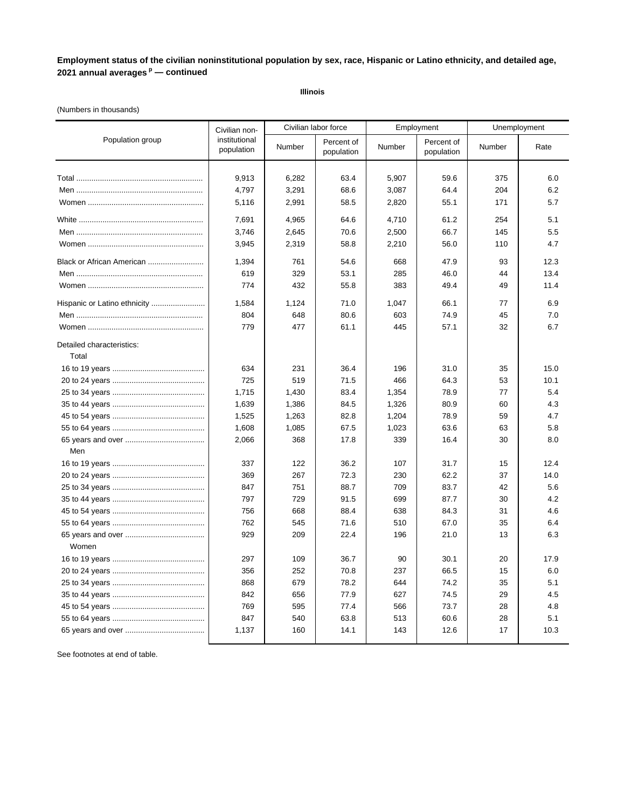**Illinois**

### (Numbers in thousands)

|                                    | Civilian non-               | Civilian labor force |                          |        | Employment               |        | Unemployment |  |
|------------------------------------|-----------------------------|----------------------|--------------------------|--------|--------------------------|--------|--------------|--|
| Population group                   | institutional<br>population | Number               | Percent of<br>population | Number | Percent of<br>population | Number | Rate         |  |
|                                    | 9,913                       | 6,282                | 63.4                     | 5,907  | 59.6                     | 375    | 6.0          |  |
|                                    | 4,797                       | 3,291                | 68.6                     | 3,087  | 64.4                     | 204    | 6.2          |  |
|                                    | 5,116                       | 2,991                | 58.5                     | 2,820  | 55.1                     | 171    | 5.7          |  |
|                                    | 7,691                       | 4,965                | 64.6                     | 4,710  | 61.2                     | 254    | 5.1          |  |
|                                    | 3,746                       | 2,645                | 70.6                     | 2,500  | 66.7                     | 145    | 5.5          |  |
|                                    | 3,945                       | 2,319                | 58.8                     | 2,210  | 56.0                     | 110    | 4.7          |  |
| Black or African American          | 1,394                       | 761                  | 54.6                     | 668    | 47.9                     | 93     | 12.3         |  |
|                                    | 619                         | 329                  | 53.1                     | 285    | 46.0                     | 44     | 13.4         |  |
|                                    | 774                         | 432                  | 55.8                     | 383    | 49.4                     | 49     | 11.4         |  |
| Hispanic or Latino ethnicity       | 1,584                       | 1,124                | 71.0                     | 1,047  | 66.1                     | 77     | 6.9          |  |
|                                    | 804                         | 648                  | 80.6                     | 603    | 74.9                     | 45     | 7.0          |  |
|                                    | 779                         | 477                  | 61.1                     | 445    | 57.1                     | 32     | 6.7          |  |
| Detailed characteristics:<br>Total |                             |                      |                          |        |                          |        |              |  |
|                                    | 634                         | 231                  | 36.4                     | 196    | 31.0                     | 35     | 15.0         |  |
|                                    | 725                         | 519                  | 71.5                     | 466    | 64.3                     | 53     | 10.1         |  |
|                                    | 1,715                       | 1,430                | 83.4                     | 1,354  | 78.9                     | 77     | 5.4          |  |
|                                    | 1,639                       | 1,386                | 84.5                     | 1,326  | 80.9                     | 60     | 4.3          |  |
|                                    | 1,525                       | 1,263                | 82.8                     | 1,204  | 78.9                     | 59     | 4.7          |  |
|                                    | 1,608                       | 1,085                | 67.5                     | 1,023  | 63.6                     | 63     | 5.8          |  |
|                                    | 2,066                       | 368                  | 17.8                     | 339    | 16.4                     | 30     | 8.0          |  |
| Men                                |                             |                      |                          |        |                          |        |              |  |
|                                    | 337                         | 122                  | 36.2                     | 107    | 31.7                     | 15     | 12.4         |  |
|                                    | 369                         | 267                  | 72.3                     | 230    | 62.2                     | 37     | 14.0         |  |
|                                    | 847                         | 751                  | 88.7                     | 709    | 83.7                     | 42     | 5.6          |  |
|                                    | 797                         | 729                  | 91.5                     | 699    | 87.7                     | 30     | 4.2          |  |
|                                    | 756                         | 668                  | 88.4                     | 638    | 84.3                     | 31     | 4.6          |  |
|                                    | 762                         | 545                  | 71.6                     | 510    | 67.0                     | 35     | 6.4          |  |
| Women                              | 929                         | 209                  | 22.4                     | 196    | 21.0                     | 13     | 6.3          |  |
|                                    | 297                         | 109                  | 36.7                     | 90     | 30.1                     | 20     | 17.9         |  |
|                                    | 356                         | 252                  | 70.8                     | 237    | 66.5                     | 15     | 6.0          |  |
|                                    | 868                         | 679                  | 78.2                     | 644    | 74.2                     | 35     | 5.1          |  |
|                                    | 842                         | 656                  | 77.9                     | 627    | 74.5                     | 29     | 4.5          |  |
|                                    | 769                         | 595                  | 77.4                     | 566    | 73.7                     | 28     | 4.8          |  |
|                                    | 847                         | 540                  | 63.8                     | 513    | 60.6                     | 28     | 5.1          |  |
|                                    | 1,137                       | 160                  | 14.1                     | 143    | 12.6                     | 17     | 10.3         |  |
|                                    |                             |                      |                          |        |                          |        |              |  |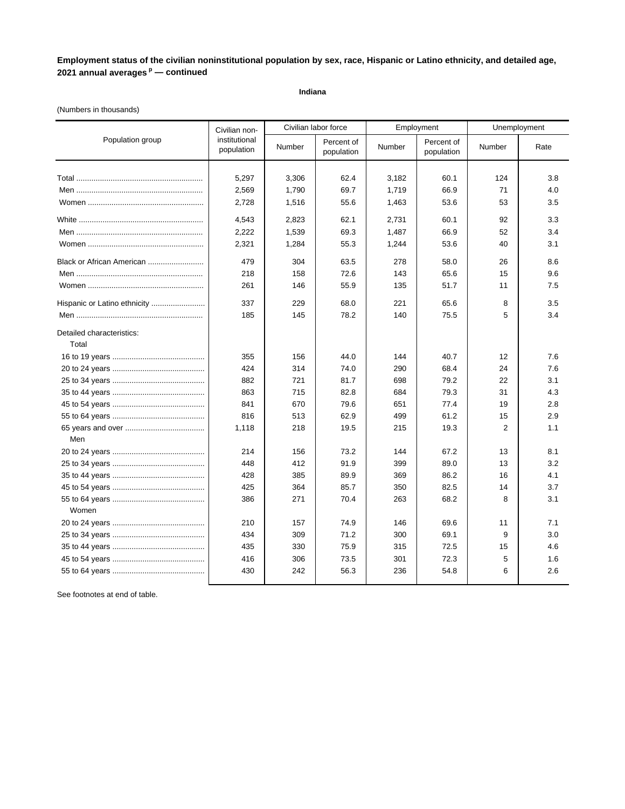**Indiana**

### (Numbers in thousands)

|                                    | Civilian non-               | Civilian labor force |                          | Employment |                          | Unemployment   |      |
|------------------------------------|-----------------------------|----------------------|--------------------------|------------|--------------------------|----------------|------|
| Population group                   | institutional<br>population | Number               | Percent of<br>population | Number     | Percent of<br>population | Number         | Rate |
|                                    |                             |                      |                          |            |                          |                |      |
|                                    | 5,297                       | 3,306                | 62.4                     | 3,182      | 60.1                     | 124            | 3.8  |
|                                    | 2,569                       | 1,790                | 69.7                     | 1,719      | 66.9                     | 71             | 4.0  |
|                                    | 2,728                       | 1,516                | 55.6                     | 1,463      | 53.6                     | 53             | 3.5  |
|                                    | 4,543                       | 2,823                | 62.1                     | 2,731      | 60.1                     | 92             | 3.3  |
|                                    | 2,222                       | 1,539                | 69.3                     | 1,487      | 66.9                     | 52             | 3.4  |
|                                    | 2,321                       | 1,284                | 55.3                     | 1,244      | 53.6                     | 40             | 3.1  |
| Black or African American          | 479                         | 304                  | 63.5                     | 278        | 58.0                     | 26             | 8.6  |
|                                    | 218                         | 158                  | 72.6                     | 143        | 65.6                     | 15             | 9.6  |
|                                    | 261                         | 146                  | 55.9                     | 135        | 51.7                     | 11             | 7.5  |
| Hispanic or Latino ethnicity       | 337                         | 229                  | 68.0                     | 221        | 65.6                     | 8              | 3.5  |
|                                    | 185                         | 145                  | 78.2                     | 140        | 75.5                     | 5              | 3.4  |
| Detailed characteristics:<br>Total |                             |                      |                          |            |                          |                |      |
|                                    | 355                         | 156                  | 44.0                     | 144        | 40.7                     | 12             | 7.6  |
|                                    | 424                         | 314                  | 74.0                     | 290        | 68.4                     | 24             | 7.6  |
|                                    | 882                         | 721                  | 81.7                     | 698        | 79.2                     | 22             | 3.1  |
|                                    | 863                         | 715                  | 82.8                     | 684        | 79.3                     | 31             | 4.3  |
|                                    | 841                         | 670                  | 79.6                     | 651        | 77.4                     | 19             | 2.8  |
|                                    | 816                         | 513                  | 62.9                     | 499        | 61.2                     | 15             | 2.9  |
|                                    | 1,118                       | 218                  | 19.5                     | 215        | 19.3                     | $\overline{2}$ | 1.1  |
| Men                                |                             |                      |                          |            |                          |                |      |
|                                    | 214                         | 156                  | 73.2                     | 144        | 67.2                     | 13             | 8.1  |
|                                    | 448                         | 412                  | 91.9                     | 399        | 89.0                     | 13             | 3.2  |
|                                    | 428                         | 385                  | 89.9                     | 369        | 86.2                     | 16             | 4.1  |
|                                    | 425                         | 364                  | 85.7                     | 350        | 82.5                     | 14             | 3.7  |
| Women                              | 386                         | 271                  | 70.4                     | 263        | 68.2                     | 8              | 3.1  |
|                                    | 210                         | 157                  | 74.9                     | 146        | 69.6                     | 11             | 7.1  |
|                                    | 434                         | 309                  | 71.2                     | 300        | 69.1                     | 9              | 3.0  |
|                                    | 435                         | 330                  | 75.9                     | 315        | 72.5                     | 15             | 4.6  |
|                                    | 416                         | 306                  | 73.5                     | 301        | 72.3                     | 5              | 1.6  |
|                                    | 430                         | 242                  | 56.3                     | 236        | 54.8                     | 6              | 2.6  |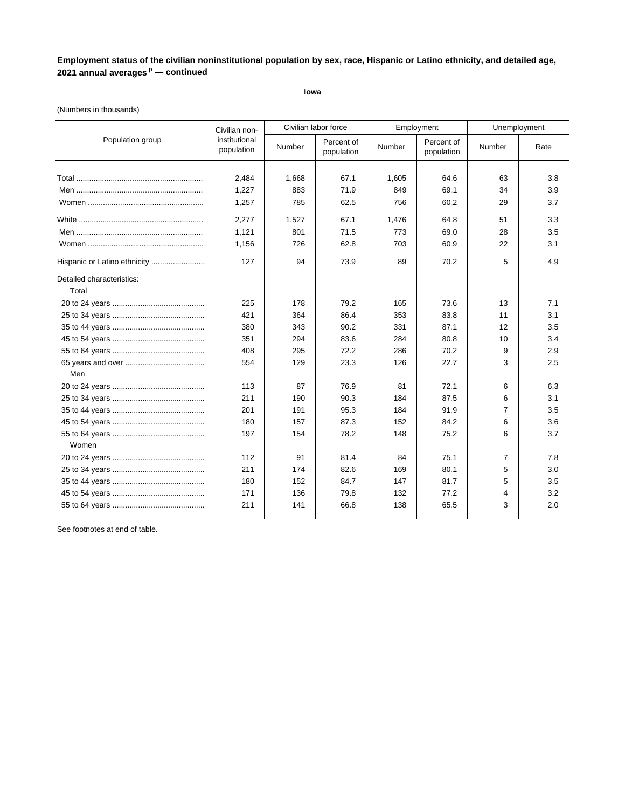**Iowa**

### (Numbers in thousands)

|                                    | Civilian non-               |        | Civilian labor force     |        | Employment               | Unemployment |      |
|------------------------------------|-----------------------------|--------|--------------------------|--------|--------------------------|--------------|------|
| Population group                   | institutional<br>population | Number | Percent of<br>population | Number | Percent of<br>population | Number       | Rate |
|                                    |                             |        |                          |        |                          |              |      |
|                                    | 2,484                       | 1,668  | 67.1                     | 1,605  | 64.6                     | 63           | 3.8  |
|                                    | 1,227                       | 883    | 71.9                     | 849    | 69.1                     | 34           | 3.9  |
|                                    | 1,257                       | 785    | 62.5                     | 756    | 60.2                     | 29           | 3.7  |
|                                    | 2,277                       | 1,527  | 67.1                     | 1,476  | 64.8                     | 51           | 3.3  |
|                                    | 1,121                       | 801    | 71.5                     | 773    | 69.0                     | 28           | 3.5  |
|                                    | 1,156                       | 726    | 62.8                     | 703    | 60.9                     | 22           | 3.1  |
| Hispanic or Latino ethnicity       | 127                         | 94     | 73.9                     | 89     | 70.2                     | 5            | 4.9  |
| Detailed characteristics:<br>Total |                             |        |                          |        |                          |              |      |
|                                    | 225                         | 178    | 79.2                     | 165    | 73.6                     | 13           | 7.1  |
|                                    | 421                         | 364    | 86.4                     | 353    | 83.8                     | 11           | 3.1  |
|                                    | 380                         | 343    | 90.2                     | 331    | 87.1                     | 12           | 3.5  |
|                                    | 351                         | 294    | 83.6                     | 284    | 80.8                     | 10           | 3.4  |
|                                    | 408                         | 295    | 72.2                     | 286    | 70.2                     | 9            | 2.9  |
|                                    | 554                         | 129    | 23.3                     | 126    | 22.7                     | 3            | 2.5  |
| Men                                |                             |        |                          |        |                          |              |      |
|                                    | 113                         | 87     | 76.9                     | 81     | 72.1                     | 6            | 6.3  |
|                                    | 211                         | 190    | 90.3                     | 184    | 87.5                     | 6            | 3.1  |
|                                    | 201                         | 191    | 95.3                     | 184    | 91.9                     | 7            | 3.5  |
|                                    | 180                         | 157    | 87.3                     | 152    | 84.2                     | 6            | 3.6  |
|                                    | 197                         | 154    | 78.2                     | 148    | 75.2                     | 6            | 3.7  |
| Women                              |                             |        |                          |        |                          |              |      |
|                                    | 112                         | 91     | 81.4                     | 84     | 75.1                     | 7            | 7.8  |
|                                    | 211                         | 174    | 82.6                     | 169    | 80.1                     | 5            | 3.0  |
|                                    | 180                         | 152    | 84.7                     | 147    | 81.7                     | 5            | 3.5  |
|                                    | 171                         | 136    | 79.8                     | 132    | 77.2                     | 4            | 3.2  |
|                                    | 211                         | 141    | 66.8                     | 138    | 65.5                     | 3            | 2.0  |
|                                    |                             |        |                          |        |                          |              |      |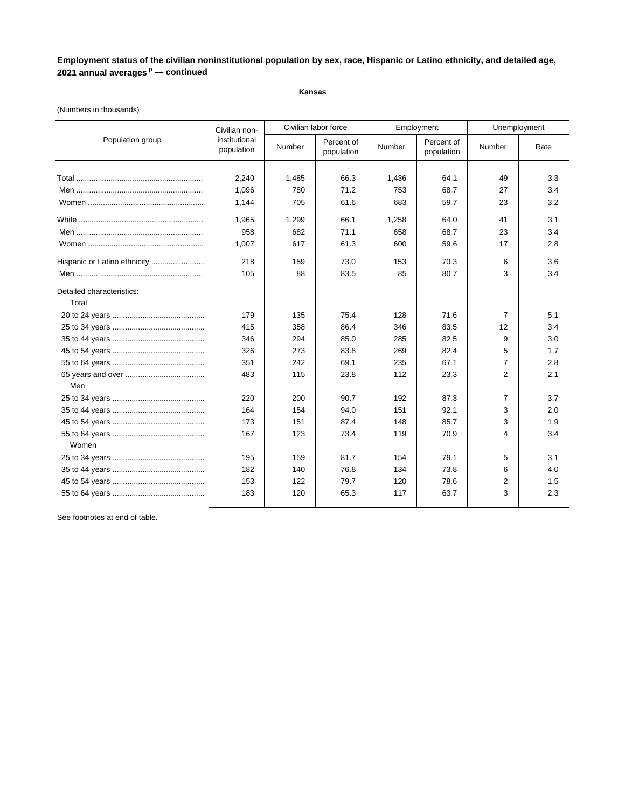### **Kansas**

### (Numbers in thousands)

|                              | Civilian non-               |        | Civilian labor force     | Employment |                          |                | Unemployment |
|------------------------------|-----------------------------|--------|--------------------------|------------|--------------------------|----------------|--------------|
| Population group             | institutional<br>population | Number | Percent of<br>population | Number     | Percent of<br>population | Number         | Rate         |
|                              |                             |        |                          |            |                          |                |              |
|                              | 2,240                       | 1,485  | 66.3                     | 1,436      | 64.1                     | 49             | 3.3          |
|                              | 1.096                       | 780    | 71.2                     | 753        | 68.7                     | 27             | 3.4          |
|                              | 1,144                       | 705    | 61.6                     | 683        | 59.7                     | 23             | 3.2          |
|                              | 1,965                       | 1,299  | 66.1                     | 1,258      | 64.0                     | 41             | 3.1          |
|                              | 958                         | 682    | 71.1                     | 658        | 68.7                     | 23             | 3.4          |
|                              | 1,007                       | 617    | 61.3                     | 600        | 59.6                     | 17             | 2.8          |
| Hispanic or Latino ethnicity | 218                         | 159    | 73.0                     | 153        | 70.3                     | 6              | 3.6          |
|                              | 105                         | 88     | 83.5                     | 85         | 80.7                     | 3              | 3.4          |
| Detailed characteristics:    |                             |        |                          |            |                          |                |              |
| Total                        |                             |        |                          |            |                          |                |              |
|                              | 179                         | 135    | 75.4                     | 128        | 71.6                     | 7              | 5.1          |
|                              | 415                         | 358    | 86.4                     | 346        | 83.5                     | 12             | 3.4          |
|                              | 346                         | 294    | 85.0                     | 285        | 82.5                     | 9              | 3.0          |
|                              | 326                         | 273    | 83.8                     | 269        | 82.4                     | 5              | 1.7          |
|                              | 351                         | 242    | 69.1                     | 235        | 67.1                     | 7              | 2.8          |
|                              | 483                         | 115    | 23.8                     | 112        | 23.3                     | $\overline{2}$ | 2.1          |
| Men                          |                             |        |                          |            |                          |                |              |
|                              | 220                         | 200    | 90.7                     | 192        | 87.3                     | 7              | 3.7          |
|                              | 164                         | 154    | 94.0                     | 151        | 92.1                     | 3              | 2.0          |
|                              | 173                         | 151    | 87.4                     | 148        | 85.7                     | 3              | 1.9          |
|                              | 167                         | 123    | 73.4                     | 119        | 70.9                     | 4              | 3.4          |
| Women                        |                             |        |                          |            |                          |                |              |
|                              | 195                         | 159    | 81.7                     | 154        | 79.1                     | 5              | 3.1          |
|                              | 182                         | 140    | 76.8                     | 134        | 73.8                     | 6              | 4.0          |
|                              | 153                         | 122    | 79.7                     | 120        | 78.6                     | 2              | 1.5          |
|                              | 183                         | 120    | 65.3                     | 117        | 63.7                     | 3              | 2.3          |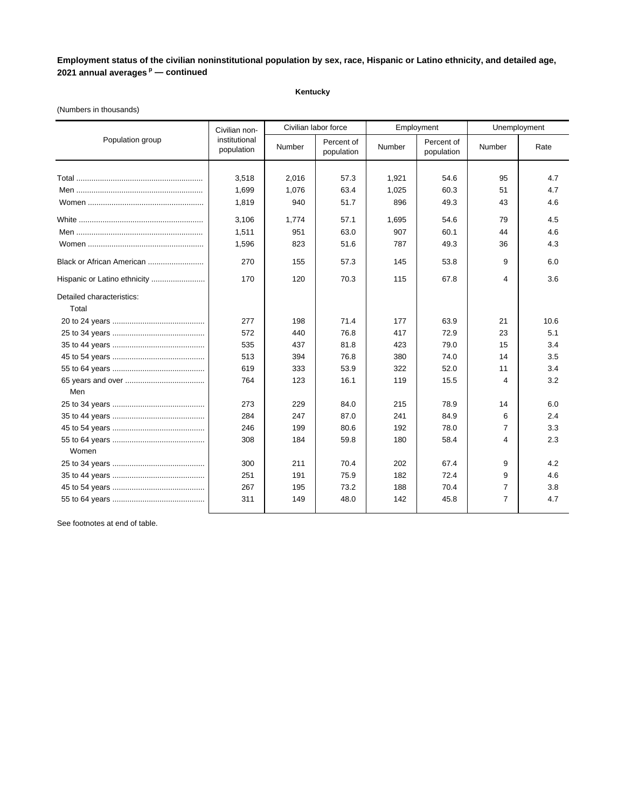#### **Kentucky**

# Civilian labor force Employment Unemployment Total ........................................................... 3,518 2,016 57.3 1,921 54.6 95 4.7 Men ........................................................... 1,699 1,076 63.4 1,025 60.3 51 4.7 Women ...................................................... 1,819 940 51.7 896 49.3 43 4.6 White .......................................................... 3,106 1,774 57.1 1,695 54.6 79 4.5 Men ........................................................... 1,511 951 63.0 907 60.1 44 4.6 Women ...................................................... 1,596 823 51.6 787 49.3 36 4.3 Black or African American .......................... 270 155 57.3 145 53.8 9 6.0 Hispanic or Latino ethnicity ......................... 170 120 70.3 115 67.8 4 3.6 Detailed characteristics: Total 20 to 24 years ........................................... 277 198 71.4 177 63.9 21 10.6 25 to 34 years ........................................... 572 440 76.8 417 72.9 23 5.1 35 to 44 years ........................................... 535 437 81.8 423 79.0 15 3.4 45 to 54 years ........................................... 513 394 76.8 380 74.0 14 3.5 55 to 64 years ........................................... 619 333 53.9 322 52.0 11 3.4 65 years and over ..................................... 764 123 16.1 119 15.5 4 3.2 Men 25 to 34 years ........................................... 273 229 84.0 215 78.9 14 6.0 35 to 44 years ........................................... 284 247 87.0 241 84.9 6 2.4 45 to 54 years ........................................... 246 199 80.6 192 78.0 7 3.3 55 to 64 years ........................................... 308 184 59.8 180 58.4 4 2.3 Women 25 to 34 years ........................................... 300 211 70.4 202 67.4 9 4.2 35 to 44 years ........................................... 251 191 75.9 182 72.4 9 4.6 45 to 54 years ........................................... 267 195 73.2 188 70.4 7 3.8 55 to 64 years ........................................... 311 149 48.0 142 45.8 7 4.7 Population group **Propulation and September 19** Number Percent of Percent of Number Rate Civilian noninstitutional institutional Number Percent of<br>population Number population Percent of **Number** Percent of population

#### (Numbers in thousands)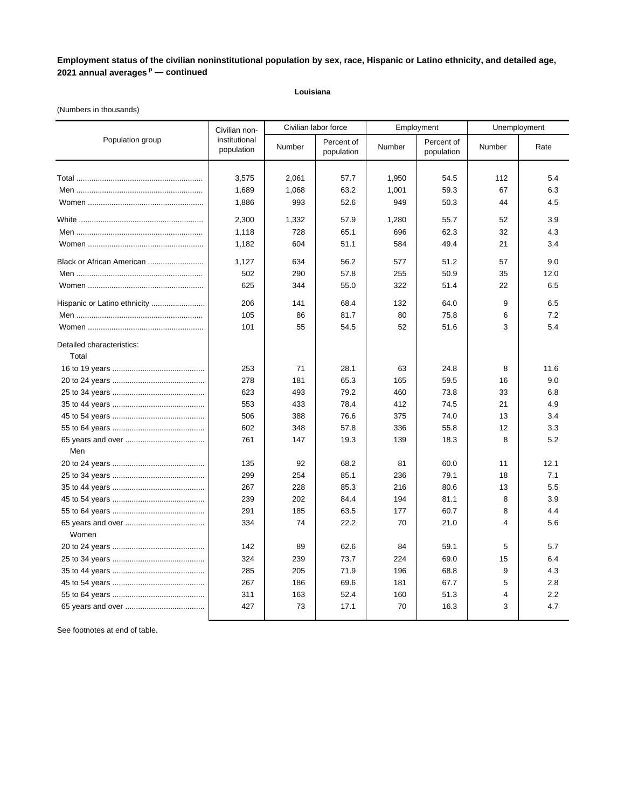### **Louisiana**

# (Numbers in thousands)

|                                    | Civilian non-               |        | Civilian labor force     |        | Employment               | Unemployment |      |
|------------------------------------|-----------------------------|--------|--------------------------|--------|--------------------------|--------------|------|
| Population group                   | institutional<br>population | Number | Percent of<br>population | Number | Percent of<br>population | Number       | Rate |
|                                    |                             |        |                          |        |                          |              |      |
|                                    | 3,575                       | 2,061  | 57.7                     | 1,950  | 54.5                     | 112          | 5.4  |
|                                    | 1,689                       | 1,068  | 63.2                     | 1,001  | 59.3                     | 67           | 6.3  |
|                                    | 1,886                       | 993    | 52.6                     | 949    | 50.3                     | 44           | 4.5  |
|                                    | 2,300                       | 1,332  | 57.9                     | 1,280  | 55.7                     | 52           | 3.9  |
|                                    | 1,118                       | 728    | 65.1                     | 696    | 62.3                     | 32           | 4.3  |
|                                    | 1,182                       | 604    | 51.1                     | 584    | 49.4                     | 21           | 3.4  |
| Black or African American          | 1,127                       | 634    | 56.2                     | 577    | 51.2                     | 57           | 9.0  |
|                                    | 502                         | 290    | 57.8                     | 255    | 50.9                     | 35           | 12.0 |
|                                    | 625                         | 344    | 55.0                     | 322    | 51.4                     | 22           | 6.5  |
| Hispanic or Latino ethnicity       | 206                         | 141    | 68.4                     | 132    | 64.0                     | 9            | 6.5  |
|                                    | 105                         | 86     | 81.7                     | 80     | 75.8                     | 6            | 7.2  |
|                                    | 101                         | 55     | 54.5                     | 52     | 51.6                     | 3            | 5.4  |
| Detailed characteristics:<br>Total |                             |        |                          |        |                          |              |      |
|                                    | 253                         | 71     | 28.1                     | 63     | 24.8                     | 8            | 11.6 |
|                                    | 278                         | 181    | 65.3                     | 165    | 59.5                     | 16           | 9.0  |
|                                    | 623                         | 493    | 79.2                     | 460    | 73.8                     | 33           | 6.8  |
|                                    | 553                         | 433    | 78.4                     | 412    | 74.5                     | 21           | 4.9  |
|                                    | 506                         | 388    | 76.6                     | 375    | 74.0                     | 13           | 3.4  |
|                                    | 602                         | 348    | 57.8                     | 336    | 55.8                     | 12           | 3.3  |
|                                    | 761                         | 147    | 19.3                     | 139    | 18.3                     | 8            | 5.2  |
| Men                                |                             |        |                          |        |                          |              |      |
|                                    | 135                         | 92     | 68.2                     | 81     | 60.0                     | 11           | 12.1 |
|                                    | 299                         | 254    | 85.1                     | 236    | 79.1                     | 18           | 7.1  |
|                                    | 267                         | 228    | 85.3                     | 216    | 80.6                     | 13           | 5.5  |
|                                    | 239                         | 202    | 84.4                     | 194    | 81.1                     | 8            | 3.9  |
|                                    | 291                         | 185    | 63.5                     | 177    | 60.7                     | 8            | 4.4  |
|                                    | 334                         | 74     | 22.2                     | 70     | 21.0                     | 4            | 5.6  |
| Women                              |                             |        |                          |        |                          |              |      |
|                                    | 142                         | 89     | 62.6                     | 84     | 59.1                     | 5            | 5.7  |
|                                    | 324                         | 239    | 73.7                     | 224    | 69.0                     | 15           | 6.4  |
|                                    | 285                         | 205    | 71.9                     | 196    | 68.8                     | 9            | 4.3  |
|                                    | 267                         | 186    | 69.6                     | 181    | 67.7                     | 5            | 2.8  |
|                                    | 311                         | 163    | 52.4                     | 160    | 51.3                     | 4            | 2.2  |
|                                    | 427                         | 73     | 17.1                     | 70     | 16.3                     | 3            | 4.7  |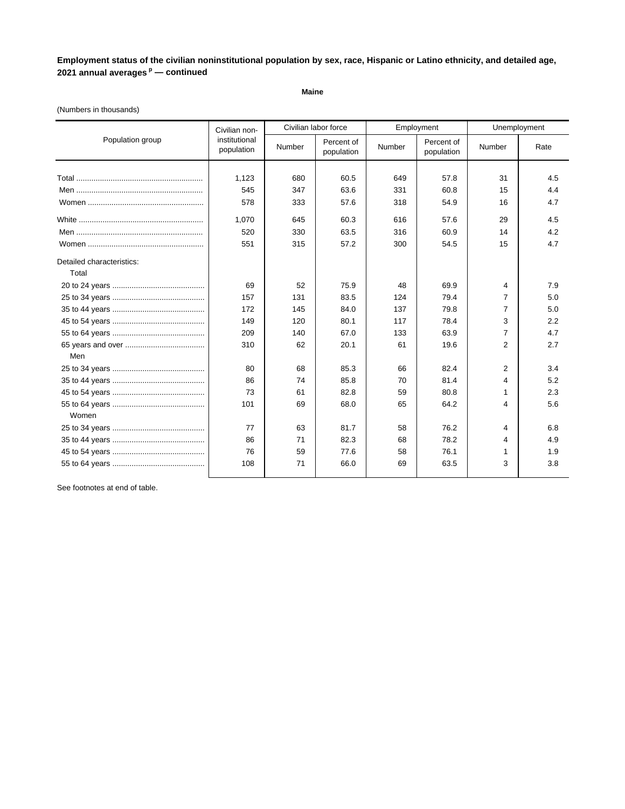**Maine**

# (Numbers in thousands)

|                           | Civilian non-               |        | Civilian labor force     |        | Employment               |                | Unemployment |
|---------------------------|-----------------------------|--------|--------------------------|--------|--------------------------|----------------|--------------|
| Population group          | institutional<br>population | Number | Percent of<br>population | Number | Percent of<br>population | Number         | Rate         |
|                           |                             |        |                          |        |                          |                |              |
|                           | 1,123                       | 680    | 60.5                     | 649    | 57.8                     | 31             | 4.5          |
|                           | 545                         | 347    | 63.6                     | 331    | 60.8                     | 15             | 4.4          |
|                           | 578                         | 333    | 57.6                     | 318    | 54.9                     | 16             | 4.7          |
|                           | 1,070                       | 645    | 60.3                     | 616    | 57.6                     | 29             | 4.5          |
|                           | 520                         | 330    | 63.5                     | 316    | 60.9                     | 14             | 4.2          |
|                           | 551                         | 315    | 57.2                     | 300    | 54.5                     | 15             | 4.7          |
| Detailed characteristics: |                             |        |                          |        |                          |                |              |
| Total                     |                             |        |                          |        |                          |                |              |
|                           | 69                          | 52     | 75.9                     | 48     | 69.9                     | 4              | 7.9          |
|                           | 157                         | 131    | 83.5                     | 124    | 79.4                     | 7              | 5.0          |
|                           | 172                         | 145    | 84.0                     | 137    | 79.8                     | $\overline{7}$ | 5.0          |
|                           | 149                         | 120    | 80.1                     | 117    | 78.4                     | 3              | 2.2          |
|                           | 209                         | 140    | 67.0                     | 133    | 63.9                     | $\overline{7}$ | 4.7          |
|                           | 310                         | 62     | 20.1                     | 61     | 19.6                     | $\overline{2}$ | 2.7          |
| Men                       |                             |        |                          |        |                          |                |              |
|                           | 80                          | 68     | 85.3                     | 66     | 82.4                     | 2              | 3.4          |
|                           | 86                          | 74     | 85.8                     | 70     | 81.4                     | 4              | 5.2          |
|                           | 73                          | 61     | 82.8                     | 59     | 80.8                     | 1              | 2.3          |
|                           | 101                         | 69     | 68.0                     | 65     | 64.2                     | 4              | 5.6          |
| Women                     |                             |        |                          |        |                          |                |              |
|                           | 77                          | 63     | 81.7                     | 58     | 76.2                     | 4              | 6.8          |
|                           | 86                          | 71     | 82.3                     | 68     | 78.2                     | 4              | 4.9          |
|                           | 76                          | 59     | 77.6                     | 58     | 76.1                     | 1              | 1.9          |
|                           | 108                         | 71     | 66.0                     | 69     | 63.5                     | 3              | 3.8          |
|                           |                             |        |                          |        |                          |                |              |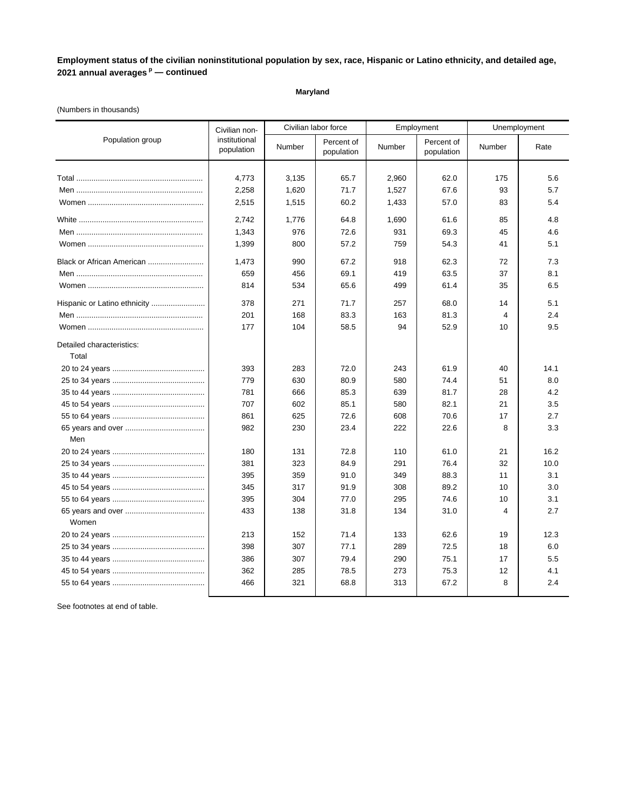### **Maryland**

### (Numbers in thousands)

|                              | Civilian non-               |        | Civilian labor force     |        | Employment               |                | Unemployment |  |
|------------------------------|-----------------------------|--------|--------------------------|--------|--------------------------|----------------|--------------|--|
| Population group             | institutional<br>population | Number | Percent of<br>population | Number | Percent of<br>population | Number         | Rate         |  |
|                              |                             |        |                          |        |                          |                |              |  |
|                              | 4,773                       | 3,135  | 65.7                     | 2,960  | 62.0                     | 175            | 5.6          |  |
|                              | 2,258                       | 1,620  | 71.7                     | 1,527  | 67.6                     | 93             | 5.7          |  |
|                              | 2,515                       | 1,515  | 60.2                     | 1,433  | 57.0                     | 83             | 5.4          |  |
|                              | 2,742                       | 1,776  | 64.8                     | 1,690  | 61.6                     | 85             | 4.8          |  |
|                              | 1,343                       | 976    | 72.6                     | 931    | 69.3                     | 45             | 4.6          |  |
|                              | 1,399                       | 800    | 57.2                     | 759    | 54.3                     | 41             | 5.1          |  |
| Black or African American    | 1,473                       | 990    | 67.2                     | 918    | 62.3                     | 72             | 7.3          |  |
|                              | 659                         | 456    | 69.1                     | 419    | 63.5                     | 37             | 8.1          |  |
|                              | 814                         | 534    | 65.6                     | 499    | 61.4                     | 35             | 6.5          |  |
| Hispanic or Latino ethnicity | 378                         | 271    | 71.7                     | 257    | 68.0                     | 14             | 5.1          |  |
|                              | 201                         | 168    | 83.3                     | 163    | 81.3                     | $\overline{4}$ | 2.4          |  |
|                              | 177                         | 104    | 58.5                     | 94     | 52.9                     | 10             | 9.5          |  |
| Detailed characteristics:    |                             |        |                          |        |                          |                |              |  |
| Total                        |                             |        |                          |        |                          |                |              |  |
|                              | 393                         | 283    | 72.0                     | 243    | 61.9                     | 40             | 14.1         |  |
|                              | 779                         | 630    | 80.9                     | 580    | 74.4                     | 51             | 8.0          |  |
|                              | 781                         | 666    | 85.3                     | 639    | 81.7                     | 28             | 4.2          |  |
|                              | 707                         | 602    | 85.1                     | 580    | 82.1                     | 21             | 3.5          |  |
|                              | 861                         | 625    | 72.6                     | 608    | 70.6                     | 17             | 2.7          |  |
|                              | 982                         | 230    | 23.4                     | 222    | 22.6                     | 8              | 3.3          |  |
| Men                          |                             |        |                          |        |                          |                |              |  |
|                              | 180                         | 131    | 72.8                     | 110    | 61.0                     | 21             | 16.2         |  |
|                              | 381                         | 323    | 84.9                     | 291    | 76.4                     | 32             | 10.0         |  |
|                              | 395                         | 359    | 91.0                     | 349    | 88.3                     | 11             | 3.1          |  |
|                              | 345                         | 317    | 91.9                     | 308    | 89.2                     | 10             | 3.0          |  |
|                              | 395                         | 304    | 77.0                     | 295    | 74.6                     | 10             | 3.1          |  |
| Women                        | 433                         | 138    | 31.8                     | 134    | 31.0                     | 4              | 2.7          |  |
|                              | 213                         | 152    | 71.4                     | 133    | 62.6                     | 19             | 12.3         |  |
|                              | 398                         | 307    | 77.1                     | 289    | 72.5                     | 18             | 6.0          |  |
|                              | 386                         | 307    | 79.4                     | 290    | 75.1                     | 17             | 5.5          |  |
|                              | 362                         | 285    | 78.5                     | 273    | 75.3                     | 12             | 4.1          |  |
|                              | 466                         | 321    | 68.8                     | 313    | 67.2                     | 8              | 2.4          |  |
|                              |                             |        |                          |        |                          |                |              |  |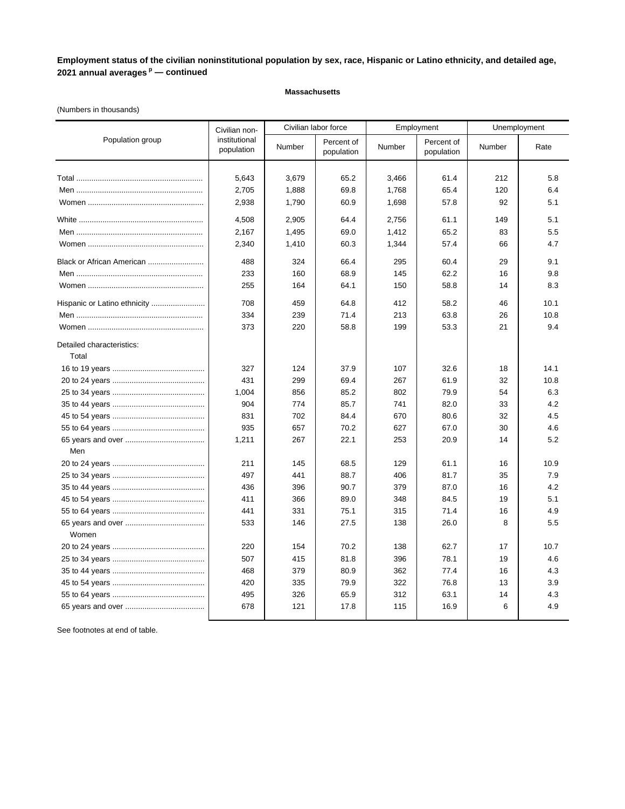### **Massachusetts**

### (Numbers in thousands)

|                              | Civilian non-               |        | Civilian labor force     |        | Employment               |        | Unemployment |
|------------------------------|-----------------------------|--------|--------------------------|--------|--------------------------|--------|--------------|
| Population group             | institutional<br>population | Number | Percent of<br>population | Number | Percent of<br>population | Number | Rate         |
|                              |                             |        |                          |        |                          |        |              |
|                              | 5,643                       | 3,679  | 65.2                     | 3,466  | 61.4                     | 212    | 5.8          |
|                              | 2,705                       | 1,888  | 69.8                     | 1,768  | 65.4                     | 120    | 6.4          |
|                              | 2,938                       | 1,790  | 60.9                     | 1,698  | 57.8                     | 92     | 5.1          |
|                              | 4,508                       | 2,905  | 64.4                     | 2,756  | 61.1                     | 149    | 5.1          |
|                              | 2,167                       | 1,495  | 69.0                     | 1,412  | 65.2                     | 83     | 5.5          |
|                              | 2,340                       | 1,410  | 60.3                     | 1,344  | 57.4                     | 66     | 4.7          |
| Black or African American    | 488                         | 324    | 66.4                     | 295    | 60.4                     | 29     | 9.1          |
|                              | 233                         | 160    | 68.9                     | 145    | 62.2                     | 16     | 9.8          |
|                              | 255                         | 164    | 64.1                     | 150    | 58.8                     | 14     | 8.3          |
| Hispanic or Latino ethnicity | 708                         | 459    | 64.8                     | 412    | 58.2                     | 46     | 10.1         |
|                              | 334                         | 239    | 71.4                     | 213    | 63.8                     | 26     | 10.8         |
|                              | 373                         | 220    | 58.8                     | 199    | 53.3                     | 21     | 9.4          |
| Detailed characteristics:    |                             |        |                          |        |                          |        |              |
| Total                        |                             |        |                          |        |                          |        |              |
|                              | 327                         | 124    | 37.9                     | 107    | 32.6                     | 18     | 14.1         |
|                              | 431                         | 299    | 69.4                     | 267    | 61.9                     | 32     | 10.8         |
|                              | 1,004                       | 856    | 85.2                     | 802    | 79.9                     | 54     | 6.3          |
|                              | 904                         | 774    | 85.7                     | 741    | 82.0                     | 33     | 4.2          |
|                              | 831                         | 702    | 84.4                     | 670    | 80.6                     | 32     | 4.5          |
|                              | 935                         | 657    | 70.2                     | 627    | 67.0                     | 30     | 4.6          |
|                              | 1,211                       | 267    | 22.1                     | 253    | 20.9                     | 14     | 5.2          |
| Men                          |                             |        |                          |        |                          |        |              |
|                              | 211                         | 145    | 68.5                     | 129    | 61.1                     | 16     | 10.9         |
|                              | 497                         | 441    | 88.7                     | 406    | 81.7                     | 35     | 7.9          |
|                              | 436                         | 396    | 90.7                     | 379    | 87.0                     | 16     | 4.2          |
|                              | 411                         | 366    | 89.0                     | 348    | 84.5                     | 19     | 5.1          |
|                              | 441                         | 331    | 75.1                     | 315    | 71.4                     | 16     | 4.9          |
| Women                        | 533                         | 146    | 27.5                     | 138    | 26.0                     | 8      | 5.5          |
|                              | 220                         | 154    | 70.2                     | 138    | 62.7                     | 17     | 10.7         |
|                              | 507                         | 415    | 81.8                     | 396    | 78.1                     | 19     | 4.6          |
|                              | 468                         | 379    | 80.9                     | 362    | 77.4                     | 16     | 4.3          |
|                              | 420                         | 335    | 79.9                     | 322    | 76.8                     | 13     | 3.9          |
|                              | 495                         | 326    | 65.9                     | 312    | 63.1                     | 14     | 4.3          |
|                              | 678                         | 121    | 17.8                     | 115    | 16.9                     | 6      | 4.9          |
|                              |                             |        |                          |        |                          |        |              |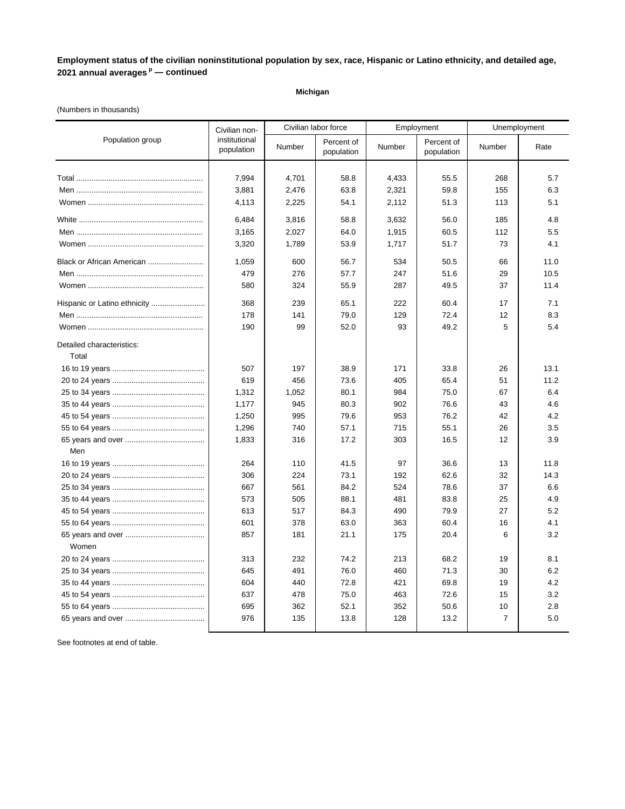### **Michigan**

### (Numbers in thousands)

|                                    | Civilian non-               |        | Civilian labor force     |        | Employment               |                   | Unemployment |  |
|------------------------------------|-----------------------------|--------|--------------------------|--------|--------------------------|-------------------|--------------|--|
| Population group                   | institutional<br>population | Number | Percent of<br>population | Number | Percent of<br>population | Number            | Rate         |  |
|                                    |                             |        |                          |        |                          |                   |              |  |
|                                    | 7,994                       | 4,701  | 58.8                     | 4,433  | 55.5                     | 268               | 5.7          |  |
|                                    | 3,881                       | 2,476  | 63.8                     | 2,321  | 59.8                     | 155               | 6.3          |  |
|                                    | 4,113                       | 2,225  | 54.1                     | 2,112  | 51.3                     | 113               | 5.1          |  |
|                                    | 6,484                       | 3,816  | 58.8                     | 3,632  | 56.0                     | 185               | 4.8          |  |
|                                    | 3,165                       | 2,027  | 64.0                     | 1,915  | 60.5                     | 112               | 5.5          |  |
|                                    | 3,320                       | 1,789  | 53.9                     | 1,717  | 51.7                     | 73                | 4.1          |  |
| Black or African American          | 1,059                       | 600    | 56.7                     | 534    | 50.5                     | 66                | 11.0         |  |
|                                    | 479                         | 276    | 57.7                     | 247    | 51.6                     | 29                | 10.5         |  |
|                                    | 580                         | 324    | 55.9                     | 287    | 49.5                     | 37                | 11.4         |  |
| Hispanic or Latino ethnicity       | 368                         | 239    | 65.1                     | 222    | 60.4                     | 17                | 7.1          |  |
|                                    | 178                         | 141    | 79.0                     | 129    | 72.4                     | 12                | 8.3          |  |
|                                    | 190                         | 99     | 52.0                     | 93     | 49.2                     | 5                 | 5.4          |  |
| Detailed characteristics:<br>Total |                             |        |                          |        |                          |                   |              |  |
|                                    | 507                         | 197    | 38.9                     | 171    | 33.8                     | 26                | 13.1         |  |
|                                    | 619                         | 456    | 73.6                     | 405    | 65.4                     | 51                | 11.2         |  |
|                                    | 1,312                       | 1,052  | 80.1                     | 984    | 75.0                     | 67                | 6.4          |  |
|                                    | 1,177                       | 945    | 80.3                     | 902    | 76.6                     | 43                | 4.6          |  |
|                                    | 1,250                       | 995    | 79.6                     | 953    | 76.2                     | 42                | 4.2          |  |
|                                    | 1,296                       | 740    | 57.1                     | 715    | 55.1                     | 26                | 3.5          |  |
|                                    | 1,833                       | 316    | 17.2                     | 303    | 16.5                     | $12 \overline{ }$ | 3.9          |  |
| Men                                |                             |        |                          |        |                          |                   |              |  |
|                                    | 264                         | 110    | 41.5                     | 97     | 36.6                     | 13                | 11.8         |  |
|                                    | 306                         | 224    | 73.1                     | 192    | 62.6                     | 32                | 14.3         |  |
|                                    | 667                         | 561    | 84.2                     | 524    | 78.6                     | 37                | 6.6          |  |
|                                    | 573                         | 505    | 88.1                     | 481    | 83.8                     | 25                | 4.9          |  |
|                                    | 613                         | 517    | 84.3                     | 490    | 79.9                     | 27                | 5.2          |  |
|                                    | 601                         | 378    | 63.0                     | 363    | 60.4                     | 16                | 4.1          |  |
| Women                              | 857                         | 181    | 21.1                     | 175    | 20.4                     | 6                 | 3.2          |  |
|                                    | 313                         | 232    | 74.2                     | 213    | 68.2                     | 19                | 8.1          |  |
|                                    | 645                         | 491    | 76.0                     | 460    | 71.3                     | 30                | 6.2          |  |
|                                    | 604                         | 440    | 72.8                     | 421    | 69.8                     | 19                | 4.2          |  |
|                                    | 637                         | 478    | 75.0                     | 463    | 72.6                     | 15                | 3.2          |  |
|                                    | 695                         | 362    | 52.1                     | 352    | 50.6                     | 10                | 2.8          |  |
|                                    | 976                         | 135    | 13.8                     | 128    | 13.2                     | $\overline{7}$    | 5.0          |  |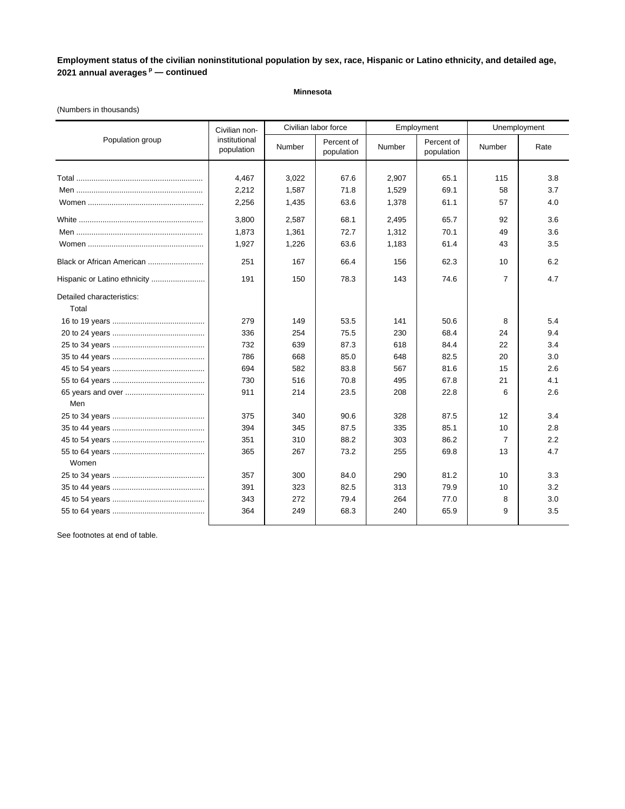### **Minnesota**

### (Numbers in thousands)

|                                    | Civilian non-               | Civilian labor force |                          |        | Employment               |                | Unemployment |
|------------------------------------|-----------------------------|----------------------|--------------------------|--------|--------------------------|----------------|--------------|
| Population group                   | institutional<br>population | Number               | Percent of<br>population | Number | Percent of<br>population | Number         | Rate         |
|                                    |                             |                      |                          |        |                          |                |              |
|                                    | 4,467                       | 3,022                | 67.6                     | 2,907  | 65.1                     | 115            | 3.8          |
|                                    | 2,212                       | 1,587                | 71.8                     | 1,529  | 69.1                     | 58             | 3.7          |
|                                    | 2,256                       | 1,435                | 63.6                     | 1,378  | 61.1                     | 57             | 4.0          |
|                                    | 3,800                       | 2,587                | 68.1                     | 2,495  | 65.7                     | 92             | 3.6          |
|                                    | 1,873                       | 1,361                | 72.7                     | 1,312  | 70.1                     | 49             | 3.6          |
|                                    | 1,927                       | 1,226                | 63.6                     | 1,183  | 61.4                     | 43             | 3.5          |
| Black or African American          | 251                         | 167                  | 66.4                     | 156    | 62.3                     | 10             | 6.2          |
| Hispanic or Latino ethnicity       | 191                         | 150                  | 78.3                     | 143    | 74.6                     | $\overline{7}$ | 4.7          |
| Detailed characteristics:<br>Total |                             |                      |                          |        |                          |                |              |
|                                    | 279                         | 149                  | 53.5                     | 141    | 50.6                     | 8              | 5.4          |
|                                    | 336                         | 254                  | 75.5                     | 230    | 68.4                     | 24             | 9.4          |
|                                    | 732                         | 639                  | 87.3                     | 618    | 84.4                     | 22             | 3.4          |
|                                    | 786                         | 668                  | 85.0                     | 648    | 82.5                     | 20             | 3.0          |
|                                    | 694                         | 582                  | 83.8                     | 567    | 81.6                     | 15             | 2.6          |
|                                    | 730                         | 516                  | 70.8                     | 495    | 67.8                     | 21             | 4.1          |
|                                    | 911                         | 214                  | 23.5                     | 208    | 22.8                     | 6              | 2.6          |
| Men                                |                             |                      |                          |        |                          |                |              |
|                                    | 375                         | 340                  | 90.6                     | 328    | 87.5                     | 12             | 3.4          |
|                                    | 394                         | 345                  | 87.5                     | 335    | 85.1                     | 10             | 2.8          |
|                                    | 351                         | 310                  | 88.2                     | 303    | 86.2                     | 7              | 2.2          |
| Women                              | 365                         | 267                  | 73.2                     | 255    | 69.8                     | 13             | 4.7          |
|                                    | 357                         | 300                  | 84.0                     | 290    | 81.2                     | 10             | 3.3          |
|                                    | 391                         | 323                  | 82.5                     | 313    | 79.9                     | 10             | 3.2          |
|                                    | 343                         | 272                  | 79.4                     | 264    | 77.0                     | 8              | 3.0          |
|                                    | 364                         | 249                  | 68.3                     | 240    | 65.9                     | 9              | 3.5          |
|                                    |                             |                      |                          |        |                          |                |              |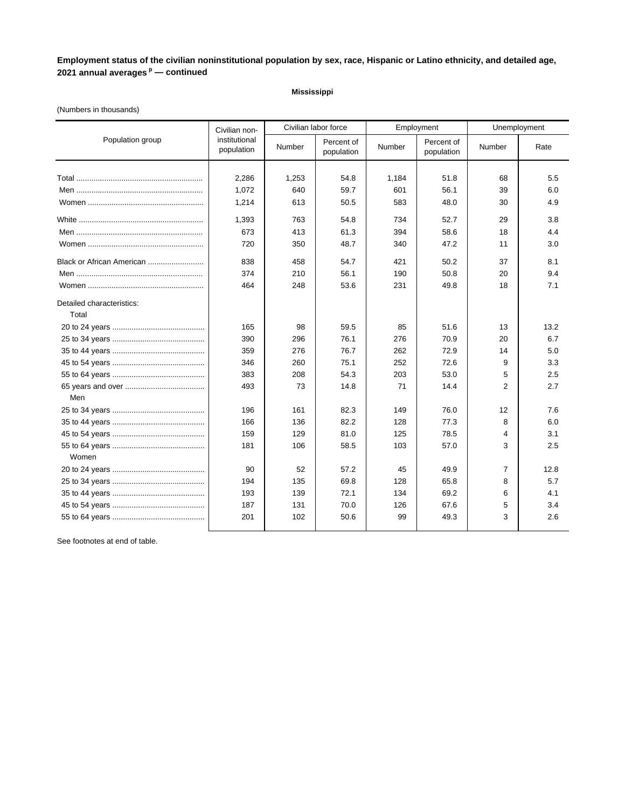# **Mississippi**

### (Numbers in thousands)

|                           | Civilian non-               |        | Civilian labor force     |        | Employment               |                | Unemployment |
|---------------------------|-----------------------------|--------|--------------------------|--------|--------------------------|----------------|--------------|
| Population group          | institutional<br>population | Number | Percent of<br>population | Number | Percent of<br>population | Number         | Rate         |
|                           |                             |        |                          |        |                          |                |              |
|                           | 2.286                       | 1.253  | 54.8                     | 1,184  | 51.8                     | 68             | 5.5          |
|                           | 1,072                       | 640    | 59.7                     | 601    | 56.1                     | 39             | 6.0          |
|                           | 1,214                       | 613    | 50.5                     | 583    | 48.0                     | 30             | 4.9          |
|                           | 1,393                       | 763    | 54.8                     | 734    | 52.7                     | 29             | 3.8          |
|                           | 673                         | 413    | 61.3                     | 394    | 58.6                     | 18             | 4.4          |
|                           | 720                         | 350    | 48.7                     | 340    | 47.2                     | 11             | 3.0          |
| Black or African American | 838                         | 458    | 54.7                     | 421    | 50.2                     | 37             | 8.1          |
|                           | 374                         | 210    | 56.1                     | 190    | 50.8                     | 20             | 9.4          |
|                           | 464                         | 248    | 53.6                     | 231    | 49.8                     | 18             | 7.1          |
| Detailed characteristics: |                             |        |                          |        |                          |                |              |
| Total                     |                             |        |                          |        |                          |                |              |
|                           | 165                         | 98     | 59.5                     | 85     | 51.6                     | 13             | 13.2         |
|                           | 390                         | 296    | 76.1                     | 276    | 70.9                     | 20             | 6.7          |
|                           | 359                         | 276    | 76.7                     | 262    | 72.9                     | 14             | 5.0          |
|                           | 346                         | 260    | 75.1                     | 252    | 72.6                     | 9              | 3.3          |
|                           | 383                         | 208    | 54.3                     | 203    | 53.0                     | 5              | 2.5          |
|                           | 493                         | 73     | 14.8                     | 71     | 14.4                     | $\overline{2}$ | 2.7          |
| Men                       |                             |        |                          |        |                          |                |              |
|                           | 196                         | 161    | 82.3                     | 149    | 76.0                     | 12             | 7.6          |
|                           | 166                         | 136    | 82.2                     | 128    | 77.3                     | 8              | 6.0          |
|                           | 159                         | 129    | 81.0                     | 125    | 78.5                     | 4              | 3.1          |
|                           | 181                         | 106    | 58.5                     | 103    | 57.0                     | 3              | 2.5          |
| Women                     |                             |        |                          |        |                          |                |              |
|                           | 90                          | 52     | 57.2                     | 45     | 49.9                     | $\overline{7}$ | 12.8         |
|                           | 194                         | 135    | 69.8                     | 128    | 65.8                     | 8              | 5.7          |
|                           | 193                         | 139    | 72.1                     | 134    | 69.2                     | 6              | 4.1          |
|                           | 187                         | 131    | 70.0                     | 126    | 67.6                     | 5              | 3.4          |
|                           | 201                         | 102    | 50.6                     | 99     | 49.3                     | 3              | 2.6          |
|                           |                             |        |                          |        |                          |                |              |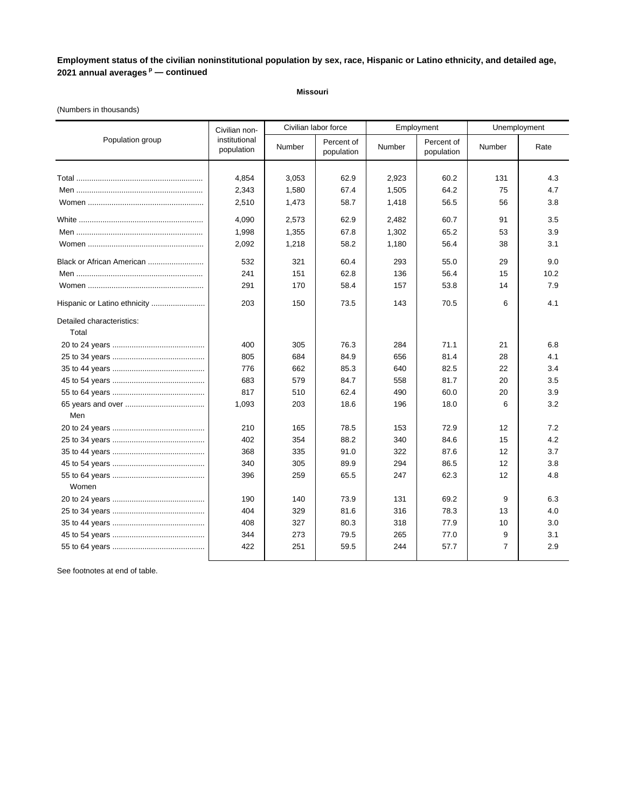#### **Missouri**

### (Numbers in thousands)

|                                    | Civilian non-               |        | Civilian labor force     | Employment |                          | Unemployment |      |
|------------------------------------|-----------------------------|--------|--------------------------|------------|--------------------------|--------------|------|
| Population group                   | institutional<br>population | Number | Percent of<br>population | Number     | Percent of<br>population | Number       | Rate |
|                                    |                             |        |                          |            |                          |              |      |
|                                    | 4.854                       | 3,053  | 62.9                     | 2,923      | 60.2                     | 131          | 4.3  |
|                                    | 2,343                       | 1,580  | 67.4                     | 1,505      | 64.2                     | 75           | 4.7  |
|                                    | 2,510                       | 1,473  | 58.7                     | 1,418      | 56.5                     | 56           | 3.8  |
|                                    | 4,090                       | 2,573  | 62.9                     | 2,482      | 60.7                     | 91           | 3.5  |
|                                    | 1,998                       | 1,355  | 67.8                     | 1,302      | 65.2                     | 53           | 3.9  |
|                                    | 2,092                       | 1,218  | 58.2                     | 1,180      | 56.4                     | 38           | 3.1  |
| Black or African American          | 532                         | 321    | 60.4                     | 293        | 55.0                     | 29           | 9.0  |
|                                    | 241                         | 151    | 62.8                     | 136        | 56.4                     | 15           | 10.2 |
|                                    | 291                         | 170    | 58.4                     | 157        | 53.8                     | 14           | 7.9  |
| Hispanic or Latino ethnicity       | 203                         | 150    | 73.5                     | 143        | 70.5                     | 6            | 4.1  |
| Detailed characteristics:<br>Total |                             |        |                          |            |                          |              |      |
|                                    | 400                         | 305    | 76.3                     | 284        | 71.1                     | 21           | 6.8  |
|                                    | 805                         | 684    | 84.9                     | 656        | 81.4                     | 28           | 4.1  |
|                                    | 776                         | 662    | 85.3                     | 640        | 82.5                     | 22           | 3.4  |
|                                    | 683                         | 579    | 84.7                     | 558        | 81.7                     | 20           | 3.5  |
|                                    | 817                         | 510    | 62.4                     | 490        | 60.0                     | 20           | 3.9  |
|                                    | 1,093                       | 203    | 18.6                     | 196        | 18.0                     | 6            | 3.2  |
| Men                                |                             |        |                          |            |                          |              |      |
|                                    | 210                         | 165    | 78.5                     | 153        | 72.9                     | 12           | 7.2  |
|                                    | 402                         | 354    | 88.2                     | 340        | 84.6                     | 15           | 4.2  |
|                                    | 368                         | 335    | 91.0                     | 322        | 87.6                     | 12           | 3.7  |
|                                    | 340                         | 305    | 89.9                     | 294        | 86.5                     | 12           | 3.8  |
|                                    | 396                         | 259    | 65.5                     | 247        | 62.3                     | 12           | 4.8  |
| Women                              |                             |        |                          |            |                          |              |      |
|                                    | 190                         | 140    | 73.9                     | 131        | 69.2                     | 9            | 6.3  |
|                                    | 404                         | 329    | 81.6                     | 316        | 78.3                     | 13           | 4.0  |
|                                    | 408                         | 327    | 80.3                     | 318        | 77.9                     | 10           | 3.0  |
|                                    | 344                         | 273    | 79.5                     | 265        | 77.0                     | 9            | 3.1  |
|                                    | 422                         | 251    | 59.5                     | 244        | 57.7                     | 7            | 2.9  |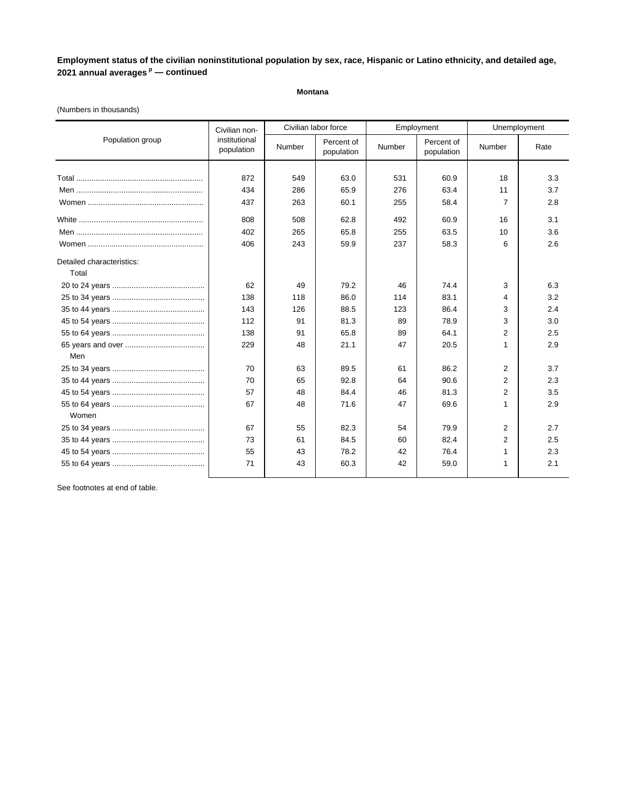**Montana**

|                           | Civilian non-               |        | Civilian labor force     |        | Employment               | Unemployment   |      |
|---------------------------|-----------------------------|--------|--------------------------|--------|--------------------------|----------------|------|
| Population group          | institutional<br>population | Number | Percent of<br>population | Number | Percent of<br>population | Number         | Rate |
|                           |                             |        |                          |        |                          |                |      |
|                           | 872                         | 549    | 63.0                     | 531    | 60.9                     | 18             | 3.3  |
|                           | 434                         | 286    | 65.9                     | 276    | 63.4                     | 11             | 3.7  |
|                           | 437                         | 263    | 60.1                     | 255    | 58.4                     | 7              | 2.8  |
|                           | 808                         | 508    | 62.8                     | 492    | 60.9                     | 16             | 3.1  |
|                           | 402                         | 265    | 65.8                     | 255    | 63.5                     | 10             | 3.6  |
|                           | 406                         | 243    | 59.9                     | 237    | 58.3                     | 6              | 2.6  |
| Detailed characteristics: |                             |        |                          |        |                          |                |      |
| Total                     |                             |        |                          |        |                          |                |      |
|                           | 62                          | 49     | 79.2                     | 46     | 74.4                     | 3              | 6.3  |
|                           | 138                         | 118    | 86.0                     | 114    | 83.1                     | 4              | 3.2  |
|                           | 143                         | 126    | 88.5                     | 123    | 86.4                     | 3              | 2.4  |
|                           | 112                         | 91     | 81.3                     | 89     | 78.9                     | 3              | 3.0  |
|                           | 138                         | 91     | 65.8                     | 89     | 64.1                     | $\overline{2}$ | 2.5  |
|                           | 229                         | 48     | 21.1                     | 47     | 20.5                     | 1              | 2.9  |
| Men                       |                             |        |                          |        |                          |                |      |
|                           | 70                          | 63     | 89.5                     | 61     | 86.2                     | 2              | 3.7  |
|                           | 70                          | 65     | 92.8                     | 64     | 90.6                     | $\overline{2}$ | 2.3  |
|                           | 57                          | 48     | 84.4                     | 46     | 81.3                     | 2              | 3.5  |
|                           | 67                          | 48     | 71.6                     | 47     | 69.6                     | 1              | 2.9  |
| Women                     |                             |        |                          |        |                          |                |      |
|                           | 67                          | 55     | 82.3                     | 54     | 79.9                     | $\overline{2}$ | 2.7  |
|                           | 73                          | 61     | 84.5                     | 60     | 82.4                     | 2              | 2.5  |
|                           | 55                          | 43     | 78.2                     | 42     | 76.4                     | 1              | 2.3  |

55 to 64 years ........................................... 71 43 60.3 42 59.0 1 2.1

#### (Numbers in thousands)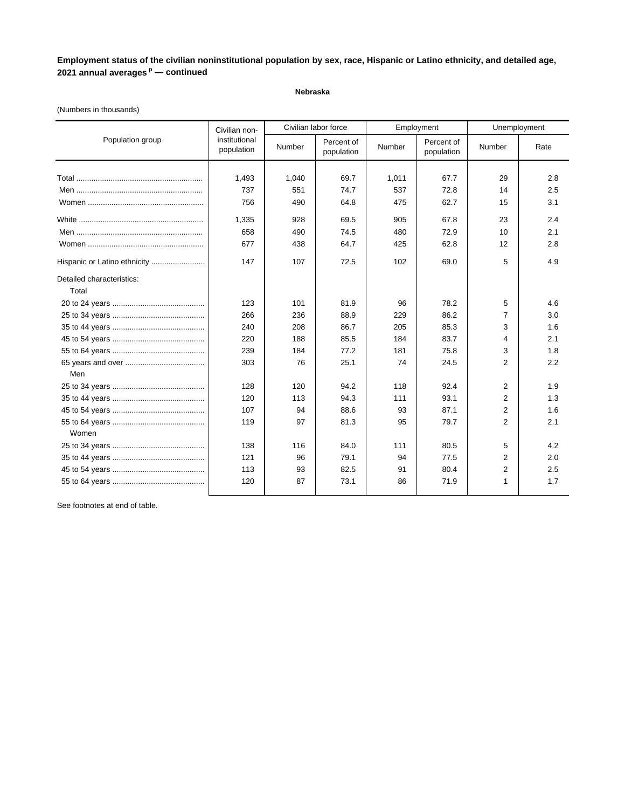### **Nebraska**

### (Numbers in thousands)

|                              | Civilian non-               |        | Civilian labor force     | Employment |                          | Unemployment   |      |
|------------------------------|-----------------------------|--------|--------------------------|------------|--------------------------|----------------|------|
| Population group             | institutional<br>population | Number | Percent of<br>population | Number     | Percent of<br>population | Number         | Rate |
|                              |                             |        |                          |            |                          |                |      |
|                              | 1,493                       | 1.040  | 69.7                     | 1,011      | 67.7                     | 29             | 2.8  |
|                              | 737                         | 551    | 74.7                     | 537        | 72.8                     | 14             | 2.5  |
|                              | 756                         | 490    | 64.8                     | 475        | 62.7                     | 15             | 3.1  |
|                              | 1,335                       | 928    | 69.5                     | 905        | 67.8                     | 23             | 2.4  |
|                              | 658                         | 490    | 74.5                     | 480        | 72.9                     | 10             | 2.1  |
|                              | 677                         | 438    | 64.7                     | 425        | 62.8                     | 12             | 2.8  |
| Hispanic or Latino ethnicity | 147                         | 107    | 72.5                     | 102        | 69.0                     | 5              | 4.9  |
| Detailed characteristics:    |                             |        |                          |            |                          |                |      |
| Total                        |                             |        |                          |            |                          |                |      |
|                              | 123                         | 101    | 81.9                     | 96         | 78.2                     | 5              | 4.6  |
|                              | 266                         | 236    | 88.9                     | 229        | 86.2                     | 7              | 3.0  |
|                              | 240                         | 208    | 86.7                     | 205        | 85.3                     | 3              | 1.6  |
|                              | 220                         | 188    | 85.5                     | 184        | 83.7                     | 4              | 2.1  |
|                              | 239                         | 184    | 77.2                     | 181        | 75.8                     | 3              | 1.8  |
|                              | 303                         | 76     | 25.1                     | 74         | 24.5                     | $\overline{2}$ | 2.2  |
| Men                          |                             |        |                          |            |                          |                |      |
|                              | 128                         | 120    | 94.2                     | 118        | 92.4                     | 2              | 1.9  |
|                              | 120                         | 113    | 94.3                     | 111        | 93.1                     | 2              | 1.3  |
|                              | 107                         | 94     | 88.6                     | 93         | 87.1                     | 2              | 1.6  |
|                              | 119                         | 97     | 81.3                     | 95         | 79.7                     | 2              | 2.1  |
| Women                        |                             |        |                          |            |                          |                |      |
|                              | 138                         | 116    | 84.0                     | 111        | 80.5                     | 5              | 4.2  |
|                              | 121                         | 96     | 79.1                     | 94         | 77.5                     | 2              | 2.0  |
|                              | 113                         | 93     | 82.5                     | 91         | 80.4                     | $\overline{2}$ | 2.5  |
|                              | 120                         | 87     | 73.1                     | 86         | 71.9                     | 1              | 1.7  |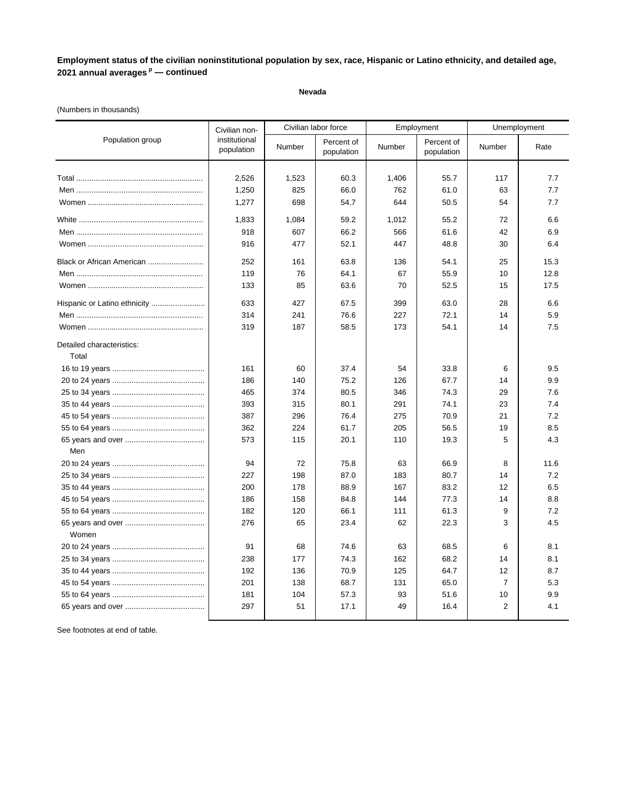### **Nevada**

### (Numbers in thousands)

|                                    | Civilian non-               |        | Civilian labor force     |        | Employment               | Unemployment   |      |
|------------------------------------|-----------------------------|--------|--------------------------|--------|--------------------------|----------------|------|
| Population group                   | institutional<br>population | Number | Percent of<br>population | Number | Percent of<br>population | Number         | Rate |
|                                    |                             |        |                          |        |                          |                |      |
|                                    | 2,526                       | 1,523  | 60.3                     | 1,406  | 55.7                     | 117            | 7.7  |
|                                    | 1,250                       | 825    | 66.0                     | 762    | 61.0                     | 63             | 7.7  |
|                                    | 1,277                       | 698    | 54.7                     | 644    | 50.5                     | 54             | 7.7  |
|                                    | 1,833                       | 1,084  | 59.2                     | 1,012  | 55.2                     | 72             | 6.6  |
|                                    | 918                         | 607    | 66.2                     | 566    | 61.6                     | 42             | 6.9  |
|                                    | 916                         | 477    | 52.1                     | 447    | 48.8                     | 30             | 6.4  |
| Black or African American          | 252                         | 161    | 63.8                     | 136    | 54.1                     | 25             | 15.3 |
|                                    | 119                         | 76     | 64.1                     | 67     | 55.9                     | 10             | 12.8 |
|                                    | 133                         | 85     | 63.6                     | 70     | 52.5                     | 15             | 17.5 |
|                                    | 633                         | 427    | 67.5                     | 399    | 63.0                     | 28             | 6.6  |
|                                    | 314                         | 241    | 76.6                     | 227    | 72.1                     | 14             | 5.9  |
|                                    | 319                         | 187    | 58.5                     | 173    | 54.1                     | 14             | 7.5  |
| Detailed characteristics:<br>Total |                             |        |                          |        |                          |                |      |
|                                    | 161                         | 60     | 37.4                     | 54     | 33.8                     | 6              | 9.5  |
|                                    | 186                         | 140    | 75.2                     | 126    | 67.7                     | 14             | 9.9  |
|                                    | 465                         | 374    | 80.5                     | 346    | 74.3                     | 29             | 7.6  |
|                                    | 393                         | 315    | 80.1                     | 291    | 74.1                     | 23             | 7.4  |
|                                    | 387                         | 296    | 76.4                     | 275    | 70.9                     | 21             | 7.2  |
|                                    | 362                         | 224    | 61.7                     | 205    | 56.5                     | 19             | 8.5  |
|                                    | 573                         | 115    | 20.1                     | 110    | 19.3                     | 5              | 4.3  |
| Men                                |                             |        |                          |        |                          |                |      |
|                                    | 94                          | 72     | 75.8                     | 63     | 66.9                     | 8              | 11.6 |
|                                    | 227                         | 198    | 87.0                     | 183    | 80.7                     | 14             | 7.2  |
|                                    | 200                         | 178    | 88.9                     | 167    | 83.2                     | 12             | 6.5  |
|                                    | 186                         | 158    | 84.8                     | 144    | 77.3                     | 14             | 8.8  |
|                                    | 182                         | 120    | 66.1                     | 111    | 61.3                     | 9              | 7.2  |
| Women                              | 276                         | 65     | 23.4                     | 62     | 22.3                     | 3              | 4.5  |
|                                    | 91                          | 68     | 74.6                     | 63     | 68.5                     | 6              | 8.1  |
|                                    | 238                         | 177    | 74.3                     | 162    | 68.2                     | 14             | 8.1  |
|                                    | 192                         | 136    | 70.9                     | 125    | 64.7                     | 12             | 8.7  |
|                                    | 201                         | 138    | 68.7                     | 131    | 65.0                     | $\overline{7}$ | 5.3  |
|                                    | 181                         | 104    | 57.3                     | 93     | 51.6                     | 10             | 9.9  |
|                                    | 297                         | 51     | 17.1                     | 49     | 16.4                     | $\overline{2}$ | 4.1  |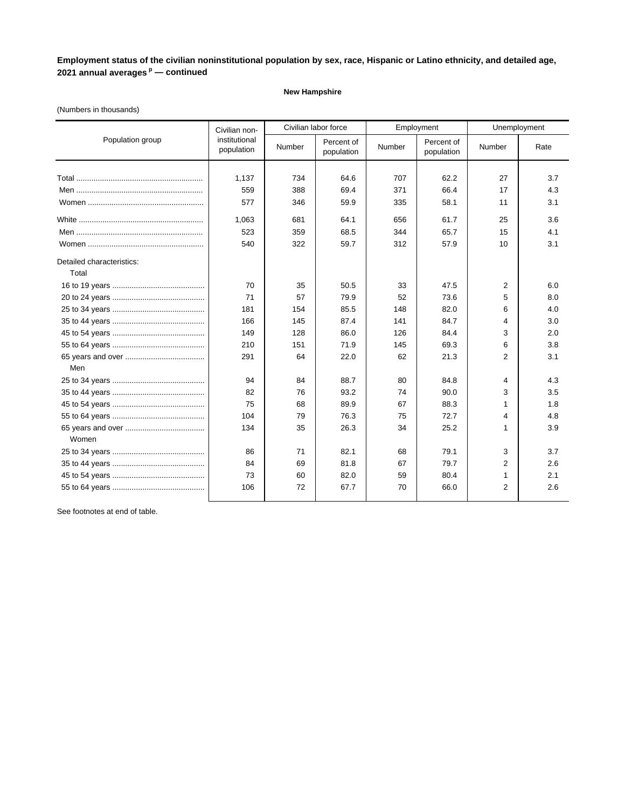### **New Hampshire**

### (Numbers in thousands)

|                           | Civilian non-               | Civilian labor force |                          |        | Employment               | Unemployment   |      |
|---------------------------|-----------------------------|----------------------|--------------------------|--------|--------------------------|----------------|------|
| Population group          | institutional<br>population | Number               | Percent of<br>population | Number | Percent of<br>population | Number         | Rate |
|                           |                             |                      |                          |        |                          |                |      |
|                           | 1,137                       | 734                  | 64.6                     | 707    | 62.2                     | 27             | 3.7  |
|                           | 559                         | 388                  | 69.4                     | 371    | 66.4                     | 17             | 4.3  |
|                           | 577                         | 346                  | 59.9                     | 335    | 58.1                     | 11             | 3.1  |
|                           | 1,063                       | 681                  | 64.1                     | 656    | 61.7                     | 25             | 3.6  |
|                           | 523                         | 359                  | 68.5                     | 344    | 65.7                     | 15             | 4.1  |
|                           | 540                         | 322                  | 59.7                     | 312    | 57.9                     | 10             | 3.1  |
| Detailed characteristics: |                             |                      |                          |        |                          |                |      |
| Total                     |                             |                      |                          |        |                          |                |      |
|                           | 70                          | 35                   | 50.5                     | 33     | 47.5                     | 2              | 6.0  |
|                           | 71                          | 57                   | 79.9                     | 52     | 73.6                     | 5              | 8.0  |
|                           | 181                         | 154                  | 85.5                     | 148    | 82.0                     | 6              | 4.0  |
|                           | 166                         | 145                  | 87.4                     | 141    | 84.7                     | 4              | 3.0  |
|                           | 149                         | 128                  | 86.0                     | 126    | 84.4                     | 3              | 2.0  |
|                           | 210                         | 151                  | 71.9                     | 145    | 69.3                     | 6              | 3.8  |
|                           | 291                         | 64                   | 22.0                     | 62     | 21.3                     | 2              | 3.1  |
| Men                       |                             |                      |                          |        |                          |                |      |
|                           | 94                          | 84                   | 88.7                     | 80     | 84.8                     | 4              | 4.3  |
|                           | 82                          | 76                   | 93.2                     | 74     | 90.0                     | 3              | 3.5  |
|                           | 75                          | 68                   | 89.9                     | 67     | 88.3                     | 1              | 1.8  |
|                           | 104                         | 79                   | 76.3                     | 75     | 72.7                     | 4              | 4.8  |
|                           | 134                         | 35                   | 26.3                     | 34     | 25.2                     | 1              | 3.9  |
| Women                     |                             |                      |                          |        |                          |                |      |
|                           | 86                          | 71                   | 82.1                     | 68     | 79.1                     | 3              | 3.7  |
|                           | 84                          | 69                   | 81.8                     | 67     | 79.7                     | 2              | 2.6  |
|                           | 73                          | 60                   | 82.0                     | 59     | 80.4                     | 1              | 2.1  |
|                           | 106                         | 72                   | 67.7                     | 70     | 66.0                     | $\overline{2}$ | 2.6  |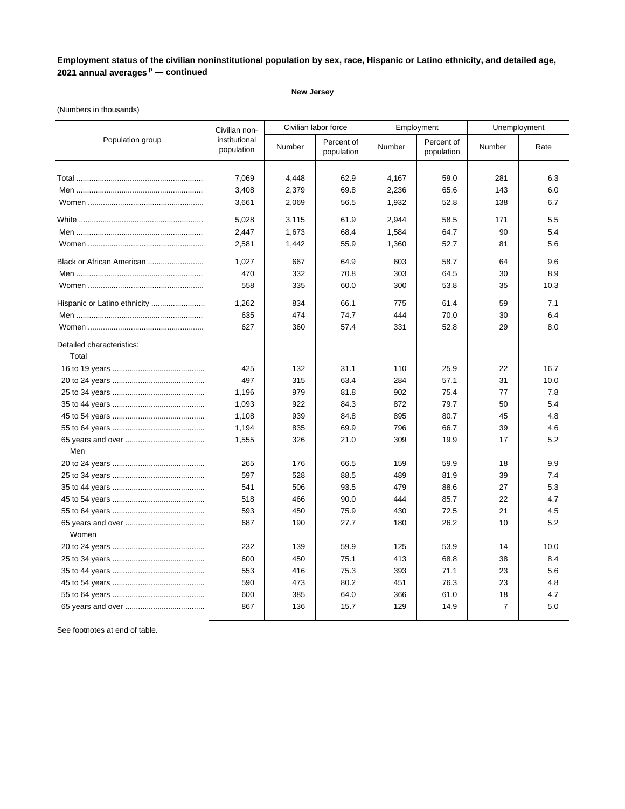#### **New Jersey**

### (Numbers in thousands)

|                              | Civilian non-               |            | Civilian labor force     |            | Employment               | Unemployment   |              |
|------------------------------|-----------------------------|------------|--------------------------|------------|--------------------------|----------------|--------------|
| Population group             | institutional<br>population | Number     | Percent of<br>population | Number     | Percent of<br>population | Number         | Rate         |
|                              |                             |            |                          |            |                          |                |              |
|                              | 7,069                       | 4,448      | 62.9                     | 4,167      | 59.0                     | 281            | 6.3          |
|                              | 3,408                       | 2,379      | 69.8                     | 2,236      | 65.6                     | 143            | 6.0          |
|                              | 3,661                       | 2,069      | 56.5                     | 1,932      | 52.8                     | 138            | 6.7          |
|                              | 5,028                       | 3,115      | 61.9                     | 2,944      | 58.5                     | 171            | 5.5          |
|                              | 2,447                       | 1,673      | 68.4                     | 1,584      | 64.7                     | 90             | 5.4          |
|                              | 2,581                       | 1,442      | 55.9                     | 1,360      | 52.7                     | 81             | 5.6          |
| Black or African American    | 1,027                       | 667        | 64.9                     | 603        | 58.7                     | 64             | 9.6          |
|                              | 470                         | 332        | 70.8                     | 303        | 64.5                     | 30             | 8.9          |
|                              | 558                         | 335        | 60.0                     | 300        | 53.8                     | 35             | 10.3         |
| Hispanic or Latino ethnicity | 1,262                       | 834        | 66.1                     | 775        | 61.4                     | 59             | 7.1          |
|                              | 635                         | 474        | 74.7                     | 444        | 70.0                     | 30             | 6.4          |
|                              | 627                         | 360        | 57.4                     | 331        | 52.8                     | 29             | 8.0          |
| Detailed characteristics:    |                             |            |                          |            |                          |                |              |
| Total                        |                             |            |                          |            |                          |                |              |
|                              | 425<br>497                  | 132<br>315 | 31.1<br>63.4             | 110<br>284 | 25.9<br>57.1             | 22             | 16.7<br>10.0 |
|                              |                             | 979        | 81.8                     | 902        | 75.4                     | 31<br>77       | 7.8          |
|                              | 1,196<br>1,093              | 922        | 84.3                     | 872        | 79.7                     | 50             | 5.4          |
|                              | 1,108                       | 939        | 84.8                     | 895        | 80.7                     | 45             | 4.8          |
|                              | 1,194                       | 835        | 69.9                     | 796        | 66.7                     | 39             | 4.6          |
|                              | 1,555                       | 326        | 21.0                     | 309        | 19.9                     | 17             | 5.2          |
| Men                          |                             |            |                          |            |                          |                |              |
|                              | 265                         | 176        | 66.5                     | 159        | 59.9                     | 18             | 9.9          |
|                              | 597                         | 528        | 88.5                     | 489        | 81.9                     | 39             | 7.4          |
|                              | 541                         | 506        | 93.5                     | 479        | 88.6                     | 27             | 5.3          |
|                              | 518                         | 466        | 90.0                     | 444        | 85.7                     | 22             | 4.7          |
|                              | 593                         | 450        | 75.9                     | 430        | 72.5                     | 21             | 4.5          |
|                              | 687                         | 190        | 27.7                     | 180        | 26.2                     | 10             | 5.2          |
| Women                        |                             |            |                          |            |                          |                |              |
|                              | 232                         | 139        | 59.9                     | 125        | 53.9                     | 14             | 10.0         |
|                              | 600                         | 450        | 75.1                     | 413        | 68.8                     | 38             | 8.4          |
|                              | 553                         | 416        | 75.3                     | 393        | 71.1                     | 23             | 5.6          |
|                              | 590                         | 473        | 80.2                     | 451        | 76.3                     | 23             | 4.8          |
|                              | 600                         | 385        | 64.0                     | 366        | 61.0                     | 18             | 4.7          |
|                              | 867                         | 136        | 15.7                     | 129        | 14.9                     | $\overline{7}$ | 5.0          |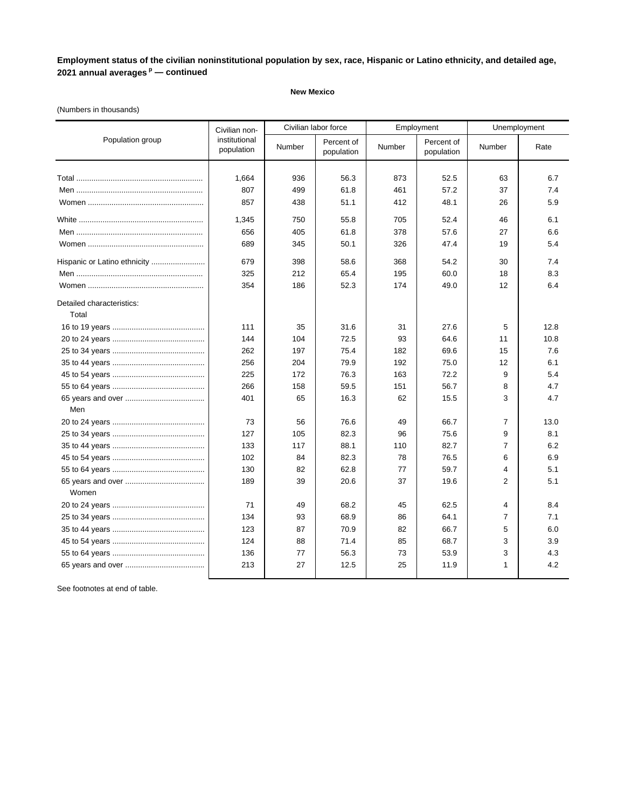### **New Mexico**

### (Numbers in thousands)

|                                    | Civilian non-               | Civilian labor force |                          | Employment |                          | Unemployment   |      |
|------------------------------------|-----------------------------|----------------------|--------------------------|------------|--------------------------|----------------|------|
| Population group                   | institutional<br>population | Number               | Percent of<br>population | Number     | Percent of<br>population | Number         | Rate |
|                                    |                             |                      |                          |            |                          |                |      |
|                                    | 1,664                       | 936                  | 56.3                     | 873        | 52.5                     | 63             | 6.7  |
|                                    | 807                         | 499                  | 61.8                     | 461        | 57.2                     | 37             | 7.4  |
|                                    | 857                         | 438                  | 51.1                     | 412        | 48.1                     | 26             | 5.9  |
|                                    | 1,345                       | 750                  | 55.8                     | 705        | 52.4                     | 46             | 6.1  |
|                                    | 656                         | 405                  | 61.8                     | 378        | 57.6                     | 27             | 6.6  |
|                                    | 689                         | 345                  | 50.1                     | 326        | 47.4                     | 19             | 5.4  |
|                                    | 679                         | 398                  | 58.6                     | 368        | 54.2                     | 30             | 7.4  |
|                                    | 325                         | 212                  | 65.4                     | 195        | 60.0                     | 18             | 8.3  |
|                                    | 354                         | 186                  | 52.3                     | 174        | 49.0                     | 12             | 6.4  |
| Detailed characteristics:<br>Total |                             |                      |                          |            |                          |                |      |
|                                    | 111                         | 35                   | 31.6                     | 31         | 27.6                     | 5              | 12.8 |
|                                    | 144                         | 104                  | 72.5                     | 93         | 64.6                     | 11             | 10.8 |
|                                    | 262                         | 197                  | 75.4                     | 182        | 69.6                     | 15             | 7.6  |
|                                    | 256                         | 204                  | 79.9                     | 192        | 75.0                     | 12             | 6.1  |
|                                    | 225                         | 172                  | 76.3                     | 163        | 72.2                     | 9              | 5.4  |
|                                    | 266                         | 158                  | 59.5                     | 151        | 56.7                     | 8              | 4.7  |
| Men                                | 401                         | 65                   | 16.3                     | 62         | 15.5                     | 3              | 4.7  |
|                                    | 73                          | 56                   | 76.6                     | 49         | 66.7                     | $\overline{7}$ | 13.0 |
|                                    | 127                         | 105                  | 82.3                     | 96         | 75.6                     | 9              | 8.1  |
|                                    | 133                         | 117                  | 88.1                     | 110        | 82.7                     | 7              | 6.2  |
|                                    | 102                         | 84                   | 82.3                     | 78         | 76.5                     | 6              | 6.9  |
|                                    | 130                         | 82                   | 62.8                     | 77         | 59.7                     | 4              | 5.1  |
|                                    | 189                         | 39                   | 20.6                     | 37         | 19.6                     | $\overline{2}$ | 5.1  |
| Women                              |                             |                      |                          |            |                          |                |      |
|                                    | 71                          | 49                   | 68.2                     | 45         | 62.5                     | 4              | 8.4  |
|                                    | 134                         | 93                   | 68.9                     | 86         | 64.1                     | $\overline{7}$ | 7.1  |
|                                    | 123                         | 87                   | 70.9                     | 82         | 66.7                     | 5              | 6.0  |
|                                    | 124                         | 88                   | 71.4                     | 85         | 68.7                     | 3              | 3.9  |
|                                    | 136                         | 77                   | 56.3                     | 73         | 53.9                     | 3              | 4.3  |
|                                    | 213                         | 27                   | 12.5                     | 25         | 11.9                     | $\mathbf{1}$   | 4.2  |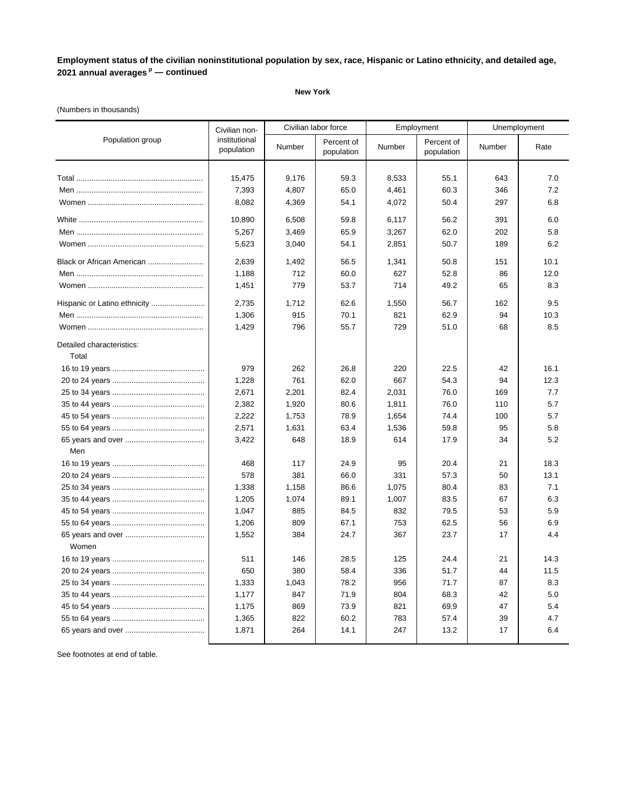### **New York**

### (Numbers in thousands)

|                                    | Civilian non-               | Civilian labor force |                          | Employment |                          | Unemployment |      |
|------------------------------------|-----------------------------|----------------------|--------------------------|------------|--------------------------|--------------|------|
| Population group                   | institutional<br>population | Number               | Percent of<br>population | Number     | Percent of<br>population | Number       | Rate |
|                                    | 15,475                      | 9.176                | 59.3                     | 8,533      | 55.1                     | 643          | 7.0  |
|                                    | 7,393                       | 4,807                | 65.0                     | 4,461      | 60.3                     | 346          | 7.2  |
|                                    | 8,082                       | 4,369                | 54.1                     | 4,072      | 50.4                     | 297          | 6.8  |
|                                    | 10,890                      | 6,508                | 59.8                     | 6,117      | 56.2                     | 391          | 6.0  |
|                                    | 5,267                       | 3,469                | 65.9                     | 3,267      | 62.0                     | 202          | 5.8  |
|                                    | 5,623                       | 3,040                | 54.1                     | 2,851      | 50.7                     | 189          | 6.2  |
| Black or African American          | 2,639                       | 1,492                | 56.5                     | 1,341      | 50.8                     | 151          | 10.1 |
|                                    | 1,188                       | 712                  | 60.0                     | 627        | 52.8                     | 86           | 12.0 |
|                                    | 1,451                       | 779                  | 53.7                     | 714        | 49.2                     | 65           | 8.3  |
|                                    | 2,735                       | 1,712                | 62.6                     | 1,550      | 56.7                     | 162          | 9.5  |
|                                    | 1,306                       | 915                  | 70.1                     | 821        | 62.9                     | 94           | 10.3 |
|                                    | 1,429                       | 796                  | 55.7                     | 729        | 51.0                     | 68           | 8.5  |
| Detailed characteristics:<br>Total |                             |                      |                          |            |                          |              |      |
|                                    | 979                         | 262                  | 26.8                     | 220        | 22.5                     | 42           | 16.1 |
|                                    | 1,228                       | 761                  | 62.0                     | 667        | 54.3                     | 94           | 12.3 |
|                                    | 2,671                       | 2,201                | 82.4                     | 2,031      | 76.0                     | 169          | 7.7  |
|                                    | 2,382                       | 1,920                | 80.6                     | 1,811      | 76.0                     | 110          | 5.7  |
|                                    | 2,222                       | 1,753                | 78.9                     | 1,654      | 74.4                     | 100          | 5.7  |
|                                    | 2,571                       | 1,631                | 63.4                     | 1,536      | 59.8                     | 95           | 5.8  |
|                                    | 3,422                       | 648                  | 18.9                     | 614        | 17.9                     | 34           | 5.2  |
| Men                                |                             |                      |                          |            |                          |              |      |
|                                    | 468                         | 117                  | 24.9                     | 95         | 20.4                     | 21           | 18.3 |
|                                    | 578                         | 381                  | 66.0                     | 331        | 57.3                     | 50           | 13.1 |
|                                    | 1,338                       | 1,158                | 86.6                     | 1,075      | 80.4                     | 83           | 7.1  |
|                                    | 1,205                       | 1,074                | 89.1                     | 1,007      | 83.5                     | 67           | 6.3  |
|                                    | 1,047                       | 885                  | 84.5                     | 832        | 79.5                     | 53           | 5.9  |
|                                    | 1,206                       | 809                  | 67.1                     | 753        | 62.5                     | 56           | 6.9  |
| Women                              | 1,552                       | 384                  | 24.7                     | 367        | 23.7                     | 17           | 4.4  |
|                                    | 511                         | 146                  | 28.5                     | 125        | 24.4                     | 21           | 14.3 |
|                                    | 650                         | 380                  | 58.4                     | 336        | 51.7                     | 44           | 11.5 |
|                                    | 1,333                       | 1,043                | 78.2                     | 956        | 71.7                     | 87           | 8.3  |
|                                    | 1,177                       | 847                  | 71.9                     | 804        | 68.3                     | 42           | 5.0  |
|                                    | 1,175                       | 869                  | 73.9                     | 821        | 69.9                     | 47           | 5.4  |
|                                    | 1,365                       | 822                  | 60.2                     | 783        | 57.4                     | 39           | 4.7  |
|                                    | 1,871                       | 264                  | 14.1                     | 247        | 13.2                     | 17           | 6.4  |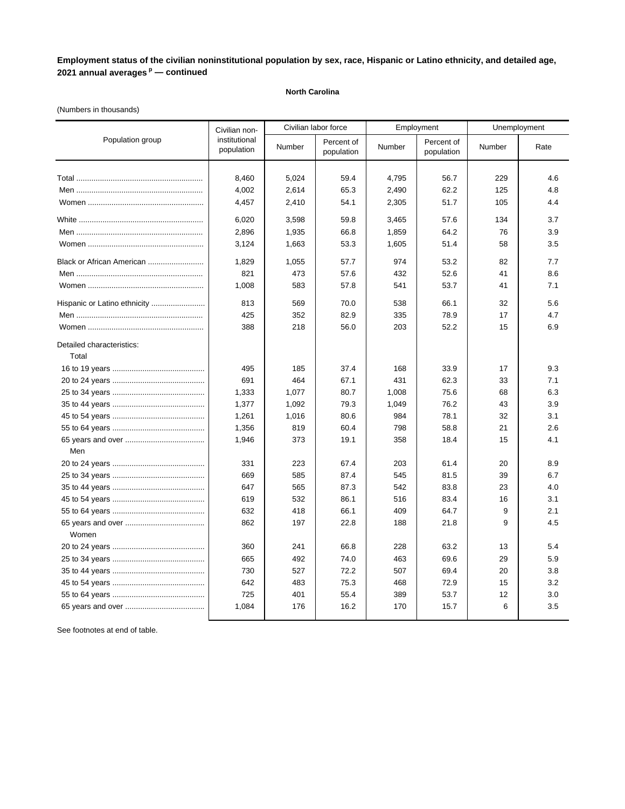### **North Carolina**

# (Numbers in thousands)

|                              | Civilian non-               |        | Civilian labor force     |        | Employment               |        | Unemployment |  |
|------------------------------|-----------------------------|--------|--------------------------|--------|--------------------------|--------|--------------|--|
| Population group             | institutional<br>population | Number | Percent of<br>population | Number | Percent of<br>population | Number | Rate         |  |
|                              |                             |        |                          |        |                          |        |              |  |
|                              | 8,460                       | 5,024  | 59.4                     | 4,795  | 56.7                     | 229    | 4.6          |  |
|                              | 4,002                       | 2,614  | 65.3                     | 2,490  | 62.2                     | 125    | 4.8          |  |
|                              | 4,457                       | 2,410  | 54.1                     | 2,305  | 51.7                     | 105    | 4.4          |  |
|                              | 6,020                       | 3,598  | 59.8                     | 3,465  | 57.6                     | 134    | 3.7          |  |
|                              | 2,896                       | 1,935  | 66.8                     | 1,859  | 64.2                     | 76     | 3.9          |  |
|                              | 3,124                       | 1,663  | 53.3                     | 1,605  | 51.4                     | 58     | 3.5          |  |
| Black or African American    | 1,829                       | 1,055  | 57.7                     | 974    | 53.2                     | 82     | 7.7          |  |
|                              | 821                         | 473    | 57.6                     | 432    | 52.6                     | 41     | 8.6          |  |
|                              | 1,008                       | 583    | 57.8                     | 541    | 53.7                     | 41     | 7.1          |  |
| Hispanic or Latino ethnicity | 813                         | 569    | 70.0                     | 538    | 66.1                     | 32     | 5.6          |  |
|                              | 425                         | 352    | 82.9                     | 335    | 78.9                     | 17     | 4.7          |  |
|                              | 388                         | 218    | 56.0                     | 203    | 52.2                     | 15     | 6.9          |  |
| Detailed characteristics:    |                             |        |                          |        |                          |        |              |  |
| Total                        |                             |        |                          |        |                          |        |              |  |
|                              | 495                         | 185    | 37.4                     | 168    | 33.9                     | 17     | 9.3          |  |
|                              | 691                         | 464    | 67.1                     | 431    | 62.3                     | 33     | 7.1          |  |
|                              | 1,333                       | 1,077  | 80.7                     | 1,008  | 75.6                     | 68     | 6.3          |  |
|                              | 1,377                       | 1,092  | 79.3                     | 1,049  | 76.2                     | 43     | 3.9          |  |
|                              | 1,261                       | 1,016  | 80.6                     | 984    | 78.1                     | 32     | 3.1          |  |
|                              | 1,356                       | 819    | 60.4                     | 798    | 58.8                     | 21     | 2.6          |  |
|                              | 1,946                       | 373    | 19.1                     | 358    | 18.4                     | 15     | 4.1          |  |
| Men                          |                             |        |                          |        |                          |        |              |  |
|                              | 331                         | 223    | 67.4                     | 203    | 61.4                     | 20     | 8.9          |  |
|                              | 669                         | 585    | 87.4                     | 545    | 81.5                     | 39     | 6.7          |  |
|                              | 647                         | 565    | 87.3                     | 542    | 83.8                     | 23     | 4.0          |  |
|                              | 619                         | 532    | 86.1                     | 516    | 83.4                     | 16     | 3.1          |  |
|                              | 632                         | 418    | 66.1                     | 409    | 64.7                     | 9      | 2.1          |  |
| Women                        | 862                         | 197    | 22.8                     | 188    | 21.8                     | 9      | 4.5          |  |
|                              | 360                         | 241    | 66.8                     | 228    | 63.2                     | 13     | 5.4          |  |
|                              | 665                         | 492    | 74.0                     | 463    | 69.6                     | 29     | 5.9          |  |
|                              | 730                         | 527    | 72.2                     | 507    | 69.4                     | 20     | 3.8          |  |
|                              | 642                         | 483    | 75.3                     | 468    | 72.9                     | 15     | 3.2          |  |
|                              | 725                         | 401    | 55.4                     | 389    | 53.7                     | 12     | 3.0          |  |
|                              | 1,084                       | 176    | 16.2                     | 170    | 15.7                     | 6      | 3.5          |  |
|                              |                             |        |                          |        |                          |        |              |  |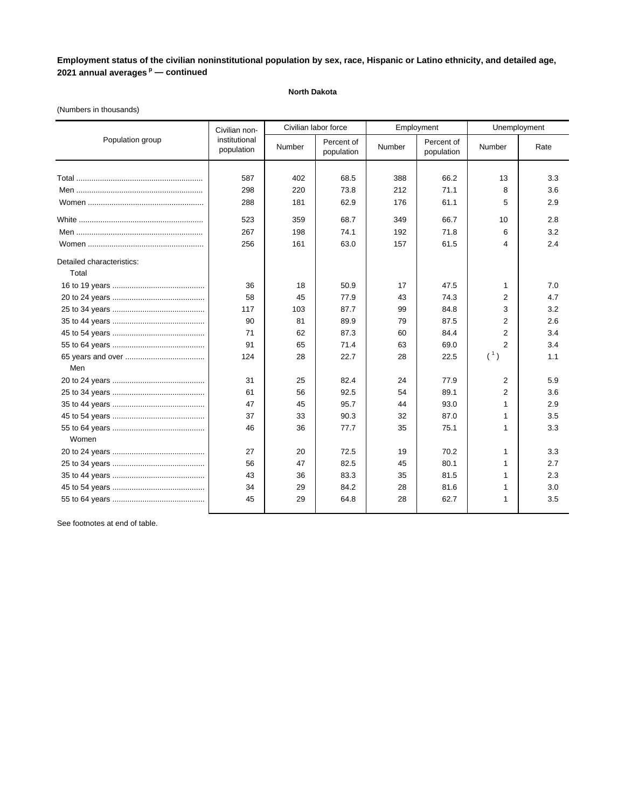### **North Dakota**

### (Numbers in thousands)

|                           | Civilian non-               | Civilian labor force |                          |        | Employment               | Unemployment   |      |
|---------------------------|-----------------------------|----------------------|--------------------------|--------|--------------------------|----------------|------|
| Population group          | institutional<br>population | Number               | Percent of<br>population | Number | Percent of<br>population | Number         | Rate |
|                           |                             |                      |                          |        |                          |                |      |
|                           | 587                         | 402                  | 68.5                     | 388    | 66.2                     | 13             | 3.3  |
|                           | 298                         | 220                  | 73.8                     | 212    | 71.1                     | 8              | 3.6  |
|                           | 288                         | 181                  | 62.9                     | 176    | 61.1                     | 5              | 2.9  |
|                           | 523                         | 359                  | 68.7                     | 349    | 66.7                     | 10             | 2.8  |
|                           | 267                         | 198                  | 74.1                     | 192    | 71.8                     | 6              | 3.2  |
|                           | 256                         | 161                  | 63.0                     | 157    | 61.5                     | 4              | 2.4  |
| Detailed characteristics: |                             |                      |                          |        |                          |                |      |
| Total                     |                             |                      |                          |        |                          |                |      |
|                           | 36                          | 18                   | 50.9                     | 17     | 47.5                     | 1              | 7.0  |
|                           | 58                          | 45                   | 77.9                     | 43     | 74.3                     | 2              | 4.7  |
|                           | 117                         | 103                  | 87.7                     | 99     | 84.8                     | 3              | 3.2  |
|                           | 90                          | 81                   | 89.9                     | 79     | 87.5                     | 2              | 2.6  |
|                           | 71                          | 62                   | 87.3                     | 60     | 84.4                     | 2              | 3.4  |
|                           | 91                          | 65                   | 71.4                     | 63     | 69.0                     | 2              | 3.4  |
|                           | 124                         | 28                   | 22.7                     | 28     | 22.5                     | (1)            | 1.1  |
| Men                       |                             |                      |                          |        |                          |                |      |
|                           | 31                          | 25                   | 82.4                     | 24     | 77.9                     | $\overline{2}$ | 5.9  |
|                           | 61                          | 56                   | 92.5                     | 54     | 89.1                     | $\overline{2}$ | 3.6  |
|                           | 47                          | 45                   | 95.7                     | 44     | 93.0                     | 1              | 2.9  |
|                           | 37                          | 33                   | 90.3                     | 32     | 87.0                     | 1              | 3.5  |
|                           | 46                          | 36                   | 77.7                     | 35     | 75.1                     | 1              | 3.3  |
| Women                     |                             |                      |                          |        |                          |                |      |
|                           | 27                          | 20                   | 72.5                     | 19     | 70.2                     | 1              | 3.3  |
|                           | 56                          | 47                   | 82.5                     | 45     | 80.1                     | 1              | 2.7  |
|                           | 43                          | 36                   | 83.3                     | 35     | 81.5                     | 1              | 2.3  |
|                           | 34                          | 29                   | 84.2                     | 28     | 81.6                     | 1              | 3.0  |
|                           | 45                          | 29                   | 64.8                     | 28     | 62.7                     | 1              | 3.5  |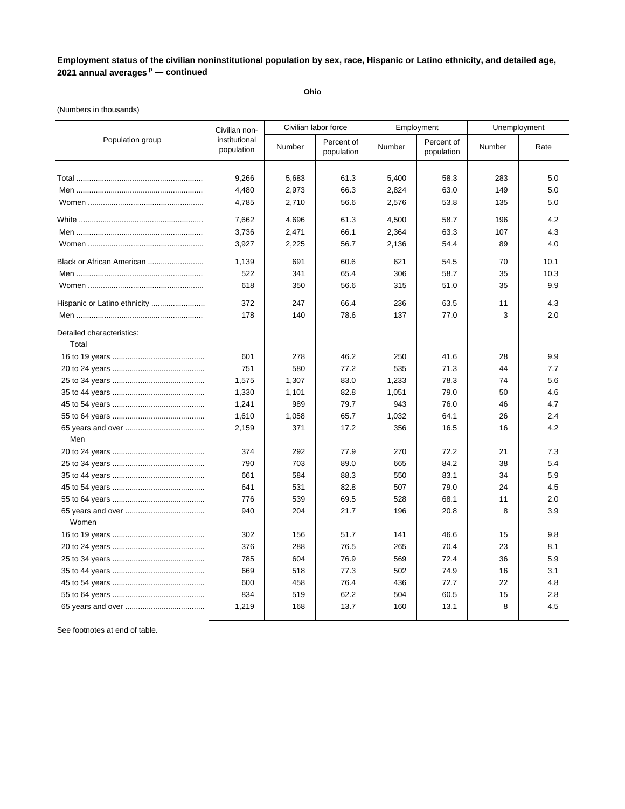**Ohio**

### (Numbers in thousands)

|                                    | Civilian non-               |        | Civilian labor force     |        | Employment               | Unemployment |      |
|------------------------------------|-----------------------------|--------|--------------------------|--------|--------------------------|--------------|------|
| Population group                   | institutional<br>population | Number | Percent of<br>population | Number | Percent of<br>population | Number       | Rate |
|                                    |                             |        |                          |        |                          |              |      |
|                                    | 9,266                       | 5,683  | 61.3                     | 5,400  | 58.3                     | 283          | 5.0  |
|                                    | 4,480                       | 2,973  | 66.3                     | 2,824  | 63.0                     | 149          | 5.0  |
|                                    | 4,785                       | 2,710  | 56.6                     | 2,576  | 53.8                     | 135          | 5.0  |
|                                    | 7,662                       | 4,696  | 61.3                     | 4,500  | 58.7                     | 196          | 4.2  |
|                                    | 3,736                       | 2,471  | 66.1                     | 2,364  | 63.3                     | 107          | 4.3  |
|                                    | 3,927                       | 2,225  | 56.7                     | 2,136  | 54.4                     | 89           | 4.0  |
| Black or African American          | 1,139                       | 691    | 60.6                     | 621    | 54.5                     | 70           | 10.1 |
|                                    | 522                         | 341    | 65.4                     | 306    | 58.7                     | 35           | 10.3 |
|                                    | 618                         | 350    | 56.6                     | 315    | 51.0                     | 35           | 9.9  |
| Hispanic or Latino ethnicity       | 372                         | 247    | 66.4                     | 236    | 63.5                     | 11           | 4.3  |
|                                    | 178                         | 140    | 78.6                     | 137    | 77.0                     | 3            | 2.0  |
| Detailed characteristics:<br>Total |                             |        |                          |        |                          |              |      |
|                                    | 601                         | 278    | 46.2                     | 250    | 41.6                     | 28           | 9.9  |
|                                    | 751                         | 580    | 77.2                     | 535    | 71.3                     | 44           | 7.7  |
|                                    | 1,575                       | 1,307  | 83.0                     | 1,233  | 78.3                     | 74           | 5.6  |
|                                    | 1,330                       | 1,101  | 82.8                     | 1,051  | 79.0                     | 50           | 4.6  |
|                                    | 1,241                       | 989    | 79.7                     | 943    | 76.0                     | 46           | 4.7  |
|                                    | 1,610                       | 1,058  | 65.7                     | 1,032  | 64.1                     | 26           | 2.4  |
|                                    | 2,159                       | 371    | 17.2                     | 356    | 16.5                     | 16           | 4.2  |
| Men                                |                             |        |                          |        |                          |              |      |
|                                    | 374                         | 292    | 77.9                     | 270    | 72.2                     | 21           | 7.3  |
|                                    | 790                         | 703    | 89.0                     | 665    | 84.2                     | 38           | 5.4  |
|                                    | 661                         | 584    | 88.3                     | 550    | 83.1                     | 34           | 5.9  |
|                                    | 641                         | 531    | 82.8                     | 507    | 79.0                     | 24           | 4.5  |
|                                    | 776                         | 539    | 69.5                     | 528    | 68.1                     | 11           | 2.0  |
| Women                              | 940                         | 204    | 21.7                     | 196    | 20.8                     | 8            | 3.9  |
|                                    | 302                         | 156    | 51.7                     | 141    | 46.6                     | 15           | 9.8  |
|                                    | 376                         | 288    | 76.5                     | 265    | 70.4                     | 23           | 8.1  |
|                                    | 785                         | 604    | 76.9                     | 569    | 72.4                     | 36           | 5.9  |
|                                    | 669                         | 518    | 77.3                     | 502    | 74.9                     | 16           | 3.1  |
|                                    | 600                         | 458    | 76.4                     | 436    | 72.7                     | 22           | 4.8  |
|                                    | 834                         | 519    | 62.2                     | 504    | 60.5                     | 15           | 2.8  |
|                                    | 1,219                       | 168    | 13.7                     | 160    | 13.1                     | 8            | 4.5  |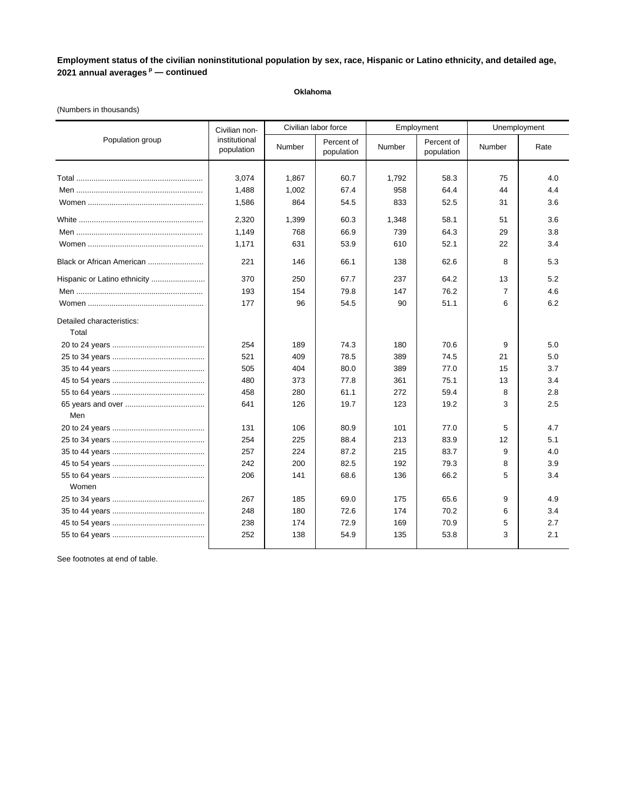### **Oklahoma**

### (Numbers in thousands)

|                                    | Civilian non-               |        | Civilian labor force     |        | Employment               |                | Unemployment |
|------------------------------------|-----------------------------|--------|--------------------------|--------|--------------------------|----------------|--------------|
| Population group                   | institutional<br>population | Number | Percent of<br>population | Number | Percent of<br>population | Number         | Rate         |
|                                    |                             |        |                          |        |                          |                |              |
|                                    | 3,074                       | 1,867  | 60.7                     | 1,792  | 58.3                     | 75             | 4.0          |
|                                    | 1,488                       | 1,002  | 67.4                     | 958    | 64.4                     | 44             | 4.4          |
|                                    | 1,586                       | 864    | 54.5                     | 833    | 52.5                     | 31             | 3.6          |
|                                    | 2,320                       | 1,399  | 60.3                     | 1,348  | 58.1                     | 51             | 3.6          |
|                                    | 1,149                       | 768    | 66.9                     | 739    | 64.3                     | 29             | 3.8          |
|                                    | 1,171                       | 631    | 53.9                     | 610    | 52.1                     | 22             | 3.4          |
| Black or African American          | 221                         | 146    | 66.1                     | 138    | 62.6                     | 8              | 5.3          |
| Hispanic or Latino ethnicity       | 370                         | 250    | 67.7                     | 237    | 64.2                     | 13             | 5.2          |
|                                    | 193                         | 154    | 79.8                     | 147    | 76.2                     | $\overline{7}$ | 4.6          |
|                                    | 177                         | 96     | 54.5                     | 90     | 51.1                     | 6              | 6.2          |
| Detailed characteristics:<br>Total |                             |        |                          |        |                          |                |              |
|                                    | 254                         | 189    | 74.3                     | 180    | 70.6                     | 9              | 5.0          |
|                                    | 521                         | 409    | 78.5                     | 389    | 74.5                     | 21             | 5.0          |
|                                    | 505                         | 404    | 80.0                     | 389    | 77.0                     | 15             | 3.7          |
|                                    | 480                         | 373    | 77.8                     | 361    | 75.1                     | 13             | 3.4          |
|                                    | 458                         | 280    | 61.1                     | 272    | 59.4                     | 8              | 2.8          |
|                                    | 641                         | 126    | 19.7                     | 123    | 19.2                     | 3              | 2.5          |
| Men                                |                             |        |                          |        |                          |                |              |
|                                    | 131                         | 106    | 80.9                     | 101    | 77.0                     | 5              | 4.7          |
|                                    | 254                         | 225    | 88.4                     | 213    | 83.9                     | 12             | 5.1          |
|                                    | 257                         | 224    | 87.2                     | 215    | 83.7                     | 9              | 4.0          |
|                                    | 242                         | 200    | 82.5                     | 192    | 79.3                     | 8              | 3.9          |
|                                    | 206                         | 141    | 68.6                     | 136    | 66.2                     | 5              | 3.4          |
| Women                              |                             |        |                          |        |                          |                |              |
|                                    | 267                         | 185    | 69.0                     | 175    | 65.6                     | 9              | 4.9          |
|                                    | 248                         | 180    | 72.6                     | 174    | 70.2                     | 6              | 3.4          |
|                                    | 238                         | 174    | 72.9                     | 169    | 70.9                     | 5              | 2.7          |
|                                    | 252                         | 138    | 54.9                     | 135    | 53.8                     | 3              | 2.1          |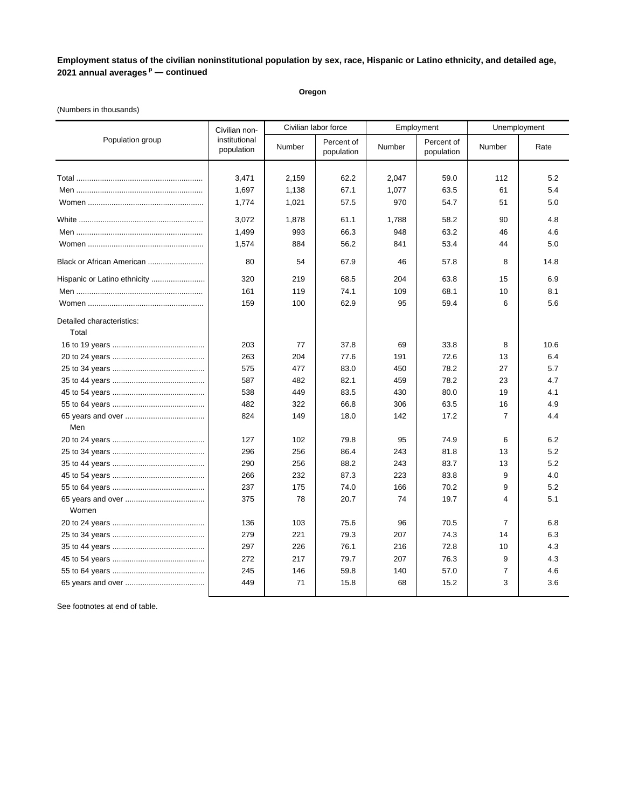**Oregon**

### (Numbers in thousands)

|                                    | Civilian non-               | Civilian labor force |                          |        | Employment               |                | Unemployment |
|------------------------------------|-----------------------------|----------------------|--------------------------|--------|--------------------------|----------------|--------------|
| Population group                   | institutional<br>population | Number               | Percent of<br>population | Number | Percent of<br>population | Number         | Rate         |
|                                    |                             |                      |                          |        |                          |                |              |
|                                    | 3,471                       | 2.159                | 62.2                     | 2,047  | 59.0                     | 112            | 5.2          |
|                                    | 1,697                       | 1,138                | 67.1                     | 1,077  | 63.5                     | 61             | 5.4          |
|                                    | 1,774                       | 1,021                | 57.5                     | 970    | 54.7                     | 51             | 5.0          |
|                                    | 3,072                       | 1,878                | 61.1                     | 1,788  | 58.2                     | 90             | 4.8          |
|                                    | 1,499                       | 993                  | 66.3                     | 948    | 63.2                     | 46             | 4.6          |
|                                    | 1,574                       | 884                  | 56.2                     | 841    | 53.4                     | 44             | 5.0          |
| Black or African American          | 80                          | 54                   | 67.9                     | 46     | 57.8                     | 8              | 14.8         |
| Hispanic or Latino ethnicity       | 320                         | 219                  | 68.5                     | 204    | 63.8                     | 15             | 6.9          |
|                                    | 161                         | 119                  | 74.1                     | 109    | 68.1                     | 10             | 8.1          |
|                                    | 159                         | 100                  | 62.9                     | 95     | 59.4                     | 6              | 5.6          |
| Detailed characteristics:<br>Total |                             |                      |                          |        |                          |                |              |
|                                    | 203                         | 77                   | 37.8                     | 69     | 33.8                     | 8              | 10.6         |
|                                    | 263                         | 204                  | 77.6                     | 191    | 72.6                     | 13             | 6.4          |
|                                    | 575                         | 477                  | 83.0                     | 450    | 78.2                     | 27             | 5.7          |
|                                    | 587                         | 482                  | 82.1                     | 459    | 78.2                     | 23             | 4.7          |
|                                    | 538                         | 449                  | 83.5                     | 430    | 80.0                     | 19             | 4.1          |
|                                    | 482                         | 322                  | 66.8                     | 306    | 63.5                     | 16             | 4.9          |
|                                    | 824                         | 149                  | 18.0                     | 142    | 17.2                     | $\overline{7}$ | 4.4          |
| Men                                |                             |                      |                          |        |                          |                |              |
|                                    | 127                         | 102                  | 79.8                     | 95     | 74.9                     | 6              | 6.2          |
|                                    | 296                         | 256                  | 86.4                     | 243    | 81.8                     | 13             | 5.2          |
|                                    | 290                         | 256                  | 88.2                     | 243    | 83.7                     | 13             | 5.2          |
|                                    | 266                         | 232                  | 87.3                     | 223    | 83.8                     | 9              | 4.0          |
|                                    | 237                         | 175                  | 74.0                     | 166    | 70.2                     | 9              | 5.2          |
| Women                              | 375                         | 78                   | 20.7                     | 74     | 19.7                     | $\overline{4}$ | 5.1          |
|                                    | 136                         | 103                  | 75.6                     | 96     | 70.5                     | 7              | 6.8          |
|                                    | 279                         | 221                  | 79.3                     | 207    | 74.3                     | 14             | 6.3          |
|                                    | 297                         | 226                  | 76.1                     | 216    | 72.8                     | 10             | 4.3          |
|                                    | 272                         | 217                  | 79.7                     | 207    | 76.3                     | 9              | 4.3          |
|                                    | 245                         | 146                  | 59.8                     | 140    | 57.0                     | 7              | 4.6          |
|                                    | 449                         | 71                   | 15.8                     | 68     | 15.2                     | 3              | 3.6          |
|                                    |                             |                      |                          |        |                          |                |              |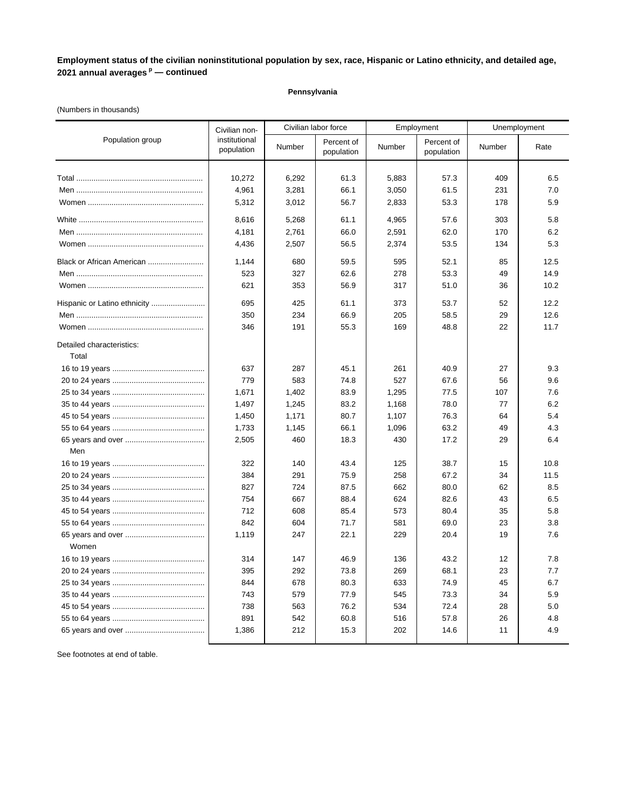### **Pennsylvania**

### (Numbers in thousands)

|                              | Civilian non-               |                | Civilian labor force     |                | Employment               |            | Unemployment |  |
|------------------------------|-----------------------------|----------------|--------------------------|----------------|--------------------------|------------|--------------|--|
| Population group             | institutional<br>population | Number         | Percent of<br>population | Number         | Percent of<br>population | Number     | Rate         |  |
|                              | 10,272<br>4,961             | 6,292<br>3,281 | 61.3<br>66.1             | 5,883<br>3,050 | 57.3<br>61.5             | 409<br>231 | 6.5<br>7.0   |  |
|                              | 5,312                       | 3,012          | 56.7                     | 2,833          | 53.3                     | 178        | 5.9          |  |
|                              | 8,616                       | 5,268          | 61.1                     | 4,965          | 57.6                     | 303        | 5.8          |  |
|                              | 4,181                       | 2,761          | 66.0                     | 2,591          | 62.0                     | 170        | 6.2          |  |
|                              | 4,436                       | 2,507          | 56.5                     | 2,374          | 53.5                     | 134        | 5.3          |  |
| Black or African American    | 1,144                       | 680            | 59.5                     | 595            | 52.1                     | 85         | 12.5         |  |
|                              | 523                         | 327            | 62.6                     | 278            | 53.3                     | 49         | 14.9         |  |
|                              | 621                         | 353            | 56.9                     | 317            | 51.0                     | 36         | 10.2         |  |
| Hispanic or Latino ethnicity | 695                         | 425            | 61.1                     | 373            | 53.7                     | 52         | 12.2         |  |
|                              | 350                         | 234            | 66.9                     | 205            | 58.5                     | 29         | 12.6         |  |
|                              | 346                         | 191            | 55.3                     | 169            | 48.8                     | 22         | 11.7         |  |
| Detailed characteristics:    |                             |                |                          |                |                          |            |              |  |
| Total                        |                             |                |                          |                |                          |            |              |  |
|                              | 637                         | 287            | 45.1                     | 261            | 40.9                     | 27         | 9.3          |  |
|                              | 779                         | 583            | 74.8                     | 527            | 67.6                     | 56         | 9.6          |  |
|                              | 1,671                       | 1,402          | 83.9                     | 1,295          | 77.5                     | 107        | 7.6          |  |
|                              | 1,497                       | 1,245          | 83.2                     | 1,168          | 78.0                     | 77         | 6.2          |  |
|                              | 1,450                       | 1,171          | 80.7                     | 1,107          | 76.3                     | 64         | 5.4          |  |
|                              | 1,733                       | 1,145          | 66.1                     | 1,096          | 63.2                     | 49         | 4.3          |  |
|                              | 2,505                       | 460            | 18.3                     | 430            | 17.2                     | 29         | 6.4          |  |
| Men                          |                             |                |                          |                |                          |            |              |  |
|                              | 322                         | 140            | 43.4                     | 125            | 38.7                     | 15         | 10.8         |  |
|                              | 384                         | 291            | 75.9                     | 258            | 67.2                     | 34         | 11.5         |  |
|                              | 827                         | 724            | 87.5                     | 662            | 80.0                     | 62         | 8.5          |  |
|                              | 754                         | 667            | 88.4                     | 624            | 82.6                     | 43         | 6.5          |  |
|                              | 712                         | 608            | 85.4                     | 573            | 80.4                     | 35         | 5.8          |  |
|                              | 842                         | 604            | 71.7                     | 581            | 69.0                     | 23         | 3.8          |  |
| Women                        | 1,119                       | 247            | 22.1                     | 229            | 20.4                     | 19         | 7.6          |  |
|                              | 314                         | 147            | 46.9                     | 136            | 43.2                     | 12         | 7.8          |  |
|                              | 395                         | 292            | 73.8                     | 269            | 68.1                     | 23         | 7.7          |  |
|                              | 844                         | 678            | 80.3                     | 633            | 74.9                     | 45         | 6.7          |  |
|                              | 743                         | 579            | 77.9                     | 545            | 73.3                     | 34         | 5.9          |  |
|                              | 738                         | 563            | 76.2                     | 534            | 72.4                     | 28         | 5.0          |  |
|                              | 891                         | 542            | 60.8                     | 516            | 57.8                     | 26         | 4.8          |  |
|                              | 1,386                       | 212            | 15.3                     | 202            | 14.6                     | 11         | 4.9          |  |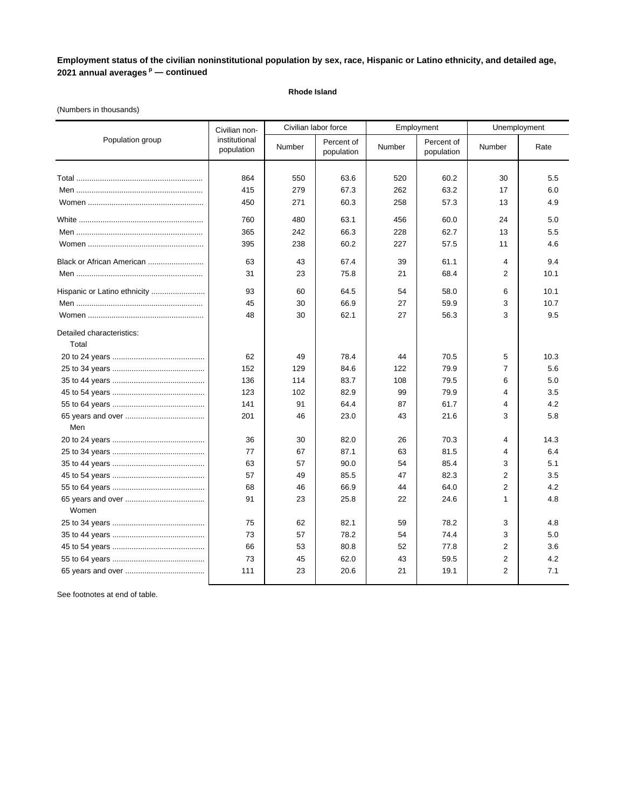### **Rhode Island**

### (Numbers in thousands)

|                                    | Civilian non-               |        | Civilian labor force     | Employment |                          |                | Unemployment |
|------------------------------------|-----------------------------|--------|--------------------------|------------|--------------------------|----------------|--------------|
| Population group                   | institutional<br>population | Number | Percent of<br>population | Number     | Percent of<br>population | Number         | Rate         |
|                                    |                             |        |                          |            |                          |                |              |
|                                    | 864                         | 550    | 63.6                     | 520        | 60.2                     | 30             | 5.5          |
|                                    | 415                         | 279    | 67.3                     | 262        | 63.2                     | 17             | 6.0          |
|                                    | 450                         | 271    | 60.3                     | 258        | 57.3                     | 13             | 4.9          |
|                                    | 760                         | 480    | 63.1                     | 456        | 60.0                     | 24             | 5.0          |
|                                    | 365                         | 242    | 66.3                     | 228        | 62.7                     | 13             | 5.5          |
|                                    | 395                         | 238    | 60.2                     | 227        | 57.5                     | 11             | 4.6          |
| Black or African American          | 63                          | 43     | 67.4                     | 39         | 61.1                     | 4              | 9.4          |
|                                    | 31                          | 23     | 75.8                     | 21         | 68.4                     | $\overline{2}$ | 10.1         |
| Hispanic or Latino ethnicity       | 93                          | 60     | 64.5                     | 54         | 58.0                     | 6              | 10.1         |
|                                    | 45                          | 30     | 66.9                     | 27         | 59.9                     | 3              | 10.7         |
|                                    | 48                          | 30     | 62.1                     | 27         | 56.3                     | 3              | 9.5          |
| Detailed characteristics:<br>Total |                             |        |                          |            |                          |                |              |
|                                    | 62                          | 49     | 78.4                     | 44         | 70.5                     | 5              | 10.3         |
|                                    | 152                         | 129    | 84.6                     | 122        | 79.9                     | $\overline{7}$ | 5.6          |
|                                    | 136                         | 114    | 83.7                     | 108        | 79.5                     | 6              | 5.0          |
|                                    | 123                         | 102    | 82.9                     | 99         | 79.9                     | 4              | 3.5          |
|                                    | 141                         | 91     | 64.4                     | 87         | 61.7                     | 4              | 4.2          |
|                                    | 201                         | 46     | 23.0                     | 43         | 21.6                     | 3              | 5.8          |
| Men                                |                             |        |                          |            |                          |                |              |
|                                    | 36                          | 30     | 82.0                     | 26         | 70.3                     | 4              | 14.3         |
|                                    | 77                          | 67     | 87.1                     | 63         | 81.5                     | 4              | 6.4          |
|                                    | 63                          | 57     | 90.0                     | 54         | 85.4                     | 3              | 5.1          |
|                                    | 57                          | 49     | 85.5                     | 47         | 82.3                     | 2              | 3.5          |
|                                    | 68                          | 46     | 66.9                     | 44         | 64.0                     | $\overline{2}$ | 4.2          |
| Women                              | 91                          | 23     | 25.8                     | 22         | 24.6                     | 1              | 4.8          |
|                                    | 75                          | 62     | 82.1                     | 59         | 78.2                     | 3              | 4.8          |
|                                    | 73                          | 57     | 78.2                     | 54         | 74.4                     | 3              | 5.0          |
|                                    | 66                          | 53     | 80.8                     | 52         | 77.8                     | $\overline{2}$ | 3.6          |
|                                    | 73                          | 45     | 62.0                     | 43         | 59.5                     | 2              | 4.2          |
|                                    | 111                         | 23     | 20.6                     | 21         | 19.1                     | $\overline{2}$ | 7.1          |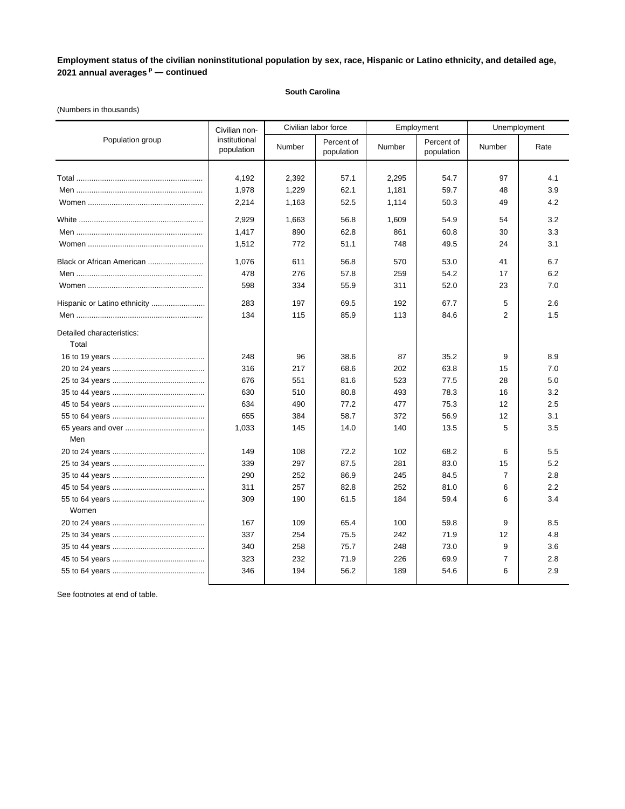### **South Carolina**

### (Numbers in thousands)

|                                    | Civilian non-               |        | Civilian labor force     | Employment |                          |                | Unemployment |
|------------------------------------|-----------------------------|--------|--------------------------|------------|--------------------------|----------------|--------------|
| Population group                   | institutional<br>population | Number | Percent of<br>population | Number     | Percent of<br>population | Number         | Rate         |
|                                    |                             |        |                          |            |                          |                |              |
|                                    | 4,192                       | 2,392  | 57.1                     | 2,295      | 54.7                     | 97             | 4.1          |
|                                    | 1,978                       | 1,229  | 62.1                     | 1,181      | 59.7                     | 48             | 3.9          |
|                                    | 2,214                       | 1,163  | 52.5                     | 1,114      | 50.3                     | 49             | 4.2          |
|                                    | 2,929                       | 1,663  | 56.8                     | 1,609      | 54.9                     | 54             | 3.2          |
|                                    | 1,417                       | 890    | 62.8                     | 861        | 60.8                     | 30             | 3.3          |
|                                    | 1,512                       | 772    | 51.1                     | 748        | 49.5                     | 24             | 3.1          |
| Black or African American          | 1,076                       | 611    | 56.8                     | 570        | 53.0                     | 41             | 6.7          |
|                                    | 478                         | 276    | 57.8                     | 259        | 54.2                     | 17             | 6.2          |
|                                    | 598                         | 334    | 55.9                     | 311        | 52.0                     | 23             | 7.0          |
| Hispanic or Latino ethnicity       | 283                         | 197    | 69.5                     | 192        | 67.7                     | 5              | 2.6          |
|                                    | 134                         | 115    | 85.9                     | 113        | 84.6                     | $\overline{2}$ | 1.5          |
| Detailed characteristics:<br>Total |                             |        |                          |            |                          |                |              |
|                                    | 248                         | 96     | 38.6                     | 87         | 35.2                     | 9              | 8.9          |
|                                    | 316                         | 217    | 68.6                     | 202        | 63.8                     | 15             | 7.0          |
|                                    | 676                         | 551    | 81.6                     | 523        | 77.5                     | 28             | 5.0          |
|                                    | 630                         | 510    | 80.8                     | 493        | 78.3                     | 16             | 3.2          |
|                                    | 634                         | 490    | 77.2                     | 477        | 75.3                     | 12             | 2.5          |
|                                    | 655                         | 384    | 58.7                     | 372        | 56.9                     | 12             | 3.1          |
|                                    | 1,033                       | 145    | 14.0                     | 140        | 13.5                     | 5              | 3.5          |
| Men                                |                             |        |                          |            |                          |                |              |
|                                    | 149                         | 108    | 72.2                     | 102        | 68.2                     | 6              | 5.5          |
|                                    | 339                         | 297    | 87.5                     | 281        | 83.0                     | 15             | 5.2          |
|                                    | 290                         | 252    | 86.9                     | 245        | 84.5                     | $\overline{7}$ | 2.8          |
|                                    | 311                         | 257    | 82.8                     | 252        | 81.0                     | 6              | 2.2          |
| Women                              | 309                         | 190    | 61.5                     | 184        | 59.4                     | 6              | 3.4          |
|                                    | 167                         | 109    | 65.4                     | 100        | 59.8                     | 9              | 8.5          |
|                                    | 337                         | 254    | 75.5                     | 242        | 71.9                     | 12             | 4.8          |
|                                    | 340                         | 258    | 75.7                     | 248        | 73.0                     | 9              | 3.6          |
|                                    | 323                         | 232    | 71.9                     | 226        | 69.9                     | 7              | 2.8          |
|                                    | 346                         | 194    | 56.2                     | 189        | 54.6                     | 6              | 2.9          |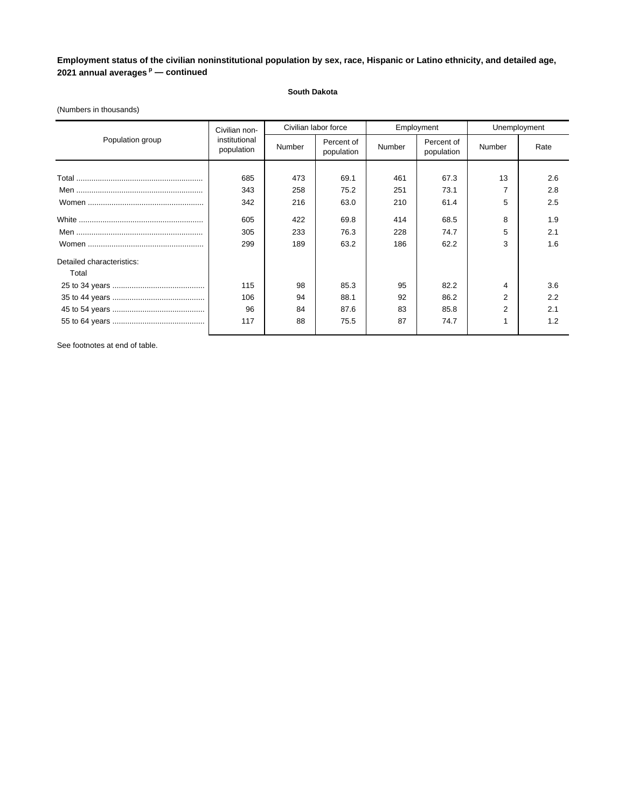### **South Dakota**

|                           | Civilian non-               | Civilian labor force |                          | Employment |                          | Unemployment   |      |
|---------------------------|-----------------------------|----------------------|--------------------------|------------|--------------------------|----------------|------|
| Population group          | institutional<br>population | Number               | Percent of<br>population | Number     | Percent of<br>population | Number         | Rate |
|                           |                             |                      |                          |            |                          |                |      |
|                           | 685                         | 473                  | 69.1                     | 461        | 67.3                     | 13             | 2.6  |
|                           | 343                         | 258                  | 75.2                     | 251        | 73.1                     | ⇁              | 2.8  |
|                           | 342                         | 216                  | 63.0                     | 210        | 61.4                     | 5              | 2.5  |
|                           | 605                         | 422                  | 69.8                     | 414        | 68.5                     | 8              | 1.9  |
|                           | 305                         | 233                  | 76.3                     | 228        | 74.7                     | 5              | 2.1  |
|                           | 299                         | 189                  | 63.2                     | 186        | 62.2                     | 3              | 1.6  |
| Detailed characteristics: |                             |                      |                          |            |                          |                |      |
| Total                     |                             |                      |                          |            |                          |                |      |
|                           | 115                         | 98                   | 85.3                     | 95         | 82.2                     | 4              | 3.6  |
|                           | 106                         | 94                   | 88.1                     | 92         | 86.2                     | $\overline{2}$ | 2.2  |
|                           | 96                          | 84                   | 87.6                     | 83         | 85.8                     | $\overline{2}$ | 2.1  |
|                           | 117                         | 88                   | 75.5                     | 87         | 74.7                     | 1              | 1.2  |

### (Numbers in thousands)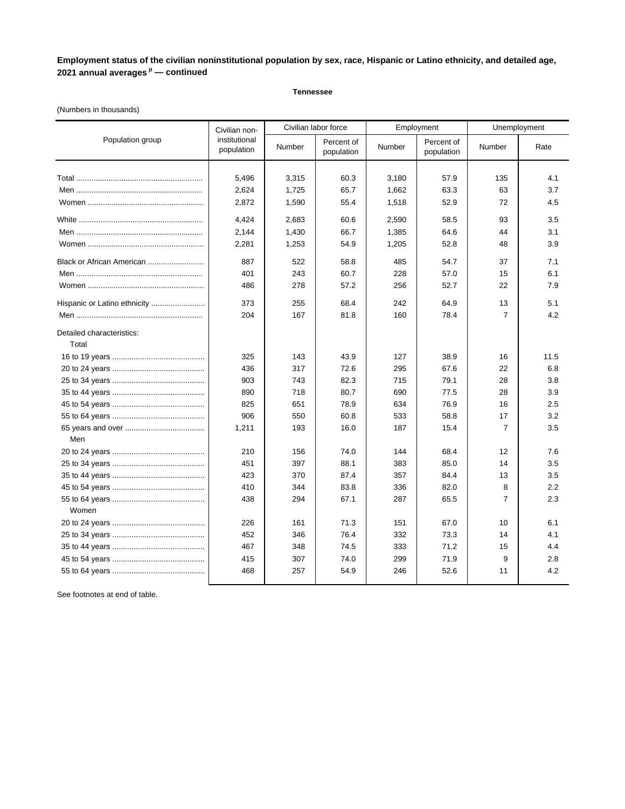#### **Tennessee**

### (Numbers in thousands)

|                                    | Civilian non-               |        | Civilian labor force     | Employment |                          |                | Unemployment |
|------------------------------------|-----------------------------|--------|--------------------------|------------|--------------------------|----------------|--------------|
| Population group                   | institutional<br>population | Number | Percent of<br>population | Number     | Percent of<br>population | Number         | Rate         |
|                                    |                             |        |                          |            |                          |                |              |
|                                    | 5,496                       | 3,315  | 60.3                     | 3,180      | 57.9                     | 135            | 4.1          |
|                                    | 2,624                       | 1,725  | 65.7                     | 1,662      | 63.3                     | 63             | 3.7          |
|                                    | 2,872                       | 1,590  | 55.4                     | 1,518      | 52.9                     | 72             | 4.5          |
|                                    | 4,424                       | 2,683  | 60.6                     | 2,590      | 58.5                     | 93             | 3.5          |
|                                    | 2,144                       | 1,430  | 66.7                     | 1,385      | 64.6                     | 44             | 3.1          |
|                                    | 2,281                       | 1,253  | 54.9                     | 1,205      | 52.8                     | 48             | 3.9          |
| Black or African American          | 887                         | 522    | 58.8                     | 485        | 54.7                     | 37             | 7.1          |
|                                    | 401                         | 243    | 60.7                     | 228        | 57.0                     | 15             | 6.1          |
|                                    | 486                         | 278    | 57.2                     | 256        | 52.7                     | 22             | 7.9          |
| Hispanic or Latino ethnicity       | 373                         | 255    | 68.4                     | 242        | 64.9                     | 13             | 5.1          |
|                                    | 204                         | 167    | 81.8                     | 160        | 78.4                     | $\overline{7}$ | 4.2          |
| Detailed characteristics:<br>Total |                             |        |                          |            |                          |                |              |
|                                    | 325                         | 143    | 43.9                     | 127        | 38.9                     | 16             | 11.5         |
|                                    | 436                         | 317    | 72.6                     | 295        | 67.6                     | 22             | 6.8          |
|                                    | 903                         | 743    | 82.3                     | 715        | 79.1                     | 28             | 3.8          |
|                                    | 890                         | 718    | 80.7                     | 690        | 77.5                     | 28             | 3.9          |
|                                    | 825                         | 651    | 78.9                     | 634        | 76.9                     | 16             | 2.5          |
|                                    | 906                         | 550    | 60.8                     | 533        | 58.8                     | 17             | 3.2          |
|                                    | 1,211                       | 193    | 16.0                     | 187        | 15.4                     | $\overline{7}$ | 3.5          |
| Men                                |                             |        |                          |            |                          |                |              |
|                                    | 210                         | 156    | 74.0                     | 144        | 68.4                     | 12             | 7.6          |
|                                    | 451                         | 397    | 88.1                     | 383        | 85.0                     | 14             | 3.5          |
|                                    | 423                         | 370    | 87.4                     | 357        | 84.4                     | 13             | 3.5          |
|                                    | 410                         | 344    | 83.8                     | 336        | 82.0                     | 8              | 2.2          |
| Women                              | 438                         | 294    | 67.1                     | 287        | 65.5                     | 7              | 2.3          |
|                                    | 226                         | 161    | 71.3                     | 151        | 67.0                     | 10             | 6.1          |
|                                    | 452                         | 346    | 76.4                     | 332        | 73.3                     | 14             | 4.1          |
|                                    | 467                         | 348    | 74.5                     | 333        | 71.2                     | 15             | 4.4          |
|                                    | 415                         | 307    | 74.0                     | 299        | 71.9                     | 9              | 2.8          |
|                                    | 468                         | 257    | 54.9                     | 246        | 52.6                     | 11             | 4.2          |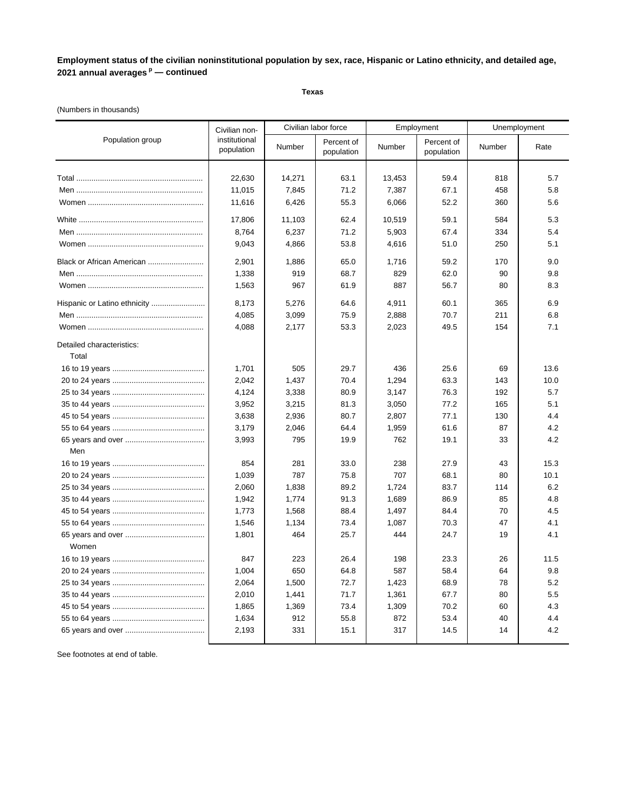**Texas**

### (Numbers in thousands)

|                                    | Civilian non-               | Civilian labor force |                          | Employment |                          | Unemployment |      |
|------------------------------------|-----------------------------|----------------------|--------------------------|------------|--------------------------|--------------|------|
| Population group                   | institutional<br>population | Number               | Percent of<br>population | Number     | Percent of<br>population | Number       | Rate |
|                                    | 22,630                      | 14,271               | 63.1                     | 13,453     | 59.4                     | 818          | 5.7  |
|                                    | 11,015                      | 7,845                | 71.2                     | 7,387      | 67.1                     | 458          | 5.8  |
|                                    | 11,616                      | 6,426                | 55.3                     | 6,066      | 52.2                     | 360          | 5.6  |
|                                    | 17,806                      | 11,103               | 62.4                     | 10,519     | 59.1                     | 584          | 5.3  |
|                                    | 8,764                       | 6,237                | 71.2                     | 5,903      | 67.4                     | 334          | 5.4  |
|                                    | 9,043                       | 4,866                | 53.8                     | 4,616      | 51.0                     | 250          | 5.1  |
| Black or African American          | 2,901                       | 1,886                | 65.0                     | 1,716      | 59.2                     | 170          | 9.0  |
|                                    | 1,338                       | 919                  | 68.7                     | 829        | 62.0                     | 90           | 9.8  |
|                                    | 1,563                       | 967                  | 61.9                     | 887        | 56.7                     | 80           | 8.3  |
|                                    | 8,173                       | 5,276                | 64.6                     | 4,911      | 60.1                     | 365          | 6.9  |
|                                    | 4,085                       | 3,099                | 75.9                     | 2,888      | 70.7                     | 211          | 6.8  |
|                                    | 4,088                       | 2,177                | 53.3                     | 2,023      | 49.5                     | 154          | 7.1  |
| Detailed characteristics:<br>Total |                             |                      |                          |            |                          |              |      |
|                                    | 1,701                       | 505                  | 29.7                     | 436        | 25.6                     | 69           | 13.6 |
|                                    | 2,042                       | 1,437                | 70.4                     | 1,294      | 63.3                     | 143          | 10.0 |
|                                    | 4,124                       | 3,338                | 80.9                     | 3,147      | 76.3                     | 192          | 5.7  |
|                                    | 3,952                       | 3,215                | 81.3                     | 3,050      | 77.2                     | 165          | 5.1  |
|                                    | 3,638                       | 2,936                | 80.7                     | 2,807      | 77.1                     | 130          | 4.4  |
|                                    | 3,179                       | 2,046                | 64.4                     | 1,959      | 61.6                     | 87           | 4.2  |
|                                    | 3,993                       | 795                  | 19.9                     | 762        | 19.1                     | 33           | 4.2  |
| Men                                |                             |                      |                          |            |                          |              |      |
|                                    | 854                         | 281                  | 33.0                     | 238        | 27.9                     | 43           | 15.3 |
|                                    | 1,039                       | 787                  | 75.8                     | 707        | 68.1                     | 80           | 10.1 |
|                                    | 2,060                       | 1,838                | 89.2                     | 1,724      | 83.7                     | 114          | 6.2  |
|                                    | 1,942                       | 1,774                | 91.3                     | 1,689      | 86.9                     | 85           | 4.8  |
|                                    | 1,773                       | 1,568                | 88.4                     | 1,497      | 84.4                     | 70           | 4.5  |
|                                    | 1,546                       | 1,134                | 73.4                     | 1,087      | 70.3                     | 47           | 4.1  |
| Women                              | 1.801                       | 464                  | 25.7                     | 444        | 24.7                     | 19           | 4.1  |
|                                    | 847                         | 223                  | 26.4                     | 198        | 23.3                     | 26           | 11.5 |
|                                    | 1,004                       | 650                  | 64.8                     | 587        | 58.4                     | 64           | 9.8  |
|                                    | 2,064                       | 1,500                | 72.7                     | 1,423      | 68.9                     | 78           | 5.2  |
|                                    | 2,010                       | 1,441                | 71.7                     | 1,361      | 67.7                     | 80           | 5.5  |
|                                    | 1,865                       | 1,369                | 73.4                     | 1,309      | 70.2                     | 60           | 4.3  |
|                                    | 1,634                       | 912                  | 55.8                     | 872        | 53.4                     | 40           | 4.4  |
|                                    | 2,193                       | 331                  | 15.1                     | 317        | 14.5                     | 14           | 4.2  |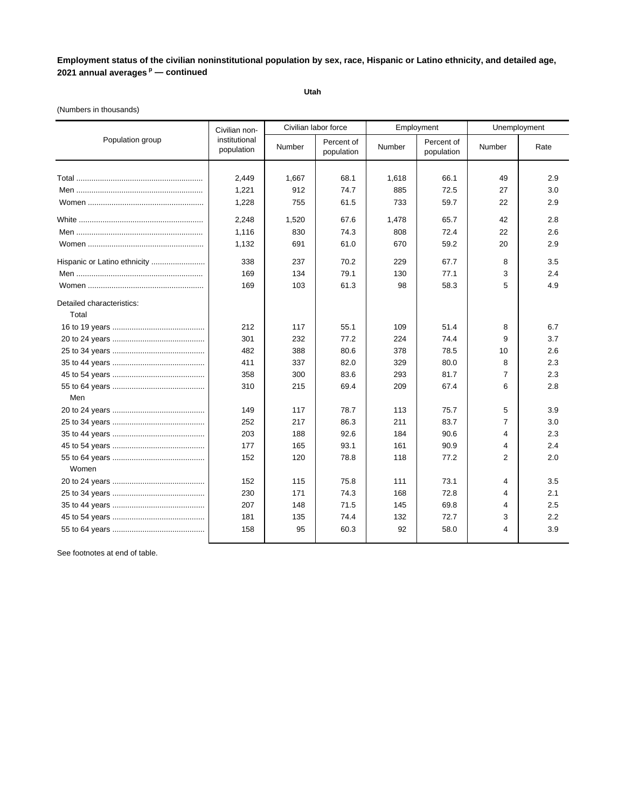**Utah**

### (Numbers in thousands)

|                           | Civilian non-               | Civilian labor force |                          |        | Employment               |                | Unemployment |
|---------------------------|-----------------------------|----------------------|--------------------------|--------|--------------------------|----------------|--------------|
| Population group          | institutional<br>population | Number               | Percent of<br>population | Number | Percent of<br>population | Number         | Rate         |
|                           |                             |                      |                          |        |                          |                |              |
|                           | 2,449                       | 1,667                | 68.1                     | 1,618  | 66.1                     | 49             | 2.9          |
|                           | 1,221                       | 912                  | 74.7                     | 885    | 72.5                     | 27             | 3.0          |
|                           | 1,228                       | 755                  | 61.5                     | 733    | 59.7                     | 22             | 2.9          |
|                           | 2,248                       | 1,520                | 67.6                     | 1,478  | 65.7                     | 42             | 2.8          |
|                           | 1,116                       | 830                  | 74.3                     | 808    | 72.4                     | 22             | 2.6          |
|                           | 1,132                       | 691                  | 61.0                     | 670    | 59.2                     | 20             | 2.9          |
|                           | 338                         | 237                  | 70.2                     | 229    | 67.7                     | 8              | 3.5          |
|                           | 169                         | 134                  | 79.1                     | 130    | 77.1                     | 3              | 2.4          |
|                           | 169                         | 103                  | 61.3                     | 98     | 58.3                     | 5              | 4.9          |
| Detailed characteristics: |                             |                      |                          |        |                          |                |              |
| Total                     |                             |                      |                          |        |                          |                |              |
|                           | 212                         | 117                  | 55.1                     | 109    | 51.4                     | 8              | 6.7          |
|                           | 301                         | 232                  | 77.2                     | 224    | 74.4                     | 9              | 3.7          |
|                           | 482                         | 388                  | 80.6                     | 378    | 78.5                     | 10             | 2.6          |
|                           | 411                         | 337                  | 82.0                     | 329    | 80.0                     | 8              | 2.3          |
|                           | 358                         | 300                  | 83.6                     | 293    | 81.7                     | $\overline{7}$ | 2.3          |
|                           | 310                         | 215                  | 69.4                     | 209    | 67.4                     | 6              | 2.8          |
| Men                       |                             |                      |                          |        |                          |                |              |
|                           | 149                         | 117                  | 78.7                     | 113    | 75.7                     | 5              | 3.9          |
|                           | 252                         | 217                  | 86.3                     | 211    | 83.7                     | 7              | 3.0          |
|                           | 203                         | 188                  | 92.6                     | 184    | 90.6                     | 4              | 2.3          |
|                           | 177                         | 165                  | 93.1                     | 161    | 90.9                     | 4              | 2.4          |
|                           | 152                         | 120                  | 78.8                     | 118    | 77.2                     | 2              | 2.0          |
| Women                     |                             |                      |                          |        |                          |                |              |
|                           | 152                         | 115                  | 75.8                     | 111    | 73.1                     | 4              | 3.5          |
|                           | 230                         | 171                  | 74.3                     | 168    | 72.8                     | 4              | 2.1          |
|                           | 207                         | 148                  | 71.5                     | 145    | 69.8                     | 4              | 2.5          |
|                           | 181                         | 135                  | 74.4                     | 132    | 72.7                     | 3              | 2.2          |
|                           | 158                         | 95                   | 60.3                     | 92     | 58.0                     | 4              | 3.9          |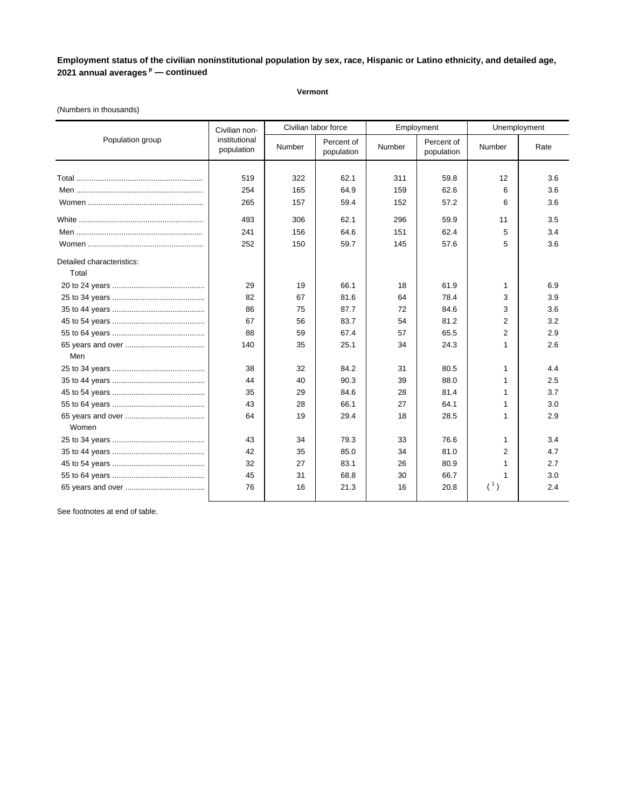**Vermont**

### (Numbers in thousands)

|                           | Civilian non-               |        | Civilian labor force     |        | Employment               | Unemployment   |      |
|---------------------------|-----------------------------|--------|--------------------------|--------|--------------------------|----------------|------|
| Population group          | institutional<br>population | Number | Percent of<br>population | Number | Percent of<br>population | Number         | Rate |
|                           |                             |        |                          |        |                          |                |      |
|                           | 519                         | 322    | 62.1                     | 311    | 59.8                     | 12             | 3.6  |
|                           | 254                         | 165    | 64.9                     | 159    | 62.6                     | 6              | 3.6  |
|                           | 265                         | 157    | 59.4                     | 152    | 57.2                     | 6              | 3.6  |
|                           | 493                         | 306    | 62.1                     | 296    | 59.9                     | 11             | 3.5  |
|                           | 241                         | 156    | 64.6                     | 151    | 62.4                     | 5              | 3.4  |
|                           | 252                         | 150    | 59.7                     | 145    | 57.6                     | 5              | 3.6  |
| Detailed characteristics: |                             |        |                          |        |                          |                |      |
| Total                     |                             |        |                          |        |                          |                |      |
|                           | 29                          | 19     | 66.1                     | 18     | 61.9                     | 1              | 6.9  |
|                           | 82                          | 67     | 81.6                     | 64     | 78.4                     | 3              | 3.9  |
|                           | 86                          | 75     | 87.7                     | 72     | 84.6                     | 3              | 3.6  |
|                           | 67                          | 56     | 83.7                     | 54     | 81.2                     | $\overline{2}$ | 3.2  |
|                           | 88                          | 59     | 67.4                     | 57     | 65.5                     | $\overline{2}$ | 2.9  |
|                           | 140                         | 35     | 25.1                     | 34     | 24.3                     | $\mathbf{1}$   | 2.6  |
| Men                       |                             |        |                          |        |                          |                |      |
|                           | 38                          | 32     | 84.2                     | 31     | 80.5                     | 1              | 4.4  |
|                           | 44                          | 40     | 90.3                     | 39     | 88.0                     | 1              | 2.5  |
|                           | 35                          | 29     | 84.6                     | 28     | 81.4                     | 1              | 3.7  |
|                           | 43                          | 28     | 66.1                     | 27     | 64.1                     | 1              | 3.0  |
| Women                     | 64                          | 19     | 29.4                     | 18     | 28.5                     | 1              | 2.9  |
|                           | 43                          | 34     | 79.3                     | 33     | 76.6                     | 1              | 3.4  |
|                           | 42                          | 35     | 85.0                     | 34     | 81.0                     | 2              | 4.7  |
|                           | 32                          | 27     | 83.1                     | 26     | 80.9                     | 1              | 2.7  |
|                           | 45                          | 31     | 68.8                     | 30     | 66.7                     | 1              | 3.0  |
|                           | 76                          | 16     | 21.3                     | 16     | 20.8                     | $({}^{1})$     | 2.4  |
|                           |                             |        |                          |        |                          |                |      |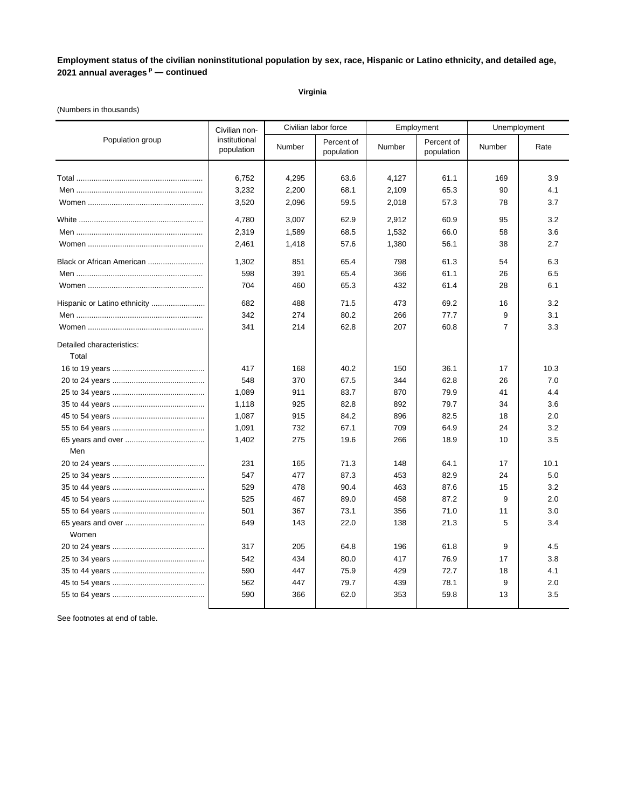### **Virginia**

### (Numbers in thousands)

| Population group<br>institutional<br>Percent of<br>Percent of<br>Number<br>Number<br><b>Number</b><br>Rate<br>population<br>population<br>population<br>6,752<br>4,295<br>63.6<br>4,127<br>61.1<br>169<br>3.9<br>3,232<br>65.3<br>4.1<br>2,200<br>68.1<br>2,109<br>90<br>3.7<br>3,520<br>2,096<br>59.5<br>2,018<br>57.3<br>78<br>4,780<br>3,007<br>62.9<br>2,912<br>60.9<br>3.2<br>95<br>2,319<br>3.6<br>1,589<br>68.5<br>1,532<br>66.0<br>58<br>2,461<br>56.1<br>2.7<br>1,418<br>57.6<br>1,380<br>38<br>Black or African American<br>6.3<br>1,302<br>851<br>65.4<br>798<br>61.3<br>54<br>598<br>391<br>65.4<br>366<br>61.1<br>26<br>6.5<br>704<br>460<br>65.3<br>432<br>61.4<br>28<br>6.1<br>Hispanic or Latino ethnicity<br>682<br>488<br>71.5<br>473<br>3.2<br>69.2<br>16<br>342<br>9<br>274<br>80.2<br>266<br>77.7<br>3.1<br>$\overline{7}$<br>341<br>214<br>62.8<br>207<br>60.8<br>3.3 | Civilian non- | Civilian labor force | Employment | Unemployment |
|---------------------------------------------------------------------------------------------------------------------------------------------------------------------------------------------------------------------------------------------------------------------------------------------------------------------------------------------------------------------------------------------------------------------------------------------------------------------------------------------------------------------------------------------------------------------------------------------------------------------------------------------------------------------------------------------------------------------------------------------------------------------------------------------------------------------------------------------------------------------------------------------|---------------|----------------------|------------|--------------|
|                                                                                                                                                                                                                                                                                                                                                                                                                                                                                                                                                                                                                                                                                                                                                                                                                                                                                             |               |                      |            |              |
|                                                                                                                                                                                                                                                                                                                                                                                                                                                                                                                                                                                                                                                                                                                                                                                                                                                                                             |               |                      |            |              |
|                                                                                                                                                                                                                                                                                                                                                                                                                                                                                                                                                                                                                                                                                                                                                                                                                                                                                             |               |                      |            |              |
|                                                                                                                                                                                                                                                                                                                                                                                                                                                                                                                                                                                                                                                                                                                                                                                                                                                                                             |               |                      |            |              |
|                                                                                                                                                                                                                                                                                                                                                                                                                                                                                                                                                                                                                                                                                                                                                                                                                                                                                             |               |                      |            |              |
|                                                                                                                                                                                                                                                                                                                                                                                                                                                                                                                                                                                                                                                                                                                                                                                                                                                                                             |               |                      |            |              |
|                                                                                                                                                                                                                                                                                                                                                                                                                                                                                                                                                                                                                                                                                                                                                                                                                                                                                             |               |                      |            |              |
|                                                                                                                                                                                                                                                                                                                                                                                                                                                                                                                                                                                                                                                                                                                                                                                                                                                                                             |               |                      |            |              |
|                                                                                                                                                                                                                                                                                                                                                                                                                                                                                                                                                                                                                                                                                                                                                                                                                                                                                             |               |                      |            |              |
|                                                                                                                                                                                                                                                                                                                                                                                                                                                                                                                                                                                                                                                                                                                                                                                                                                                                                             |               |                      |            |              |
|                                                                                                                                                                                                                                                                                                                                                                                                                                                                                                                                                                                                                                                                                                                                                                                                                                                                                             |               |                      |            |              |
|                                                                                                                                                                                                                                                                                                                                                                                                                                                                                                                                                                                                                                                                                                                                                                                                                                                                                             |               |                      |            |              |
|                                                                                                                                                                                                                                                                                                                                                                                                                                                                                                                                                                                                                                                                                                                                                                                                                                                                                             |               |                      |            |              |
|                                                                                                                                                                                                                                                                                                                                                                                                                                                                                                                                                                                                                                                                                                                                                                                                                                                                                             |               |                      |            |              |
| Detailed characteristics:<br>Total                                                                                                                                                                                                                                                                                                                                                                                                                                                                                                                                                                                                                                                                                                                                                                                                                                                          |               |                      |            |              |
| 417<br>168<br>40.2<br>150<br>36.1<br>10.3<br>17                                                                                                                                                                                                                                                                                                                                                                                                                                                                                                                                                                                                                                                                                                                                                                                                                                             |               |                      |            |              |
| 548<br>370<br>67.5<br>344<br>62.8<br>26<br>7.0                                                                                                                                                                                                                                                                                                                                                                                                                                                                                                                                                                                                                                                                                                                                                                                                                                              |               |                      |            |              |
| 870<br>1,089<br>911<br>83.7<br>79.9<br>41<br>4.4                                                                                                                                                                                                                                                                                                                                                                                                                                                                                                                                                                                                                                                                                                                                                                                                                                            |               |                      |            |              |
| 79.7<br>3.6<br>1,118<br>925<br>82.8<br>892<br>34                                                                                                                                                                                                                                                                                                                                                                                                                                                                                                                                                                                                                                                                                                                                                                                                                                            |               |                      |            |              |
| 1,087<br>915<br>84.2<br>896<br>82.5<br>2.0<br>18                                                                                                                                                                                                                                                                                                                                                                                                                                                                                                                                                                                                                                                                                                                                                                                                                                            |               |                      |            |              |
| 3.2<br>1,091<br>732<br>67.1<br>709<br>64.9<br>24                                                                                                                                                                                                                                                                                                                                                                                                                                                                                                                                                                                                                                                                                                                                                                                                                                            |               |                      |            |              |
| 1,402<br>275<br>19.6<br>266<br>18.9<br>10<br>3.5                                                                                                                                                                                                                                                                                                                                                                                                                                                                                                                                                                                                                                                                                                                                                                                                                                            |               |                      |            |              |
| Men                                                                                                                                                                                                                                                                                                                                                                                                                                                                                                                                                                                                                                                                                                                                                                                                                                                                                         |               |                      |            |              |
| 71.3<br>10.1<br>231<br>165<br>148<br>64.1<br>17                                                                                                                                                                                                                                                                                                                                                                                                                                                                                                                                                                                                                                                                                                                                                                                                                                             |               |                      |            |              |
| 547<br>5.0<br>477<br>87.3<br>453<br>82.9<br>24                                                                                                                                                                                                                                                                                                                                                                                                                                                                                                                                                                                                                                                                                                                                                                                                                                              |               |                      |            |              |
| 529<br>478<br>90.4<br>87.6<br>3.2<br>463<br>15                                                                                                                                                                                                                                                                                                                                                                                                                                                                                                                                                                                                                                                                                                                                                                                                                                              |               |                      |            |              |
| 89.0<br>87.2<br>525<br>467<br>458<br>9<br>2.0                                                                                                                                                                                                                                                                                                                                                                                                                                                                                                                                                                                                                                                                                                                                                                                                                                               |               |                      |            |              |
| 501<br>367<br>73.1<br>356<br>71.0<br>11<br>3.0                                                                                                                                                                                                                                                                                                                                                                                                                                                                                                                                                                                                                                                                                                                                                                                                                                              |               |                      |            |              |
| 649<br>143<br>22.0<br>138<br>21.3<br>5<br>3.4<br>Women                                                                                                                                                                                                                                                                                                                                                                                                                                                                                                                                                                                                                                                                                                                                                                                                                                      |               |                      |            |              |
| 317<br>205<br>64.8<br>196<br>61.8<br>9<br>4.5                                                                                                                                                                                                                                                                                                                                                                                                                                                                                                                                                                                                                                                                                                                                                                                                                                               |               |                      |            |              |
| 434<br>80.0<br>542<br>417<br>76.9<br>17<br>3.8                                                                                                                                                                                                                                                                                                                                                                                                                                                                                                                                                                                                                                                                                                                                                                                                                                              |               |                      |            |              |
| 75.9<br>72.7<br>590<br>447<br>429<br>18<br>4.1                                                                                                                                                                                                                                                                                                                                                                                                                                                                                                                                                                                                                                                                                                                                                                                                                                              |               |                      |            |              |
| 562<br>447<br>79.7<br>78.1<br>439<br>9<br>2.0                                                                                                                                                                                                                                                                                                                                                                                                                                                                                                                                                                                                                                                                                                                                                                                                                                               |               |                      |            |              |
| 590<br>366<br>62.0<br>353<br>59.8<br>13<br>3.5                                                                                                                                                                                                                                                                                                                                                                                                                                                                                                                                                                                                                                                                                                                                                                                                                                              |               |                      |            |              |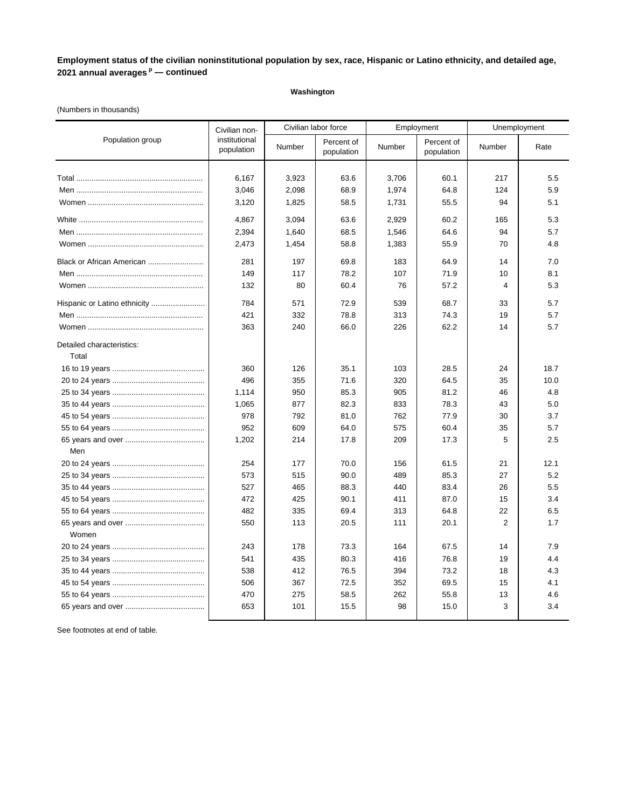### **Washington**

### (Numbers in thousands)

|                                    | Civilian non-               | Civilian labor force |                          |        | Employment               | Unemployment |      |
|------------------------------------|-----------------------------|----------------------|--------------------------|--------|--------------------------|--------------|------|
| Population group                   | institutional<br>population | Number               | Percent of<br>population | Number | Percent of<br>population | Number       | Rate |
|                                    |                             |                      |                          |        |                          |              |      |
|                                    | 6,167                       | 3,923                | 63.6                     | 3,706  | 60.1                     | 217          | 5.5  |
|                                    | 3,046                       | 2,098                | 68.9                     | 1,974  | 64.8                     | 124          | 5.9  |
|                                    | 3,120                       | 1,825                | 58.5                     | 1,731  | 55.5                     | 94           | 5.1  |
|                                    | 4,867                       | 3,094                | 63.6                     | 2,929  | 60.2                     | 165          | 5.3  |
|                                    | 2,394                       | 1,640                | 68.5                     | 1,546  | 64.6                     | 94           | 5.7  |
|                                    | 2,473                       | 1,454                | 58.8                     | 1,383  | 55.9                     | 70           | 4.8  |
| Black or African American          | 281                         | 197                  | 69.8                     | 183    | 64.9                     | 14           | 7.0  |
|                                    | 149                         | 117                  | 78.2                     | 107    | 71.9                     | 10           | 8.1  |
|                                    | 132                         | 80                   | 60.4                     | 76     | 57.2                     | 4            | 5.3  |
| Hispanic or Latino ethnicity       | 784                         | 571                  | 72.9                     | 539    | 68.7                     | 33           | 5.7  |
|                                    | 421                         | 332                  | 78.8                     | 313    | 74.3                     | 19           | 5.7  |
|                                    | 363                         | 240                  | 66.0                     | 226    | 62.2                     | 14           | 5.7  |
| Detailed characteristics:<br>Total |                             |                      |                          |        |                          |              |      |
|                                    | 360                         | 126                  | 35.1                     | 103    | 28.5                     | 24           | 18.7 |
|                                    | 496                         | 355                  | 71.6                     | 320    | 64.5                     | 35           | 10.0 |
|                                    | 1,114                       | 950                  | 85.3                     | 905    | 81.2                     | 46           | 4.8  |
|                                    | 1,065                       | 877                  | 82.3                     | 833    | 78.3                     | 43           | 5.0  |
|                                    | 978                         | 792                  | 81.0                     | 762    | 77.9                     | 30           | 3.7  |
|                                    | 952                         | 609                  | 64.0                     | 575    | 60.4                     | 35           | 5.7  |
|                                    | 1,202                       | 214                  | 17.8                     | 209    | 17.3                     | 5            | 2.5  |
| Men                                |                             |                      |                          |        |                          |              |      |
|                                    | 254                         | 177                  | 70.0                     | 156    | 61.5                     | 21           | 12.1 |
|                                    | 573                         | 515                  | 90.0                     | 489    | 85.3                     | 27           | 5.2  |
|                                    | 527                         | 465                  | 88.3                     | 440    | 83.4                     | 26           | 5.5  |
|                                    | 472                         | 425                  | 90.1                     | 411    | 87.0                     | 15           | 3.4  |
|                                    | 482                         | 335                  | 69.4                     | 313    | 64.8                     | 22           | 6.5  |
| Women                              | 550                         | 113                  | 20.5                     | 111    | 20.1                     | 2            | 1.7  |
|                                    | 243                         | 178                  | 73.3                     | 164    | 67.5                     | 14           | 7.9  |
|                                    | 541                         | 435                  | 80.3                     | 416    | 76.8                     | 19           | 4.4  |
|                                    | 538                         | 412                  | 76.5                     | 394    | 73.2                     | 18           | 4.3  |
|                                    | 506                         | 367                  | 72.5                     | 352    | 69.5                     | 15           | 4.1  |
|                                    | 470                         | 275                  | 58.5                     | 262    | 55.8                     | 13           | 4.6  |
|                                    | 653                         | 101                  | 15.5                     | 98     | 15.0                     | 3            | 3.4  |
|                                    |                             |                      |                          |        |                          |              |      |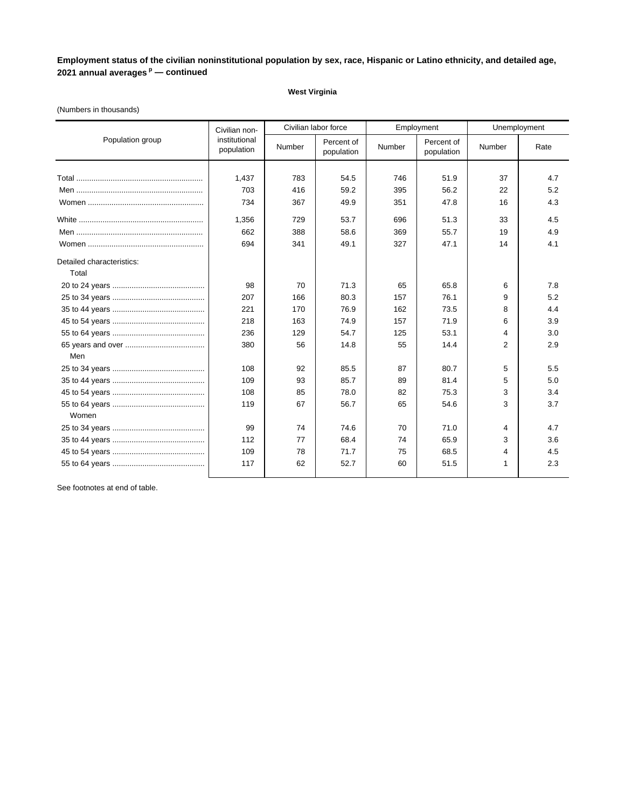#### **West Virginia**

### Civilian labor force Employment Unemployment Total ........................................................... 1,437 783 54.5 746 51.9 37 4.7 Men ........................................................... 703 416 59.2 395 56.2 22 5.2 Women ...................................................... 734 367 49.9 351 47.8 16 4.3 White .......................................................... 1,356 729 53.7 696 51.3 33 4.5 Men ........................................................... 662 388 58.6 369 55.7 19 4.9 Women ...................................................... 694 341 49.1 327 47.1 14 4.1 Detailed characteristics: Total 20 to 24 years ........................................... 98 70 71.3 65 65.8 6 7.8 25 to 34 years ........................................... 207 166 80.3 157 76.1 9 5.2 35 to 44 years ........................................... 221 170 76.9 162 73.5 8 4.4 45 to 54 years ........................................... 218 163 74.9 157 71.9 6 3.9 55 to 64 years ........................................... 236 129 54.7 125 53.1 4 3.0 65 years and over ..................................... 380 56 14.8 55 14.4 2 2.9 Men 25 to 34 years ........................................... 108 92 85.5 87 80.7 5 5.5 35 to 44 years ........................................... 109 93 85.7 89 81.4 5 5.0 45 to 54 years ........................................... 108 85 78.0 82 75.3 3 3.4 55 to 64 years ........................................... 119 67 56.7 65 54.6 3 3.7 Women 25 to 34 years ........................................... 99 74 74.6 70 71.0 4 4.7 35 to 44 years ........................................... 112 77 68.4 74 65.9 3 3.6 45 to 54 years ........................................... 109 78 71.7 75 68.5 4 4.5 55 to 64 years ........................................... 117 62 52.7 60 51.5 1 2.3 Population group Civilian noninstitutional institutional<br>population Number population Percent of Number Percent of population Percent of Number Rate<br>population Number Rate

#### (Numbers in thousands)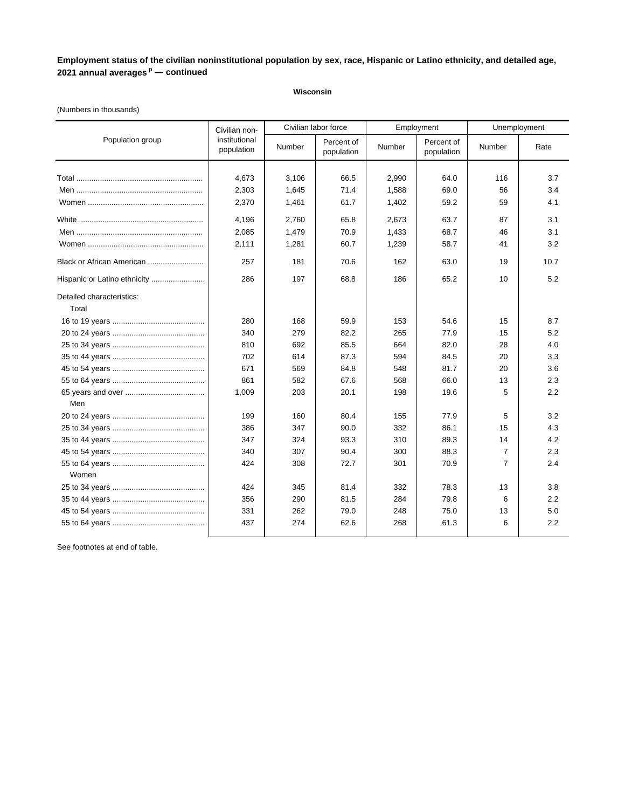### **Wisconsin**

### (Numbers in thousands)

| Population group                   | Civilian non-<br>institutional<br>population | Civilian labor force |                          | Employment |                          | Unemployment   |      |
|------------------------------------|----------------------------------------------|----------------------|--------------------------|------------|--------------------------|----------------|------|
|                                    |                                              | Number               | Percent of<br>population | Number     | Percent of<br>population | Number         | Rate |
|                                    |                                              |                      |                          |            |                          |                |      |
|                                    | 4.673                                        | 3.106                | 66.5                     | 2,990      | 64.0                     | 116            | 3.7  |
|                                    | 2,303                                        | 1,645                | 71.4                     | 1,588      | 69.0                     | 56             | 3.4  |
|                                    | 2,370                                        | 1,461                | 61.7                     | 1,402      | 59.2                     | 59             | 4.1  |
|                                    | 4.196                                        | 2.760                | 65.8                     | 2,673      | 63.7                     | 87             | 3.1  |
|                                    | 2,085                                        | 1,479                | 70.9                     | 1,433      | 68.7                     | 46             | 3.1  |
|                                    | 2,111                                        | 1,281                | 60.7                     | 1,239      | 58.7                     | 41             | 3.2  |
| Black or African American          | 257                                          | 181                  | 70.6                     | 162        | 63.0                     | 19             | 10.7 |
| Hispanic or Latino ethnicity       | 286                                          | 197                  | 68.8                     | 186        | 65.2                     | 10             | 5.2  |
| Detailed characteristics:<br>Total |                                              |                      |                          |            |                          |                |      |
|                                    | 280                                          | 168                  | 59.9                     | 153        | 54.6                     | 15             | 8.7  |
|                                    | 340                                          | 279                  | 82.2                     | 265        | 77.9                     | 15             | 5.2  |
|                                    | 810                                          | 692                  | 85.5                     | 664        | 82.0                     | 28             | 4.0  |
|                                    | 702                                          | 614                  | 87.3                     | 594        | 84.5                     | 20             | 3.3  |
|                                    | 671                                          | 569                  | 84.8                     | 548        | 81.7                     | 20             | 3.6  |
|                                    | 861                                          | 582                  | 67.6                     | 568        | 66.0                     | 13             | 2.3  |
|                                    | 1,009                                        | 203                  | 20.1                     | 198        | 19.6                     | 5              | 2.2  |
| Men                                |                                              |                      |                          |            |                          |                |      |
|                                    | 199                                          | 160                  | 80.4                     | 155        | 77.9                     | 5              | 3.2  |
|                                    | 386                                          | 347                  | 90.0                     | 332        | 86.1                     | 15             | 4.3  |
|                                    | 347                                          | 324                  | 93.3                     | 310        | 89.3                     | 14             | 4.2  |
|                                    | 340                                          | 307                  | 90.4                     | 300        | 88.3                     | $\overline{7}$ | 2.3  |
|                                    | 424                                          | 308                  | 72.7                     | 301        | 70.9                     | $\overline{7}$ | 2.4  |
| Women                              |                                              |                      |                          |            |                          |                |      |
|                                    | 424                                          | 345                  | 81.4                     | 332        | 78.3                     | 13             | 3.8  |
|                                    | 356                                          | 290                  | 81.5                     | 284        | 79.8                     | 6              | 2.2  |
|                                    | 331                                          | 262                  | 79.0                     | 248        | 75.0                     | 13             | 5.0  |
|                                    | 437                                          | 274                  | 62.6                     | 268        | 61.3                     | 6              | 2.2  |
|                                    |                                              |                      |                          |            |                          |                |      |